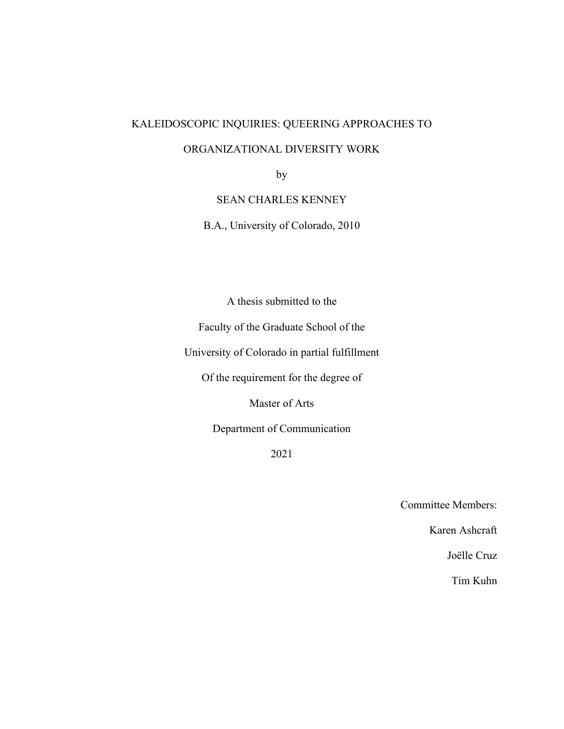# KALEIDOSCOPIC INQUIRIES: QUEERING APPROACHES TO

# ORGANIZATIONAL DIVERSITY WORK

by

# SEAN CHARLES KENNEY

B.A., University of Colorado, 2010

A thesis submitted to the

Faculty of the Graduate School of the

University of Colorado in partial fulfillment

Of the requirement for the degree of

Master of Arts

Department of Communication

2021

Committee Members:

Karen Ashcraft

Joëlle Cruz

Tim Kuhn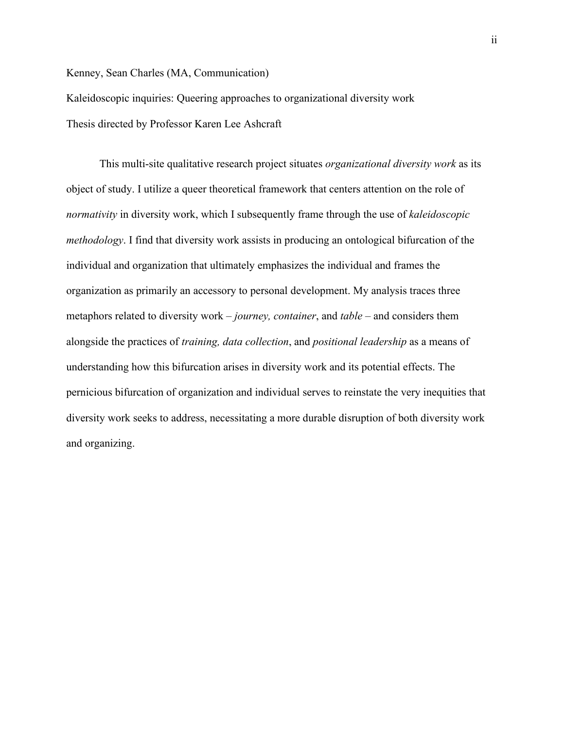Kenney, Sean Charles (MA, Communication)

Kaleidoscopic inquiries: Queering approaches to organizational diversity work Thesis directed by Professor Karen Lee Ashcraft

This multi-site qualitative research project situates *organizational diversity work* as its object of study. I utilize a queer theoretical framework that centers attention on the role of *normativity* in diversity work, which I subsequently frame through the use of *kaleidoscopic methodology*. I find that diversity work assists in producing an ontological bifurcation of the individual and organization that ultimately emphasizes the individual and frames the organization as primarily an accessory to personal development. My analysis traces three metaphors related to diversity work – *journey, container*, and *table* – and considers them alongside the practices of *training, data collection*, and *positional leadership* as a means of understanding how this bifurcation arises in diversity work and its potential effects. The pernicious bifurcation of organization and individual serves to reinstate the very inequities that diversity work seeks to address, necessitating a more durable disruption of both diversity work and organizing.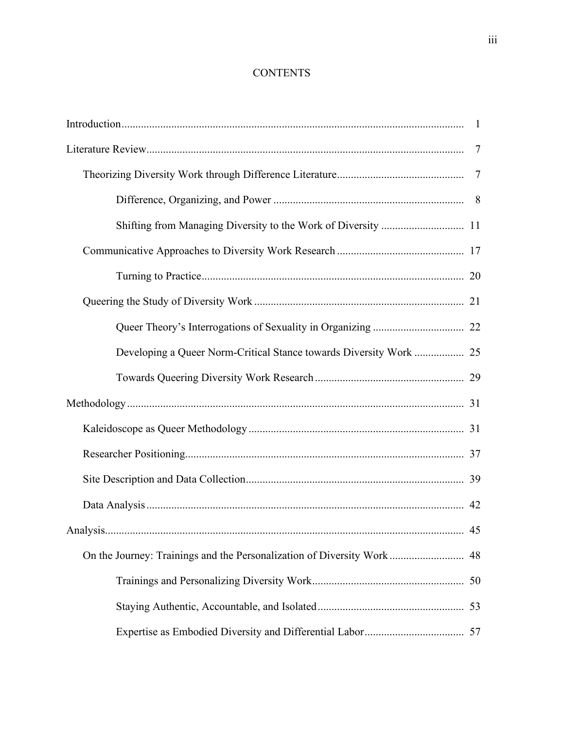# **CONTENTS**

|                                                                        | $\overline{7}$ |
|------------------------------------------------------------------------|----------------|
|                                                                        |                |
|                                                                        |                |
| Shifting from Managing Diversity to the Work of Diversity  11          |                |
|                                                                        |                |
|                                                                        |                |
|                                                                        |                |
|                                                                        |                |
| Developing a Queer Norm-Critical Stance towards Diversity Work  25     |                |
|                                                                        |                |
|                                                                        |                |
|                                                                        |                |
|                                                                        |                |
|                                                                        |                |
|                                                                        |                |
|                                                                        | 45             |
| On the Journey: Trainings and the Personalization of Diversity Work 48 |                |
|                                                                        |                |
|                                                                        |                |
|                                                                        |                |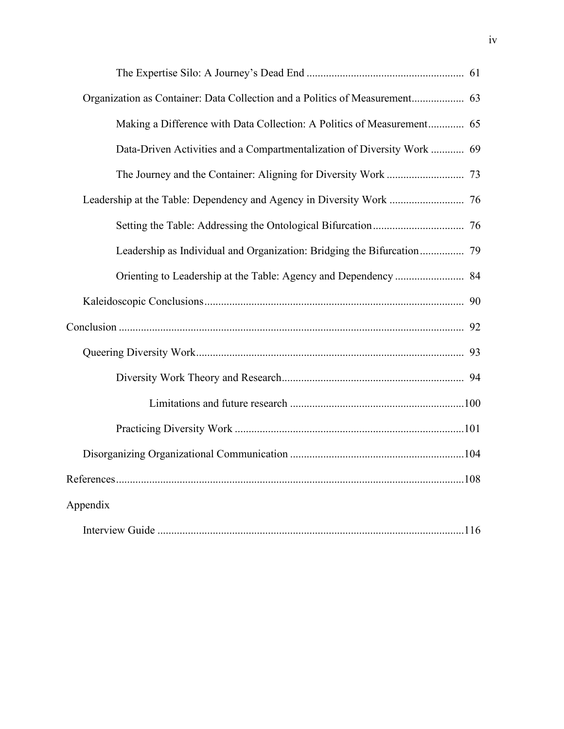| Organization as Container: Data Collection and a Politics of Measurement 63 |  |
|-----------------------------------------------------------------------------|--|
| Making a Difference with Data Collection: A Politics of Measurement 65      |  |
| Data-Driven Activities and a Compartmentalization of Diversity Work  69     |  |
|                                                                             |  |
| Leadership at the Table: Dependency and Agency in Diversity Work  76        |  |
|                                                                             |  |
|                                                                             |  |
| Orienting to Leadership at the Table: Agency and Dependency  84             |  |
|                                                                             |  |
|                                                                             |  |
|                                                                             |  |
|                                                                             |  |
|                                                                             |  |
|                                                                             |  |
|                                                                             |  |
|                                                                             |  |
| Appendix                                                                    |  |
|                                                                             |  |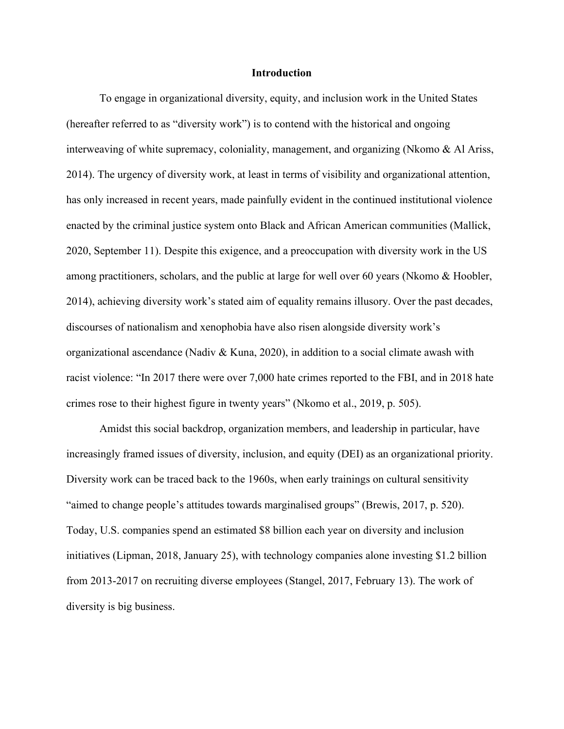## **Introduction**

To engage in organizational diversity, equity, and inclusion work in the United States (hereafter referred to as "diversity work") is to contend with the historical and ongoing interweaving of white supremacy, coloniality, management, and organizing (Nkomo & Al Ariss, 2014). The urgency of diversity work, at least in terms of visibility and organizational attention, has only increased in recent years, made painfully evident in the continued institutional violence enacted by the criminal justice system onto Black and African American communities (Mallick, 2020, September 11). Despite this exigence, and a preoccupation with diversity work in the US among practitioners, scholars, and the public at large for well over 60 years (Nkomo & Hoobler, 2014), achieving diversity work's stated aim of equality remains illusory. Over the past decades, discourses of nationalism and xenophobia have also risen alongside diversity work's organizational ascendance (Nadiv & Kuna, 2020), in addition to a social climate awash with racist violence: "In 2017 there were over 7,000 hate crimes reported to the FBI, and in 2018 hate crimes rose to their highest figure in twenty years" (Nkomo et al., 2019, p. 505).

Amidst this social backdrop, organization members, and leadership in particular, have increasingly framed issues of diversity, inclusion, and equity (DEI) as an organizational priority. Diversity work can be traced back to the 1960s, when early trainings on cultural sensitivity "aimed to change people's attitudes towards marginalised groups" (Brewis, 2017, p. 520). Today, U.S. companies spend an estimated \$8 billion each year on diversity and inclusion initiatives (Lipman, 2018, January 25), with technology companies alone investing \$1.2 billion from 2013-2017 on recruiting diverse employees (Stangel, 2017, February 13). The work of diversity is big business.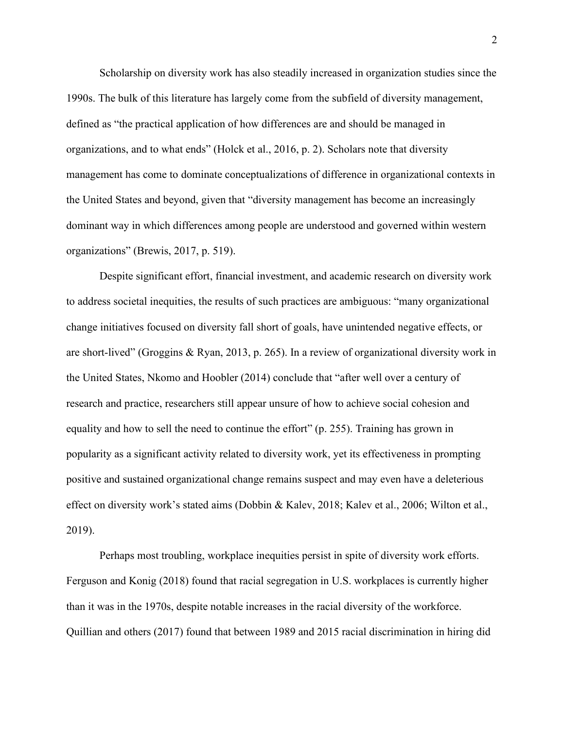Scholarship on diversity work has also steadily increased in organization studies since the 1990s. The bulk of this literature has largely come from the subfield of diversity management, defined as "the practical application of how differences are and should be managed in organizations, and to what ends" (Holck et al., 2016, p. 2). Scholars note that diversity management has come to dominate conceptualizations of difference in organizational contexts in the United States and beyond, given that "diversity management has become an increasingly dominant way in which differences among people are understood and governed within western organizations" (Brewis, 2017, p. 519).

Despite significant effort, financial investment, and academic research on diversity work to address societal inequities, the results of such practices are ambiguous: "many organizational change initiatives focused on diversity fall short of goals, have unintended negative effects, or are short-lived" (Groggins & Ryan, 2013, p. 265). In a review of organizational diversity work in the United States, Nkomo and Hoobler (2014) conclude that "after well over a century of research and practice, researchers still appear unsure of how to achieve social cohesion and equality and how to sell the need to continue the effort" (p. 255). Training has grown in popularity as a significant activity related to diversity work, yet its effectiveness in prompting positive and sustained organizational change remains suspect and may even have a deleterious effect on diversity work's stated aims (Dobbin & Kalev, 2018; Kalev et al., 2006; Wilton et al., 2019).

Perhaps most troubling, workplace inequities persist in spite of diversity work efforts. Ferguson and Konig (2018) found that racial segregation in U.S. workplaces is currently higher than it was in the 1970s, despite notable increases in the racial diversity of the workforce. Quillian and others (2017) found that between 1989 and 2015 racial discrimination in hiring did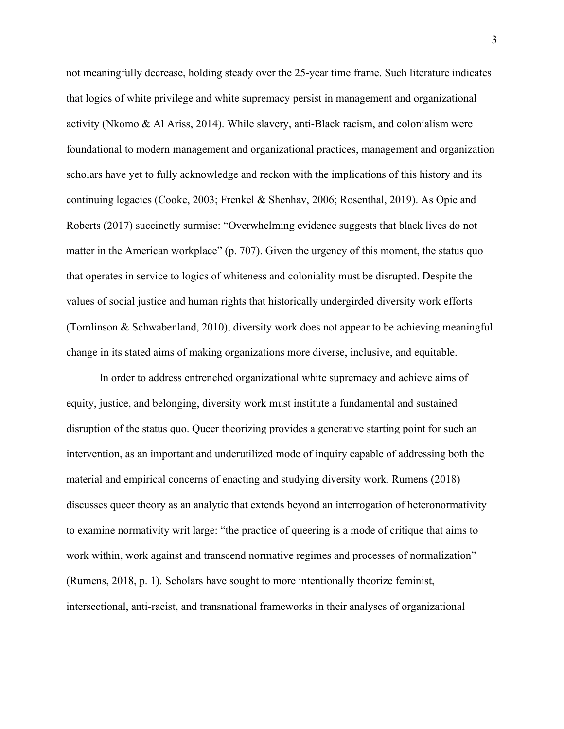not meaningfully decrease, holding steady over the 25-year time frame. Such literature indicates that logics of white privilege and white supremacy persist in management and organizational activity (Nkomo & Al Ariss, 2014). While slavery, anti-Black racism, and colonialism were foundational to modern management and organizational practices, management and organization scholars have yet to fully acknowledge and reckon with the implications of this history and its continuing legacies (Cooke, 2003; Frenkel & Shenhav, 2006; Rosenthal, 2019). As Opie and Roberts (2017) succinctly surmise: "Overwhelming evidence suggests that black lives do not matter in the American workplace" (p. 707). Given the urgency of this moment, the status quo that operates in service to logics of whiteness and coloniality must be disrupted. Despite the values of social justice and human rights that historically undergirded diversity work efforts (Tomlinson & Schwabenland, 2010), diversity work does not appear to be achieving meaningful change in its stated aims of making organizations more diverse, inclusive, and equitable.

In order to address entrenched organizational white supremacy and achieve aims of equity, justice, and belonging, diversity work must institute a fundamental and sustained disruption of the status quo. Queer theorizing provides a generative starting point for such an intervention, as an important and underutilized mode of inquiry capable of addressing both the material and empirical concerns of enacting and studying diversity work. Rumens (2018) discusses queer theory as an analytic that extends beyond an interrogation of heteronormativity to examine normativity writ large: "the practice of queering is a mode of critique that aims to work within, work against and transcend normative regimes and processes of normalization" (Rumens, 2018, p. 1). Scholars have sought to more intentionally theorize feminist, intersectional, anti-racist, and transnational frameworks in their analyses of organizational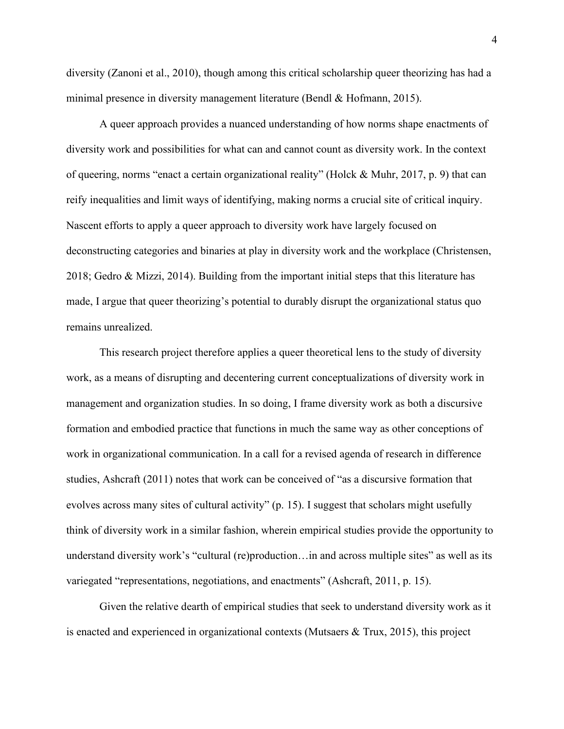diversity (Zanoni et al., 2010), though among this critical scholarship queer theorizing has had a minimal presence in diversity management literature (Bendl & Hofmann, 2015).

A queer approach provides a nuanced understanding of how norms shape enactments of diversity work and possibilities for what can and cannot count as diversity work. In the context of queering, norms "enact a certain organizational reality" (Holck & Muhr, 2017, p. 9) that can reify inequalities and limit ways of identifying, making norms a crucial site of critical inquiry. Nascent efforts to apply a queer approach to diversity work have largely focused on deconstructing categories and binaries at play in diversity work and the workplace (Christensen, 2018; Gedro & Mizzi, 2014). Building from the important initial steps that this literature has made, I argue that queer theorizing's potential to durably disrupt the organizational status quo remains unrealized.

This research project therefore applies a queer theoretical lens to the study of diversity work, as a means of disrupting and decentering current conceptualizations of diversity work in management and organization studies. In so doing, I frame diversity work as both a discursive formation and embodied practice that functions in much the same way as other conceptions of work in organizational communication. In a call for a revised agenda of research in difference studies, Ashcraft (2011) notes that work can be conceived of "as a discursive formation that evolves across many sites of cultural activity" (p. 15). I suggest that scholars might usefully think of diversity work in a similar fashion, wherein empirical studies provide the opportunity to understand diversity work's "cultural (re)production... in and across multiple sites" as well as its variegated "representations, negotiations, and enactments" (Ashcraft, 2011, p. 15).

Given the relative dearth of empirical studies that seek to understand diversity work as it is enacted and experienced in organizational contexts (Mutsaers & Trux, 2015), this project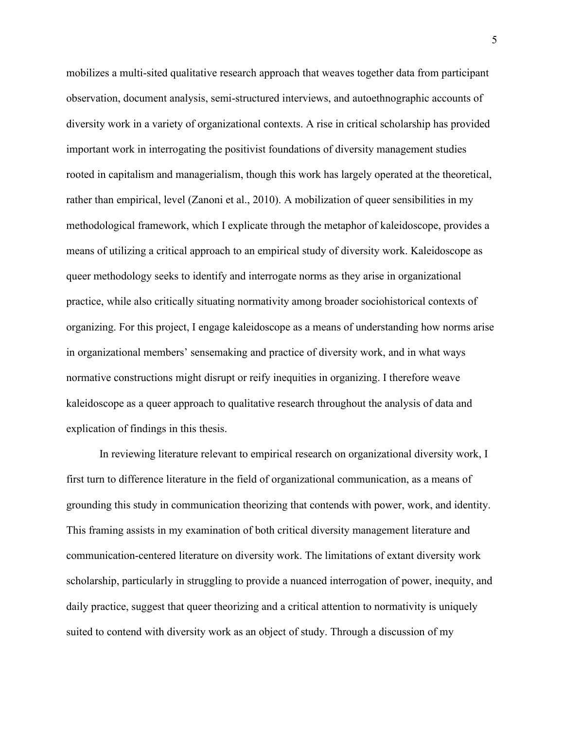mobilizes a multi-sited qualitative research approach that weaves together data from participant observation, document analysis, semi-structured interviews, and autoethnographic accounts of diversity work in a variety of organizational contexts. A rise in critical scholarship has provided important work in interrogating the positivist foundations of diversity management studies rooted in capitalism and managerialism, though this work has largely operated at the theoretical, rather than empirical, level (Zanoni et al., 2010). A mobilization of queer sensibilities in my methodological framework, which I explicate through the metaphor of kaleidoscope, provides a means of utilizing a critical approach to an empirical study of diversity work. Kaleidoscope as queer methodology seeks to identify and interrogate norms as they arise in organizational practice, while also critically situating normativity among broader sociohistorical contexts of organizing. For this project, I engage kaleidoscope as a means of understanding how norms arise in organizational members' sensemaking and practice of diversity work, and in what ways normative constructions might disrupt or reify inequities in organizing. I therefore weave kaleidoscope as a queer approach to qualitative research throughout the analysis of data and explication of findings in this thesis.

In reviewing literature relevant to empirical research on organizational diversity work, I first turn to difference literature in the field of organizational communication, as a means of grounding this study in communication theorizing that contends with power, work, and identity. This framing assists in my examination of both critical diversity management literature and communication-centered literature on diversity work. The limitations of extant diversity work scholarship, particularly in struggling to provide a nuanced interrogation of power, inequity, and daily practice, suggest that queer theorizing and a critical attention to normativity is uniquely suited to contend with diversity work as an object of study. Through a discussion of my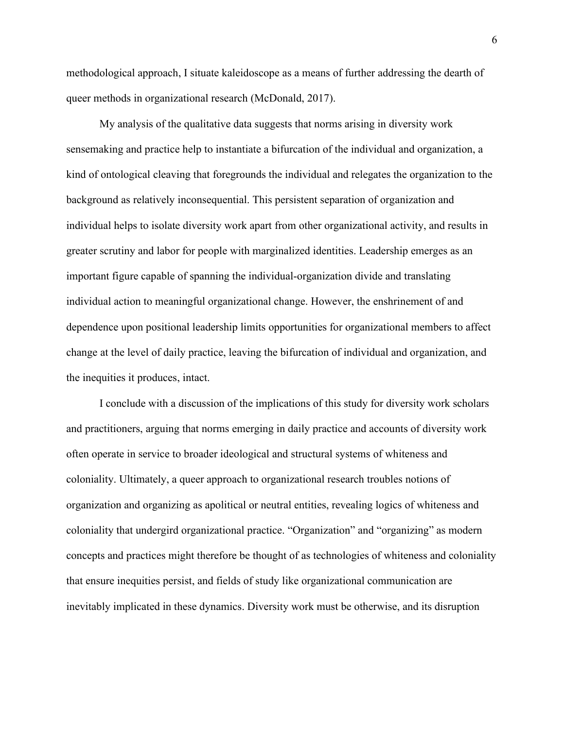methodological approach, I situate kaleidoscope as a means of further addressing the dearth of queer methods in organizational research (McDonald, 2017).

My analysis of the qualitative data suggests that norms arising in diversity work sensemaking and practice help to instantiate a bifurcation of the individual and organization, a kind of ontological cleaving that foregrounds the individual and relegates the organization to the background as relatively inconsequential. This persistent separation of organization and individual helps to isolate diversity work apart from other organizational activity, and results in greater scrutiny and labor for people with marginalized identities. Leadership emerges as an important figure capable of spanning the individual-organization divide and translating individual action to meaningful organizational change. However, the enshrinement of and dependence upon positional leadership limits opportunities for organizational members to affect change at the level of daily practice, leaving the bifurcation of individual and organization, and the inequities it produces, intact.

I conclude with a discussion of the implications of this study for diversity work scholars and practitioners, arguing that norms emerging in daily practice and accounts of diversity work often operate in service to broader ideological and structural systems of whiteness and coloniality. Ultimately, a queer approach to organizational research troubles notions of organization and organizing as apolitical or neutral entities, revealing logics of whiteness and coloniality that undergird organizational practice. "Organization" and "organizing" as modern concepts and practices might therefore be thought of as technologies of whiteness and coloniality that ensure inequities persist, and fields of study like organizational communication are inevitably implicated in these dynamics. Diversity work must be otherwise, and its disruption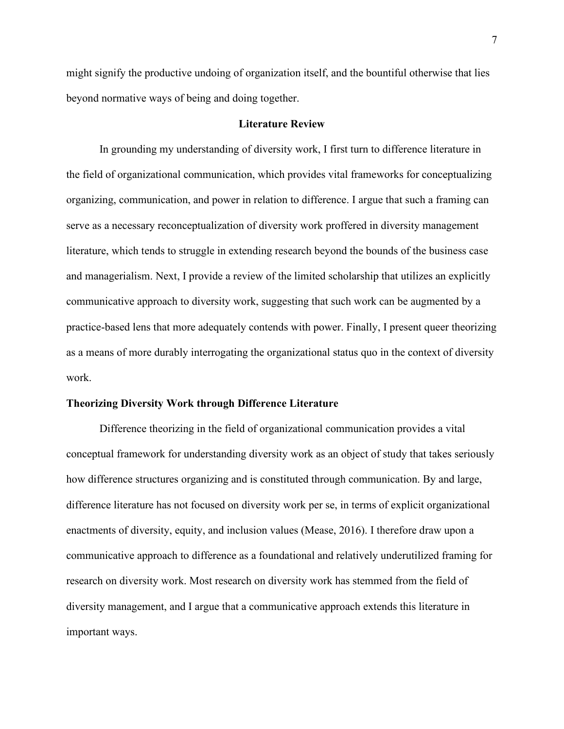might signify the productive undoing of organization itself, and the bountiful otherwise that lies beyond normative ways of being and doing together.

# **Literature Review**

In grounding my understanding of diversity work, I first turn to difference literature in the field of organizational communication, which provides vital frameworks for conceptualizing organizing, communication, and power in relation to difference. I argue that such a framing can serve as a necessary reconceptualization of diversity work proffered in diversity management literature, which tends to struggle in extending research beyond the bounds of the business case and managerialism. Next, I provide a review of the limited scholarship that utilizes an explicitly communicative approach to diversity work, suggesting that such work can be augmented by a practice-based lens that more adequately contends with power. Finally, I present queer theorizing as a means of more durably interrogating the organizational status quo in the context of diversity work.

### **Theorizing Diversity Work through Difference Literature**

Difference theorizing in the field of organizational communication provides a vital conceptual framework for understanding diversity work as an object of study that takes seriously how difference structures organizing and is constituted through communication. By and large, difference literature has not focused on diversity work per se, in terms of explicit organizational enactments of diversity, equity, and inclusion values (Mease, 2016). I therefore draw upon a communicative approach to difference as a foundational and relatively underutilized framing for research on diversity work. Most research on diversity work has stemmed from the field of diversity management, and I argue that a communicative approach extends this literature in important ways.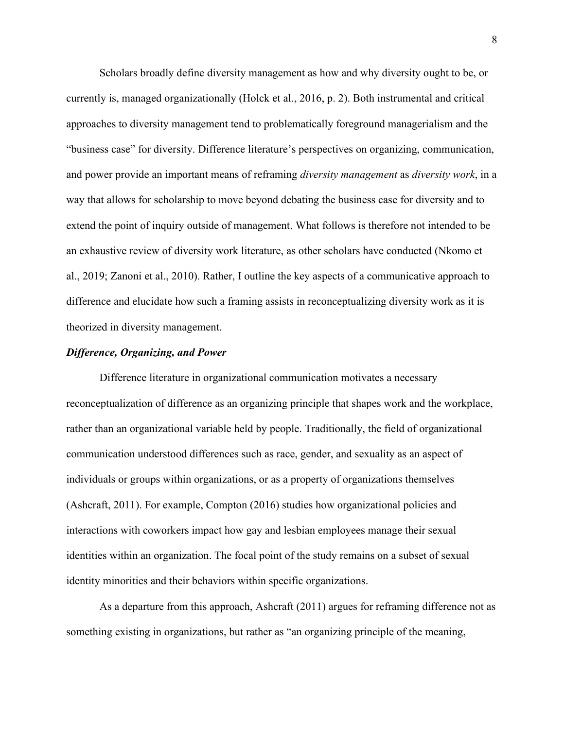Scholars broadly define diversity management as how and why diversity ought to be, or currently is, managed organizationally (Holck et al., 2016, p. 2). Both instrumental and critical approaches to diversity management tend to problematically foreground managerialism and the "business case" for diversity. Difference literature's perspectives on organizing, communication, and power provide an important means of reframing *diversity management* as *diversity work*, in a way that allows for scholarship to move beyond debating the business case for diversity and to extend the point of inquiry outside of management. What follows is therefore not intended to be an exhaustive review of diversity work literature, as other scholars have conducted (Nkomo et al., 2019; Zanoni et al., 2010). Rather, I outline the key aspects of a communicative approach to difference and elucidate how such a framing assists in reconceptualizing diversity work as it is theorized in diversity management.

# *Difference, Organizing, and Power*

Difference literature in organizational communication motivates a necessary reconceptualization of difference as an organizing principle that shapes work and the workplace, rather than an organizational variable held by people. Traditionally, the field of organizational communication understood differences such as race, gender, and sexuality as an aspect of individuals or groups within organizations, or as a property of organizations themselves (Ashcraft, 2011). For example, Compton (2016) studies how organizational policies and interactions with coworkers impact how gay and lesbian employees manage their sexual identities within an organization. The focal point of the study remains on a subset of sexual identity minorities and their behaviors within specific organizations.

As a departure from this approach, Ashcraft (2011) argues for reframing difference not as something existing in organizations, but rather as "an organizing principle of the meaning,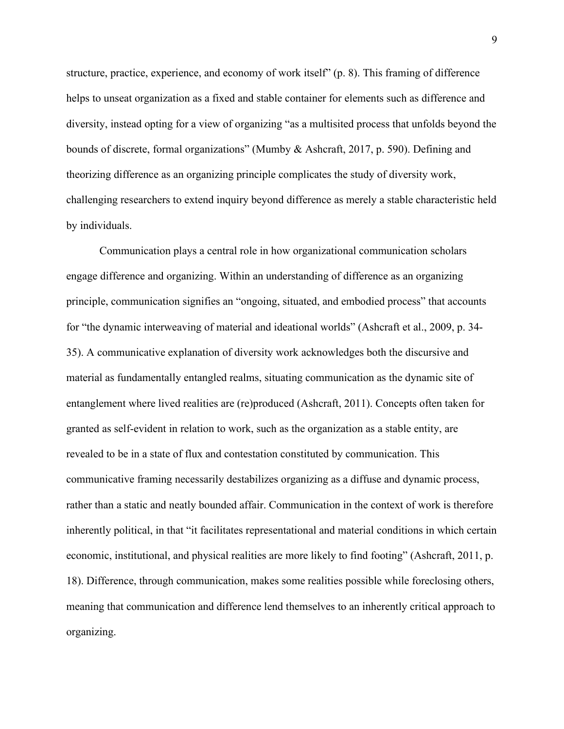structure, practice, experience, and economy of work itself" (p. 8). This framing of difference helps to unseat organization as a fixed and stable container for elements such as difference and diversity, instead opting for a view of organizing "as a multisited process that unfolds beyond the bounds of discrete, formal organizations" (Mumby & Ashcraft, 2017, p. 590). Defining and theorizing difference as an organizing principle complicates the study of diversity work, challenging researchers to extend inquiry beyond difference as merely a stable characteristic held by individuals.

Communication plays a central role in how organizational communication scholars engage difference and organizing. Within an understanding of difference as an organizing principle, communication signifies an "ongoing, situated, and embodied process" that accounts for "the dynamic interweaving of material and ideational worlds" (Ashcraft et al., 2009, p. 34- 35). A communicative explanation of diversity work acknowledges both the discursive and material as fundamentally entangled realms, situating communication as the dynamic site of entanglement where lived realities are (re)produced (Ashcraft, 2011). Concepts often taken for granted as self-evident in relation to work, such as the organization as a stable entity, are revealed to be in a state of flux and contestation constituted by communication. This communicative framing necessarily destabilizes organizing as a diffuse and dynamic process, rather than a static and neatly bounded affair. Communication in the context of work is therefore inherently political, in that "it facilitates representational and material conditions in which certain economic, institutional, and physical realities are more likely to find footing" (Ashcraft, 2011, p. 18). Difference, through communication, makes some realities possible while foreclosing others, meaning that communication and difference lend themselves to an inherently critical approach to organizing.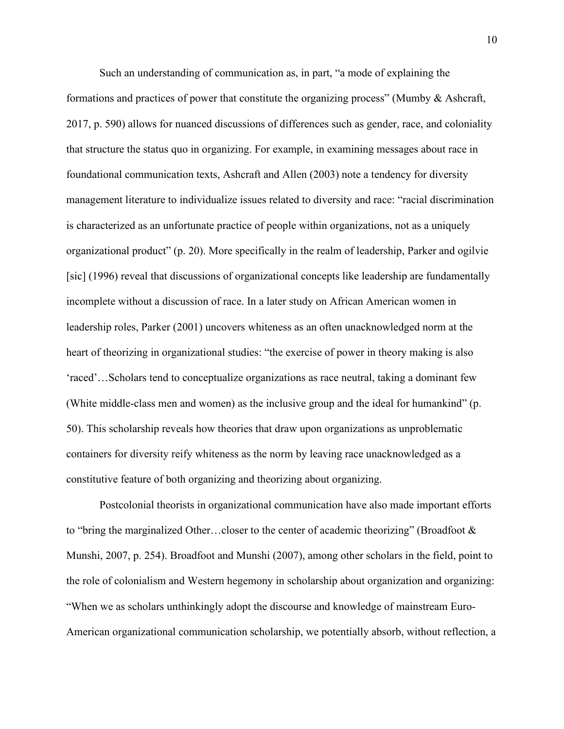Such an understanding of communication as, in part, "a mode of explaining the formations and practices of power that constitute the organizing process" (Mumby & Ashcraft, 2017, p. 590) allows for nuanced discussions of differences such as gender, race, and coloniality that structure the status quo in organizing. For example, in examining messages about race in foundational communication texts, Ashcraft and Allen (2003) note a tendency for diversity management literature to individualize issues related to diversity and race: "racial discrimination is characterized as an unfortunate practice of people within organizations, not as a uniquely organizational product" (p. 20). More specifically in the realm of leadership, Parker and ogilvie [sic] (1996) reveal that discussions of organizational concepts like leadership are fundamentally incomplete without a discussion of race. In a later study on African American women in leadership roles, Parker (2001) uncovers whiteness as an often unacknowledged norm at the heart of theorizing in organizational studies: "the exercise of power in theory making is also 'raced'…Scholars tend to conceptualize organizations as race neutral, taking a dominant few (White middle-class men and women) as the inclusive group and the ideal for humankind" (p. 50). This scholarship reveals how theories that draw upon organizations as unproblematic containers for diversity reify whiteness as the norm by leaving race unacknowledged as a constitutive feature of both organizing and theorizing about organizing.

Postcolonial theorists in organizational communication have also made important efforts to "bring the marginalized Other…closer to the center of academic theorizing" (Broadfoot & Munshi, 2007, p. 254). Broadfoot and Munshi (2007), among other scholars in the field, point to the role of colonialism and Western hegemony in scholarship about organization and organizing: "When we as scholars unthinkingly adopt the discourse and knowledge of mainstream Euro-American organizational communication scholarship, we potentially absorb, without reflection, a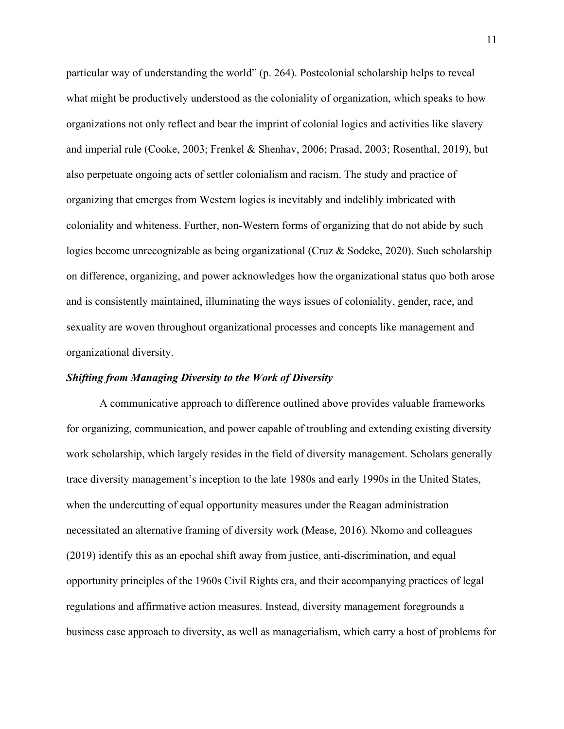particular way of understanding the world" (p. 264). Postcolonial scholarship helps to reveal what might be productively understood as the coloniality of organization, which speaks to how organizations not only reflect and bear the imprint of colonial logics and activities like slavery and imperial rule (Cooke, 2003; Frenkel & Shenhav, 2006; Prasad, 2003; Rosenthal, 2019), but also perpetuate ongoing acts of settler colonialism and racism. The study and practice of organizing that emerges from Western logics is inevitably and indelibly imbricated with coloniality and whiteness. Further, non-Western forms of organizing that do not abide by such logics become unrecognizable as being organizational (Cruz & Sodeke, 2020). Such scholarship on difference, organizing, and power acknowledges how the organizational status quo both arose and is consistently maintained, illuminating the ways issues of coloniality, gender, race, and sexuality are woven throughout organizational processes and concepts like management and organizational diversity.

## *Shifting from Managing Diversity to the Work of Diversity*

A communicative approach to difference outlined above provides valuable frameworks for organizing, communication, and power capable of troubling and extending existing diversity work scholarship, which largely resides in the field of diversity management. Scholars generally trace diversity management's inception to the late 1980s and early 1990s in the United States, when the undercutting of equal opportunity measures under the Reagan administration necessitated an alternative framing of diversity work (Mease, 2016). Nkomo and colleagues (2019) identify this as an epochal shift away from justice, anti-discrimination, and equal opportunity principles of the 1960s Civil Rights era, and their accompanying practices of legal regulations and affirmative action measures. Instead, diversity management foregrounds a business case approach to diversity, as well as managerialism, which carry a host of problems for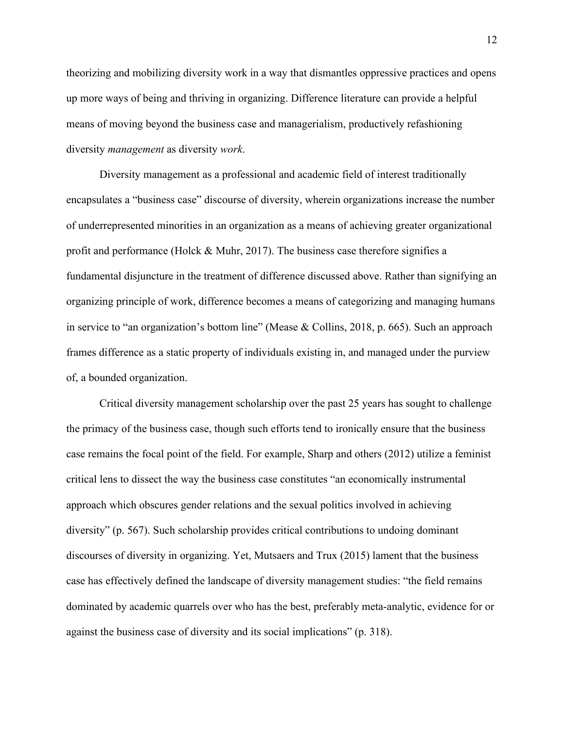theorizing and mobilizing diversity work in a way that dismantles oppressive practices and opens up more ways of being and thriving in organizing. Difference literature can provide a helpful means of moving beyond the business case and managerialism, productively refashioning diversity *management* as diversity *work*.

Diversity management as a professional and academic field of interest traditionally encapsulates a "business case" discourse of diversity, wherein organizations increase the number of underrepresented minorities in an organization as a means of achieving greater organizational profit and performance (Holck & Muhr, 2017). The business case therefore signifies a fundamental disjuncture in the treatment of difference discussed above. Rather than signifying an organizing principle of work, difference becomes a means of categorizing and managing humans in service to "an organization's bottom line" (Mease & Collins, 2018, p. 665). Such an approach frames difference as a static property of individuals existing in, and managed under the purview of, a bounded organization.

Critical diversity management scholarship over the past 25 years has sought to challenge the primacy of the business case, though such efforts tend to ironically ensure that the business case remains the focal point of the field. For example, Sharp and others (2012) utilize a feminist critical lens to dissect the way the business case constitutes "an economically instrumental approach which obscures gender relations and the sexual politics involved in achieving diversity" (p. 567). Such scholarship provides critical contributions to undoing dominant discourses of diversity in organizing. Yet, Mutsaers and Trux (2015) lament that the business case has effectively defined the landscape of diversity management studies: "the field remains dominated by academic quarrels over who has the best, preferably meta-analytic, evidence for or against the business case of diversity and its social implications" (p. 318).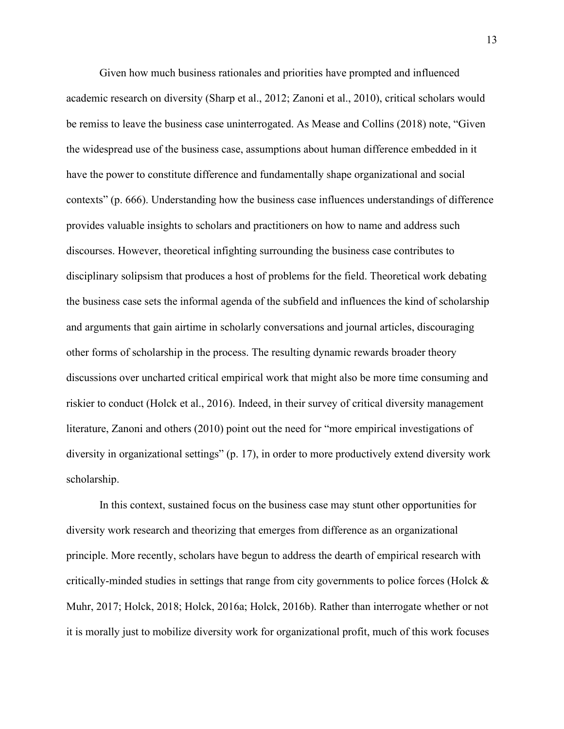Given how much business rationales and priorities have prompted and influenced academic research on diversity (Sharp et al., 2012; Zanoni et al., 2010), critical scholars would be remiss to leave the business case uninterrogated. As Mease and Collins (2018) note, "Given the widespread use of the business case, assumptions about human difference embedded in it have the power to constitute difference and fundamentally shape organizational and social contexts" (p. 666). Understanding how the business case influences understandings of difference provides valuable insights to scholars and practitioners on how to name and address such discourses. However, theoretical infighting surrounding the business case contributes to disciplinary solipsism that produces a host of problems for the field. Theoretical work debating the business case sets the informal agenda of the subfield and influences the kind of scholarship and arguments that gain airtime in scholarly conversations and journal articles, discouraging other forms of scholarship in the process. The resulting dynamic rewards broader theory discussions over uncharted critical empirical work that might also be more time consuming and riskier to conduct (Holck et al., 2016). Indeed, in their survey of critical diversity management literature, Zanoni and others (2010) point out the need for "more empirical investigations of diversity in organizational settings" (p. 17), in order to more productively extend diversity work scholarship.

In this context, sustained focus on the business case may stunt other opportunities for diversity work research and theorizing that emerges from difference as an organizational principle. More recently, scholars have begun to address the dearth of empirical research with critically-minded studies in settings that range from city governments to police forces (Holck & Muhr, 2017; Holck, 2018; Holck, 2016a; Holck, 2016b). Rather than interrogate whether or not it is morally just to mobilize diversity work for organizational profit, much of this work focuses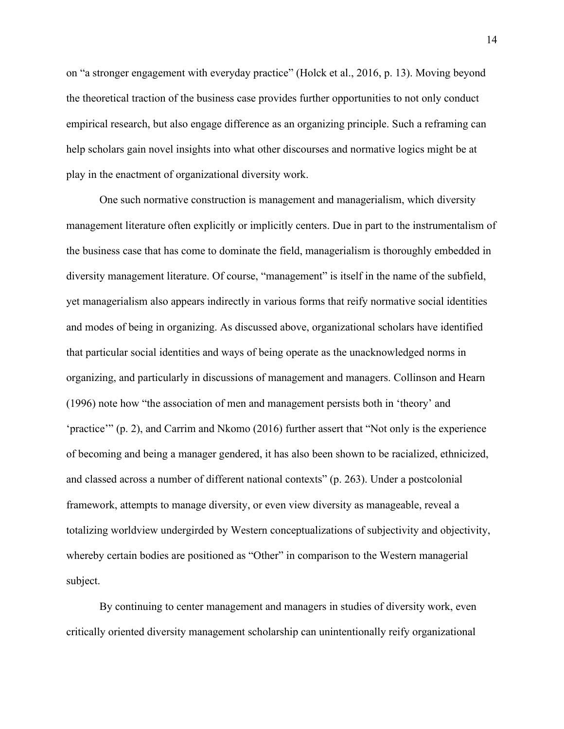on "a stronger engagement with everyday practice" (Holck et al., 2016, p. 13). Moving beyond the theoretical traction of the business case provides further opportunities to not only conduct empirical research, but also engage difference as an organizing principle. Such a reframing can help scholars gain novel insights into what other discourses and normative logics might be at play in the enactment of organizational diversity work.

One such normative construction is management and managerialism, which diversity management literature often explicitly or implicitly centers. Due in part to the instrumentalism of the business case that has come to dominate the field, managerialism is thoroughly embedded in diversity management literature. Of course, "management" is itself in the name of the subfield, yet managerialism also appears indirectly in various forms that reify normative social identities and modes of being in organizing. As discussed above, organizational scholars have identified that particular social identities and ways of being operate as the unacknowledged norms in organizing, and particularly in discussions of management and managers. Collinson and Hearn (1996) note how "the association of men and management persists both in 'theory' and 'practice'" (p. 2), and Carrim and Nkomo (2016) further assert that "Not only is the experience of becoming and being a manager gendered, it has also been shown to be racialized, ethnicized, and classed across a number of different national contexts" (p. 263). Under a postcolonial framework, attempts to manage diversity, or even view diversity as manageable, reveal a totalizing worldview undergirded by Western conceptualizations of subjectivity and objectivity, whereby certain bodies are positioned as "Other" in comparison to the Western managerial subject.

By continuing to center management and managers in studies of diversity work, even critically oriented diversity management scholarship can unintentionally reify organizational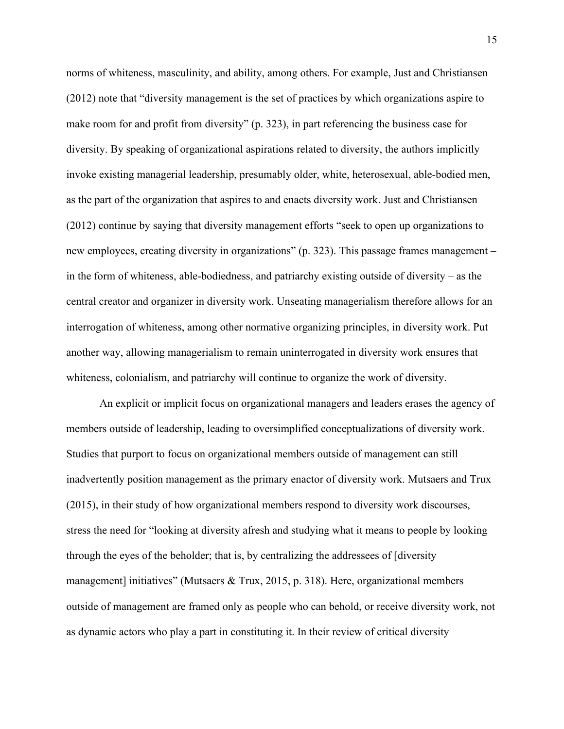norms of whiteness, masculinity, and ability, among others. For example, Just and Christiansen (2012) note that "diversity management is the set of practices by which organizations aspire to make room for and profit from diversity" (p. 323), in part referencing the business case for diversity. By speaking of organizational aspirations related to diversity, the authors implicitly invoke existing managerial leadership, presumably older, white, heterosexual, able-bodied men, as the part of the organization that aspires to and enacts diversity work. Just and Christiansen (2012) continue by saying that diversity management efforts "seek to open up organizations to new employees, creating diversity in organizations" (p. 323). This passage frames management – in the form of whiteness, able-bodiedness, and patriarchy existing outside of diversity – as the central creator and organizer in diversity work. Unseating managerialism therefore allows for an interrogation of whiteness, among other normative organizing principles, in diversity work. Put another way, allowing managerialism to remain uninterrogated in diversity work ensures that whiteness, colonialism, and patriarchy will continue to organize the work of diversity.

An explicit or implicit focus on organizational managers and leaders erases the agency of members outside of leadership, leading to oversimplified conceptualizations of diversity work. Studies that purport to focus on organizational members outside of management can still inadvertently position management as the primary enactor of diversity work. Mutsaers and Trux (2015), in their study of how organizational members respond to diversity work discourses, stress the need for "looking at diversity afresh and studying what it means to people by looking through the eyes of the beholder; that is, by centralizing the addressees of [diversity management] initiatives" (Mutsaers & Trux, 2015, p. 318). Here, organizational members outside of management are framed only as people who can behold, or receive diversity work, not as dynamic actors who play a part in constituting it. In their review of critical diversity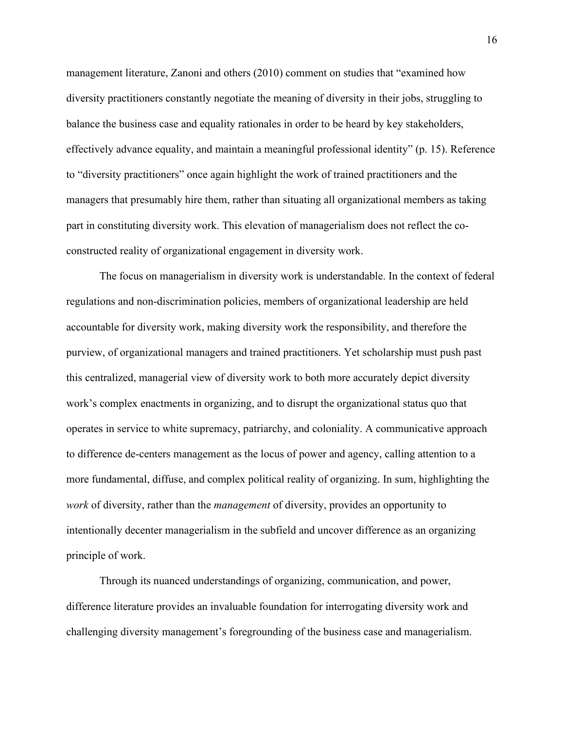management literature, Zanoni and others (2010) comment on studies that "examined how diversity practitioners constantly negotiate the meaning of diversity in their jobs, struggling to balance the business case and equality rationales in order to be heard by key stakeholders, effectively advance equality, and maintain a meaningful professional identity" (p. 15). Reference to "diversity practitioners" once again highlight the work of trained practitioners and the managers that presumably hire them, rather than situating all organizational members as taking part in constituting diversity work. This elevation of managerialism does not reflect the coconstructed reality of organizational engagement in diversity work.

The focus on managerialism in diversity work is understandable. In the context of federal regulations and non-discrimination policies, members of organizational leadership are held accountable for diversity work, making diversity work the responsibility, and therefore the purview, of organizational managers and trained practitioners. Yet scholarship must push past this centralized, managerial view of diversity work to both more accurately depict diversity work's complex enactments in organizing, and to disrupt the organizational status quo that operates in service to white supremacy, patriarchy, and coloniality. A communicative approach to difference de-centers management as the locus of power and agency, calling attention to a more fundamental, diffuse, and complex political reality of organizing. In sum, highlighting the *work* of diversity, rather than the *management* of diversity, provides an opportunity to intentionally decenter managerialism in the subfield and uncover difference as an organizing principle of work.

Through its nuanced understandings of organizing, communication, and power, difference literature provides an invaluable foundation for interrogating diversity work and challenging diversity management's foregrounding of the business case and managerialism.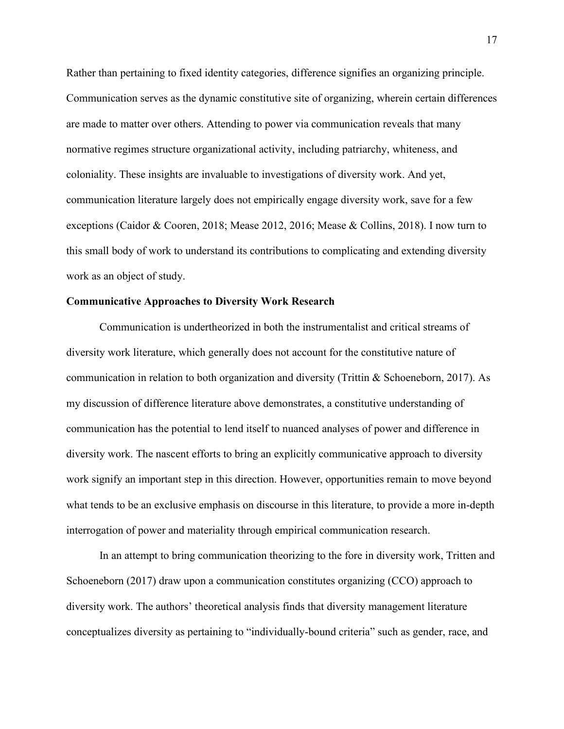Rather than pertaining to fixed identity categories, difference signifies an organizing principle. Communication serves as the dynamic constitutive site of organizing, wherein certain differences are made to matter over others. Attending to power via communication reveals that many normative regimes structure organizational activity, including patriarchy, whiteness, and coloniality. These insights are invaluable to investigations of diversity work. And yet, communication literature largely does not empirically engage diversity work, save for a few exceptions (Caidor & Cooren, 2018; Mease 2012, 2016; Mease & Collins, 2018). I now turn to this small body of work to understand its contributions to complicating and extending diversity work as an object of study.

# **Communicative Approaches to Diversity Work Research**

Communication is undertheorized in both the instrumentalist and critical streams of diversity work literature, which generally does not account for the constitutive nature of communication in relation to both organization and diversity (Trittin & Schoeneborn, 2017). As my discussion of difference literature above demonstrates, a constitutive understanding of communication has the potential to lend itself to nuanced analyses of power and difference in diversity work. The nascent efforts to bring an explicitly communicative approach to diversity work signify an important step in this direction. However, opportunities remain to move beyond what tends to be an exclusive emphasis on discourse in this literature, to provide a more in-depth interrogation of power and materiality through empirical communication research.

In an attempt to bring communication theorizing to the fore in diversity work, Tritten and Schoeneborn (2017) draw upon a communication constitutes organizing (CCO) approach to diversity work. The authors' theoretical analysis finds that diversity management literature conceptualizes diversity as pertaining to "individually-bound criteria" such as gender, race, and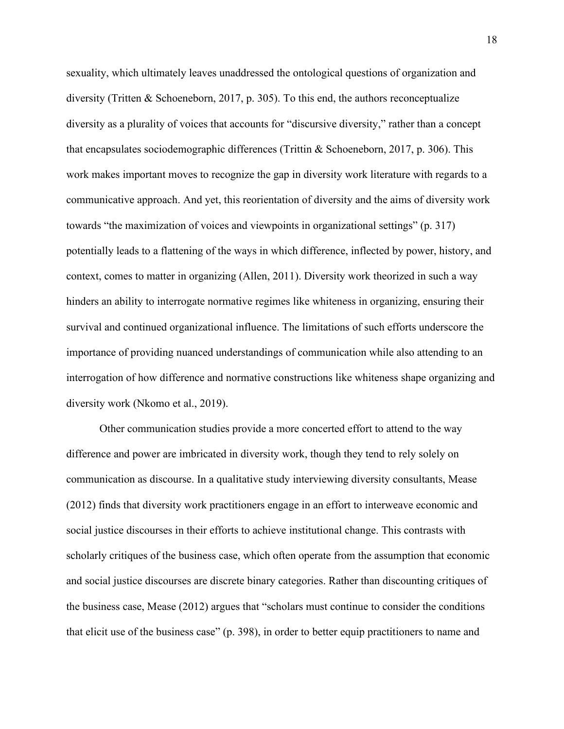sexuality, which ultimately leaves unaddressed the ontological questions of organization and diversity (Tritten & Schoeneborn, 2017, p. 305). To this end, the authors reconceptualize diversity as a plurality of voices that accounts for "discursive diversity," rather than a concept that encapsulates sociodemographic differences (Trittin & Schoeneborn, 2017, p. 306). This work makes important moves to recognize the gap in diversity work literature with regards to a communicative approach. And yet, this reorientation of diversity and the aims of diversity work towards "the maximization of voices and viewpoints in organizational settings" (p. 317) potentially leads to a flattening of the ways in which difference, inflected by power, history, and context, comes to matter in organizing (Allen, 2011). Diversity work theorized in such a way hinders an ability to interrogate normative regimes like whiteness in organizing, ensuring their survival and continued organizational influence. The limitations of such efforts underscore the importance of providing nuanced understandings of communication while also attending to an interrogation of how difference and normative constructions like whiteness shape organizing and diversity work (Nkomo et al., 2019).

Other communication studies provide a more concerted effort to attend to the way difference and power are imbricated in diversity work, though they tend to rely solely on communication as discourse. In a qualitative study interviewing diversity consultants, Mease (2012) finds that diversity work practitioners engage in an effort to interweave economic and social justice discourses in their efforts to achieve institutional change. This contrasts with scholarly critiques of the business case, which often operate from the assumption that economic and social justice discourses are discrete binary categories. Rather than discounting critiques of the business case, Mease (2012) argues that "scholars must continue to consider the conditions that elicit use of the business case" (p. 398), in order to better equip practitioners to name and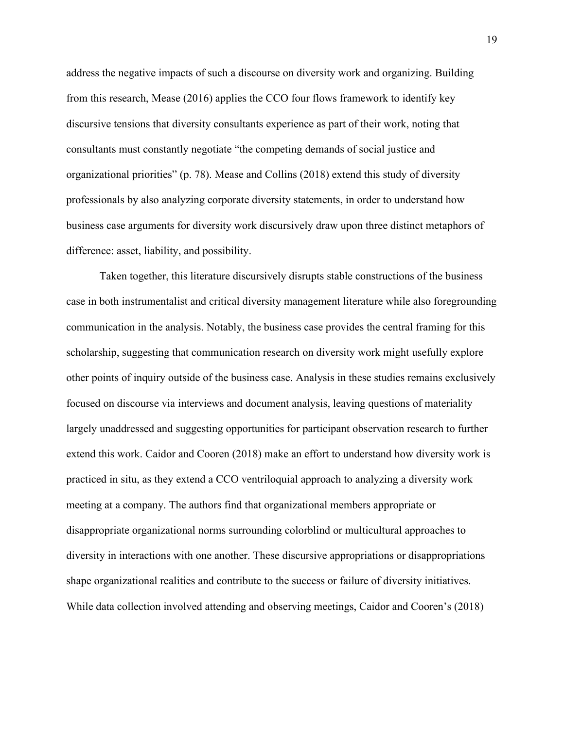address the negative impacts of such a discourse on diversity work and organizing. Building from this research, Mease (2016) applies the CCO four flows framework to identify key discursive tensions that diversity consultants experience as part of their work, noting that consultants must constantly negotiate "the competing demands of social justice and organizational priorities" (p. 78). Mease and Collins (2018) extend this study of diversity professionals by also analyzing corporate diversity statements, in order to understand how business case arguments for diversity work discursively draw upon three distinct metaphors of difference: asset, liability, and possibility.

Taken together, this literature discursively disrupts stable constructions of the business case in both instrumentalist and critical diversity management literature while also foregrounding communication in the analysis. Notably, the business case provides the central framing for this scholarship, suggesting that communication research on diversity work might usefully explore other points of inquiry outside of the business case. Analysis in these studies remains exclusively focused on discourse via interviews and document analysis, leaving questions of materiality largely unaddressed and suggesting opportunities for participant observation research to further extend this work. Caidor and Cooren (2018) make an effort to understand how diversity work is practiced in situ, as they extend a CCO ventriloquial approach to analyzing a diversity work meeting at a company. The authors find that organizational members appropriate or disappropriate organizational norms surrounding colorblind or multicultural approaches to diversity in interactions with one another. These discursive appropriations or disappropriations shape organizational realities and contribute to the success or failure of diversity initiatives. While data collection involved attending and observing meetings, Caidor and Cooren's (2018)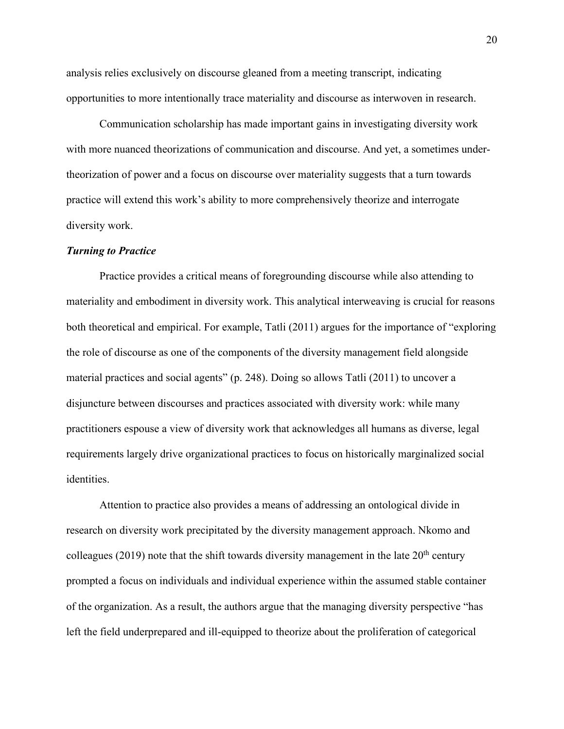analysis relies exclusively on discourse gleaned from a meeting transcript, indicating opportunities to more intentionally trace materiality and discourse as interwoven in research.

Communication scholarship has made important gains in investigating diversity work with more nuanced theorizations of communication and discourse. And yet, a sometimes undertheorization of power and a focus on discourse over materiality suggests that a turn towards practice will extend this work's ability to more comprehensively theorize and interrogate diversity work.

### *Turning to Practice*

Practice provides a critical means of foregrounding discourse while also attending to materiality and embodiment in diversity work. This analytical interweaving is crucial for reasons both theoretical and empirical. For example, Tatli (2011) argues for the importance of "exploring the role of discourse as one of the components of the diversity management field alongside material practices and social agents" (p. 248). Doing so allows Tatli (2011) to uncover a disjuncture between discourses and practices associated with diversity work: while many practitioners espouse a view of diversity work that acknowledges all humans as diverse, legal requirements largely drive organizational practices to focus on historically marginalized social identities.

Attention to practice also provides a means of addressing an ontological divide in research on diversity work precipitated by the diversity management approach. Nkomo and colleagues (2019) note that the shift towards diversity management in the late  $20<sup>th</sup>$  century prompted a focus on individuals and individual experience within the assumed stable container of the organization. As a result, the authors argue that the managing diversity perspective "has left the field underprepared and ill-equipped to theorize about the proliferation of categorical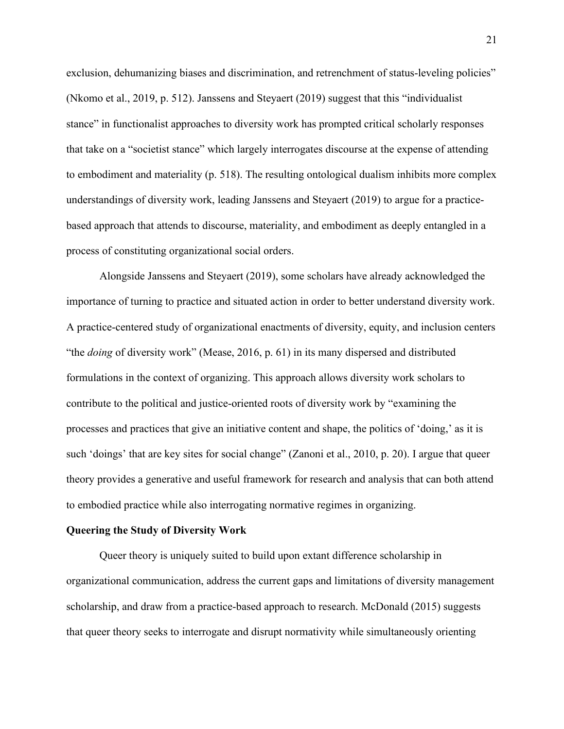exclusion, dehumanizing biases and discrimination, and retrenchment of status-leveling policies" (Nkomo et al., 2019, p. 512). Janssens and Steyaert (2019) suggest that this "individualist stance" in functionalist approaches to diversity work has prompted critical scholarly responses that take on a "societist stance" which largely interrogates discourse at the expense of attending to embodiment and materiality (p. 518). The resulting ontological dualism inhibits more complex understandings of diversity work, leading Janssens and Steyaert (2019) to argue for a practicebased approach that attends to discourse, materiality, and embodiment as deeply entangled in a process of constituting organizational social orders.

Alongside Janssens and Steyaert (2019), some scholars have already acknowledged the importance of turning to practice and situated action in order to better understand diversity work. A practice-centered study of organizational enactments of diversity, equity, and inclusion centers "the *doing* of diversity work" (Mease, 2016, p. 61) in its many dispersed and distributed formulations in the context of organizing. This approach allows diversity work scholars to contribute to the political and justice-oriented roots of diversity work by "examining the processes and practices that give an initiative content and shape, the politics of 'doing,' as it is such 'doings' that are key sites for social change" (Zanoni et al., 2010, p. 20). I argue that queer theory provides a generative and useful framework for research and analysis that can both attend to embodied practice while also interrogating normative regimes in organizing.

### **Queering the Study of Diversity Work**

Queer theory is uniquely suited to build upon extant difference scholarship in organizational communication, address the current gaps and limitations of diversity management scholarship, and draw from a practice-based approach to research. McDonald (2015) suggests that queer theory seeks to interrogate and disrupt normativity while simultaneously orienting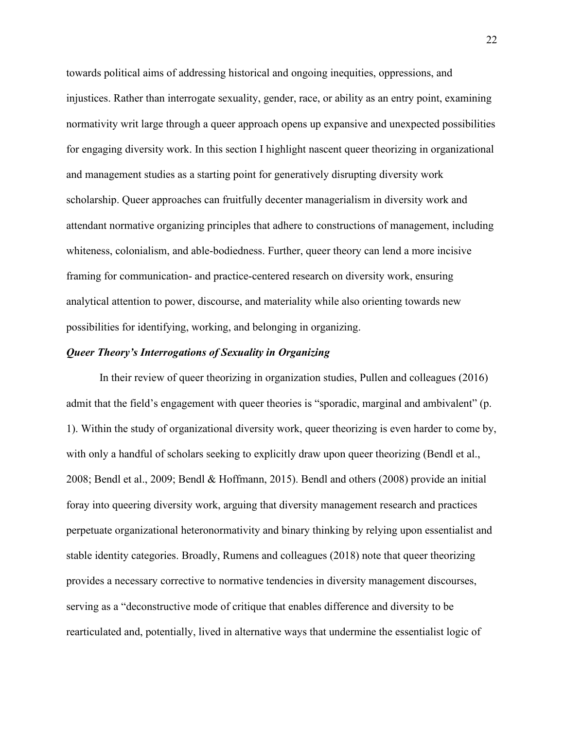towards political aims of addressing historical and ongoing inequities, oppressions, and injustices. Rather than interrogate sexuality, gender, race, or ability as an entry point, examining normativity writ large through a queer approach opens up expansive and unexpected possibilities for engaging diversity work. In this section I highlight nascent queer theorizing in organizational and management studies as a starting point for generatively disrupting diversity work scholarship. Queer approaches can fruitfully decenter managerialism in diversity work and attendant normative organizing principles that adhere to constructions of management, including whiteness, colonialism, and able-bodiedness. Further, queer theory can lend a more incisive framing for communication- and practice-centered research on diversity work, ensuring analytical attention to power, discourse, and materiality while also orienting towards new possibilities for identifying, working, and belonging in organizing.

# *Queer Theory's Interrogations of Sexuality in Organizing*

In their review of queer theorizing in organization studies, Pullen and colleagues (2016) admit that the field's engagement with queer theories is "sporadic, marginal and ambivalent" (p. 1). Within the study of organizational diversity work, queer theorizing is even harder to come by, with only a handful of scholars seeking to explicitly draw upon queer theorizing (Bendl et al., 2008; Bendl et al., 2009; Bendl & Hoffmann, 2015). Bendl and others (2008) provide an initial foray into queering diversity work, arguing that diversity management research and practices perpetuate organizational heteronormativity and binary thinking by relying upon essentialist and stable identity categories. Broadly, Rumens and colleagues (2018) note that queer theorizing provides a necessary corrective to normative tendencies in diversity management discourses, serving as a "deconstructive mode of critique that enables difference and diversity to be rearticulated and, potentially, lived in alternative ways that undermine the essentialist logic of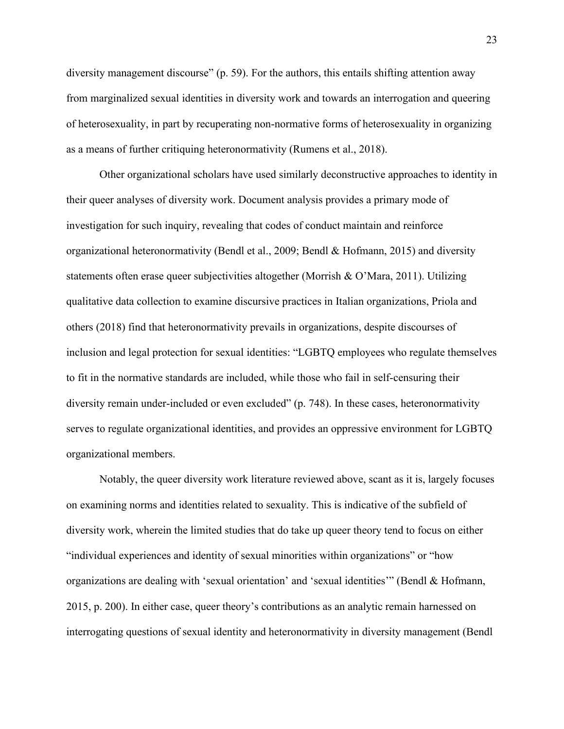diversity management discourse" (p. 59). For the authors, this entails shifting attention away from marginalized sexual identities in diversity work and towards an interrogation and queering of heterosexuality, in part by recuperating non-normative forms of heterosexuality in organizing as a means of further critiquing heteronormativity (Rumens et al., 2018).

Other organizational scholars have used similarly deconstructive approaches to identity in their queer analyses of diversity work. Document analysis provides a primary mode of investigation for such inquiry, revealing that codes of conduct maintain and reinforce organizational heteronormativity (Bendl et al., 2009; Bendl & Hofmann, 2015) and diversity statements often erase queer subjectivities altogether (Morrish & O'Mara, 2011). Utilizing qualitative data collection to examine discursive practices in Italian organizations, Priola and others (2018) find that heteronormativity prevails in organizations, despite discourses of inclusion and legal protection for sexual identities: "LGBTQ employees who regulate themselves to fit in the normative standards are included, while those who fail in self-censuring their diversity remain under-included or even excluded" (p. 748). In these cases, heteronormativity serves to regulate organizational identities, and provides an oppressive environment for LGBTQ organizational members.

Notably, the queer diversity work literature reviewed above, scant as it is, largely focuses on examining norms and identities related to sexuality. This is indicative of the subfield of diversity work, wherein the limited studies that do take up queer theory tend to focus on either "individual experiences and identity of sexual minorities within organizations" or "how organizations are dealing with 'sexual orientation' and 'sexual identities'" (Bendl & Hofmann, 2015, p. 200). In either case, queer theory's contributions as an analytic remain harnessed on interrogating questions of sexual identity and heteronormativity in diversity management (Bendl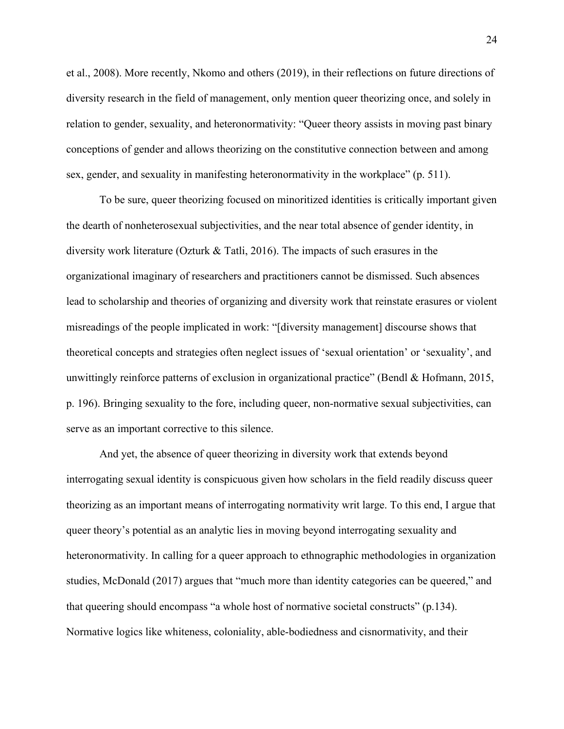et al., 2008). More recently, Nkomo and others (2019), in their reflections on future directions of diversity research in the field of management, only mention queer theorizing once, and solely in relation to gender, sexuality, and heteronormativity: "Queer theory assists in moving past binary conceptions of gender and allows theorizing on the constitutive connection between and among sex, gender, and sexuality in manifesting heteronormativity in the workplace" (p. 511).

To be sure, queer theorizing focused on minoritized identities is critically important given the dearth of nonheterosexual subjectivities, and the near total absence of gender identity, in diversity work literature (Ozturk & Tatli, 2016). The impacts of such erasures in the organizational imaginary of researchers and practitioners cannot be dismissed. Such absences lead to scholarship and theories of organizing and diversity work that reinstate erasures or violent misreadings of the people implicated in work: "[diversity management] discourse shows that theoretical concepts and strategies often neglect issues of 'sexual orientation' or 'sexuality', and unwittingly reinforce patterns of exclusion in organizational practice" (Bendl & Hofmann, 2015, p. 196). Bringing sexuality to the fore, including queer, non-normative sexual subjectivities, can serve as an important corrective to this silence.

And yet, the absence of queer theorizing in diversity work that extends beyond interrogating sexual identity is conspicuous given how scholars in the field readily discuss queer theorizing as an important means of interrogating normativity writ large. To this end, I argue that queer theory's potential as an analytic lies in moving beyond interrogating sexuality and heteronormativity. In calling for a queer approach to ethnographic methodologies in organization studies, McDonald (2017) argues that "much more than identity categories can be queered," and that queering should encompass "a whole host of normative societal constructs" (p.134). Normative logics like whiteness, coloniality, able-bodiedness and cisnormativity, and their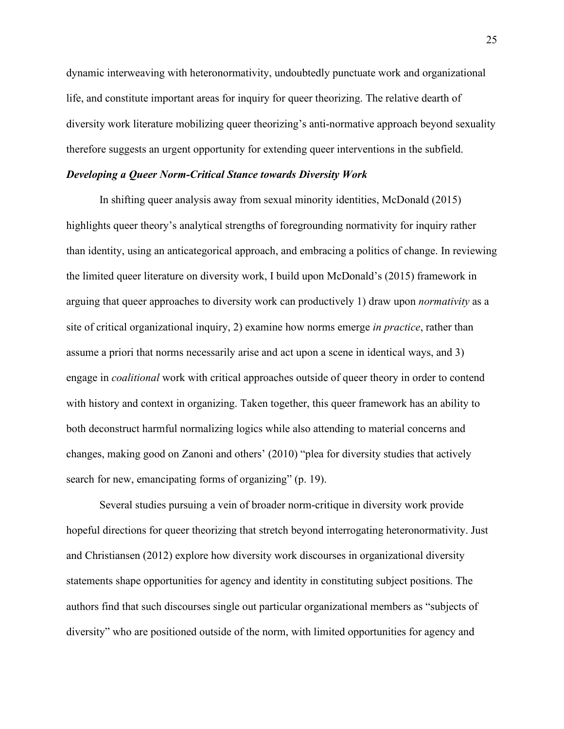dynamic interweaving with heteronormativity, undoubtedly punctuate work and organizational life, and constitute important areas for inquiry for queer theorizing. The relative dearth of diversity work literature mobilizing queer theorizing's anti-normative approach beyond sexuality therefore suggests an urgent opportunity for extending queer interventions in the subfield.

## *Developing a Queer Norm-Critical Stance towards Diversity Work*

In shifting queer analysis away from sexual minority identities, McDonald (2015) highlights queer theory's analytical strengths of foregrounding normativity for inquiry rather than identity, using an anticategorical approach, and embracing a politics of change. In reviewing the limited queer literature on diversity work, I build upon McDonald's (2015) framework in arguing that queer approaches to diversity work can productively 1) draw upon *normativity* as a site of critical organizational inquiry, 2) examine how norms emerge *in practice*, rather than assume a priori that norms necessarily arise and act upon a scene in identical ways, and 3) engage in *coalitional* work with critical approaches outside of queer theory in order to contend with history and context in organizing. Taken together, this queer framework has an ability to both deconstruct harmful normalizing logics while also attending to material concerns and changes, making good on Zanoni and others' (2010) "plea for diversity studies that actively search for new, emancipating forms of organizing" (p. 19).

Several studies pursuing a vein of broader norm-critique in diversity work provide hopeful directions for queer theorizing that stretch beyond interrogating heteronormativity. Just and Christiansen (2012) explore how diversity work discourses in organizational diversity statements shape opportunities for agency and identity in constituting subject positions. The authors find that such discourses single out particular organizational members as "subjects of diversity" who are positioned outside of the norm, with limited opportunities for agency and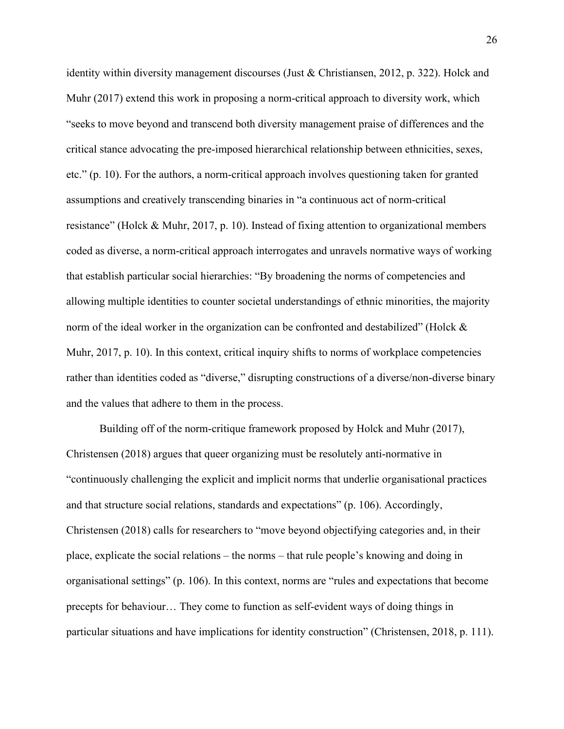identity within diversity management discourses (Just & Christiansen, 2012, p. 322). Holck and Muhr (2017) extend this work in proposing a norm-critical approach to diversity work, which "seeks to move beyond and transcend both diversity management praise of differences and the critical stance advocating the pre-imposed hierarchical relationship between ethnicities, sexes, etc." (p. 10). For the authors, a norm-critical approach involves questioning taken for granted assumptions and creatively transcending binaries in "a continuous act of norm-critical resistance" (Holck & Muhr, 2017, p. 10). Instead of fixing attention to organizational members coded as diverse, a norm-critical approach interrogates and unravels normative ways of working that establish particular social hierarchies: "By broadening the norms of competencies and allowing multiple identities to counter societal understandings of ethnic minorities, the majority norm of the ideal worker in the organization can be confronted and destabilized" (Holck & Muhr, 2017, p. 10). In this context, critical inquiry shifts to norms of workplace competencies rather than identities coded as "diverse," disrupting constructions of a diverse/non-diverse binary and the values that adhere to them in the process.

Building off of the norm-critique framework proposed by Holck and Muhr (2017), Christensen (2018) argues that queer organizing must be resolutely anti-normative in "continuously challenging the explicit and implicit norms that underlie organisational practices and that structure social relations, standards and expectations" (p. 106). Accordingly, Christensen (2018) calls for researchers to "move beyond objectifying categories and, in their place, explicate the social relations – the norms – that rule people's knowing and doing in organisational settings" (p. 106). In this context, norms are "rules and expectations that become precepts for behaviour… They come to function as self-evident ways of doing things in particular situations and have implications for identity construction" (Christensen, 2018, p. 111).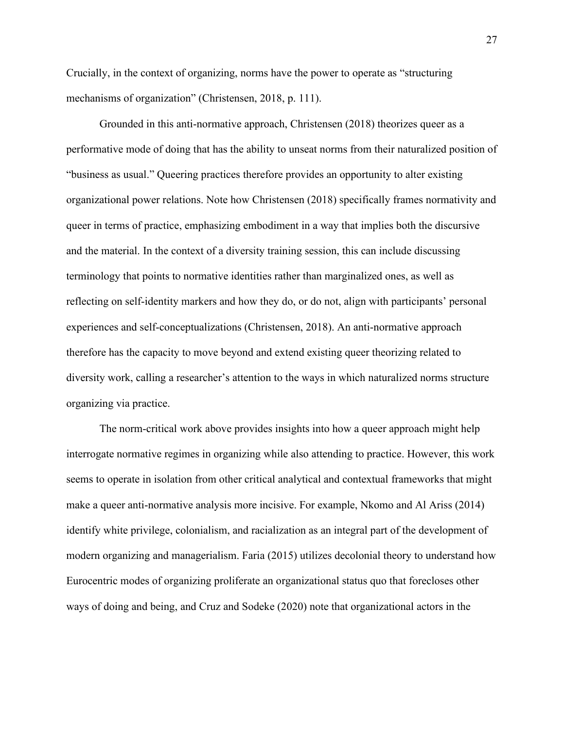Crucially, in the context of organizing, norms have the power to operate as "structuring mechanisms of organization" (Christensen, 2018, p. 111).

Grounded in this anti-normative approach, Christensen (2018) theorizes queer as a performative mode of doing that has the ability to unseat norms from their naturalized position of "business as usual." Queering practices therefore provides an opportunity to alter existing organizational power relations. Note how Christensen (2018) specifically frames normativity and queer in terms of practice, emphasizing embodiment in a way that implies both the discursive and the material. In the context of a diversity training session, this can include discussing terminology that points to normative identities rather than marginalized ones, as well as reflecting on self-identity markers and how they do, or do not, align with participants' personal experiences and self-conceptualizations (Christensen, 2018). An anti-normative approach therefore has the capacity to move beyond and extend existing queer theorizing related to diversity work, calling a researcher's attention to the ways in which naturalized norms structure organizing via practice.

The norm-critical work above provides insights into how a queer approach might help interrogate normative regimes in organizing while also attending to practice. However, this work seems to operate in isolation from other critical analytical and contextual frameworks that might make a queer anti-normative analysis more incisive. For example, Nkomo and Al Ariss (2014) identify white privilege, colonialism, and racialization as an integral part of the development of modern organizing and managerialism. Faria (2015) utilizes decolonial theory to understand how Eurocentric modes of organizing proliferate an organizational status quo that forecloses other ways of doing and being, and Cruz and Sodeke (2020) note that organizational actors in the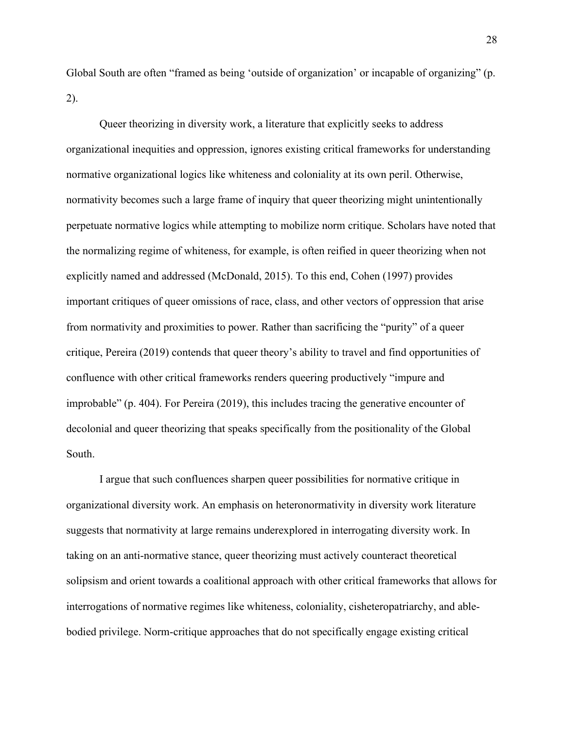Global South are often "framed as being 'outside of organization' or incapable of organizing" (p. 2).

Queer theorizing in diversity work, a literature that explicitly seeks to address organizational inequities and oppression, ignores existing critical frameworks for understanding normative organizational logics like whiteness and coloniality at its own peril. Otherwise, normativity becomes such a large frame of inquiry that queer theorizing might unintentionally perpetuate normative logics while attempting to mobilize norm critique. Scholars have noted that the normalizing regime of whiteness, for example, is often reified in queer theorizing when not explicitly named and addressed (McDonald, 2015). To this end, Cohen (1997) provides important critiques of queer omissions of race, class, and other vectors of oppression that arise from normativity and proximities to power. Rather than sacrificing the "purity" of a queer critique, Pereira (2019) contends that queer theory's ability to travel and find opportunities of confluence with other critical frameworks renders queering productively "impure and improbable" (p. 404). For Pereira (2019), this includes tracing the generative encounter of decolonial and queer theorizing that speaks specifically from the positionality of the Global South.

I argue that such confluences sharpen queer possibilities for normative critique in organizational diversity work. An emphasis on heteronormativity in diversity work literature suggests that normativity at large remains underexplored in interrogating diversity work. In taking on an anti-normative stance, queer theorizing must actively counteract theoretical solipsism and orient towards a coalitional approach with other critical frameworks that allows for interrogations of normative regimes like whiteness, coloniality, cisheteropatriarchy, and ablebodied privilege. Norm-critique approaches that do not specifically engage existing critical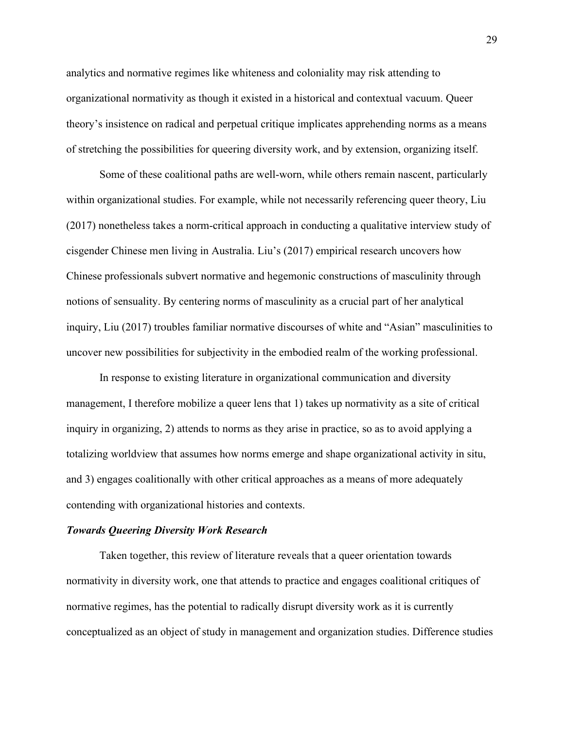analytics and normative regimes like whiteness and coloniality may risk attending to organizational normativity as though it existed in a historical and contextual vacuum. Queer theory's insistence on radical and perpetual critique implicates apprehending norms as a means of stretching the possibilities for queering diversity work, and by extension, organizing itself.

Some of these coalitional paths are well-worn, while others remain nascent, particularly within organizational studies. For example, while not necessarily referencing queer theory, Liu (2017) nonetheless takes a norm-critical approach in conducting a qualitative interview study of cisgender Chinese men living in Australia. Liu's (2017) empirical research uncovers how Chinese professionals subvert normative and hegemonic constructions of masculinity through notions of sensuality. By centering norms of masculinity as a crucial part of her analytical inquiry, Liu (2017) troubles familiar normative discourses of white and "Asian" masculinities to uncover new possibilities for subjectivity in the embodied realm of the working professional.

In response to existing literature in organizational communication and diversity management, I therefore mobilize a queer lens that 1) takes up normativity as a site of critical inquiry in organizing, 2) attends to norms as they arise in practice, so as to avoid applying a totalizing worldview that assumes how norms emerge and shape organizational activity in situ, and 3) engages coalitionally with other critical approaches as a means of more adequately contending with organizational histories and contexts.

### *Towards Queering Diversity Work Research*

Taken together, this review of literature reveals that a queer orientation towards normativity in diversity work, one that attends to practice and engages coalitional critiques of normative regimes, has the potential to radically disrupt diversity work as it is currently conceptualized as an object of study in management and organization studies. Difference studies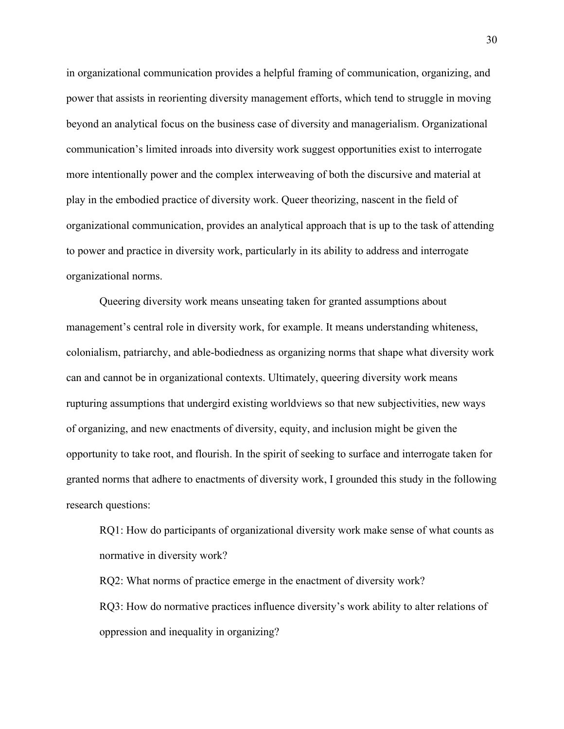in organizational communication provides a helpful framing of communication, organizing, and power that assists in reorienting diversity management efforts, which tend to struggle in moving beyond an analytical focus on the business case of diversity and managerialism. Organizational communication's limited inroads into diversity work suggest opportunities exist to interrogate more intentionally power and the complex interweaving of both the discursive and material at play in the embodied practice of diversity work. Queer theorizing, nascent in the field of organizational communication, provides an analytical approach that is up to the task of attending to power and practice in diversity work, particularly in its ability to address and interrogate organizational norms.

Queering diversity work means unseating taken for granted assumptions about management's central role in diversity work, for example. It means understanding whiteness, colonialism, patriarchy, and able-bodiedness as organizing norms that shape what diversity work can and cannot be in organizational contexts. Ultimately, queering diversity work means rupturing assumptions that undergird existing worldviews so that new subjectivities, new ways of organizing, and new enactments of diversity, equity, and inclusion might be given the opportunity to take root, and flourish. In the spirit of seeking to surface and interrogate taken for granted norms that adhere to enactments of diversity work, I grounded this study in the following research questions:

RQ1: How do participants of organizational diversity work make sense of what counts as normative in diversity work?

RQ2: What norms of practice emerge in the enactment of diversity work? RQ3: How do normative practices influence diversity's work ability to alter relations of oppression and inequality in organizing?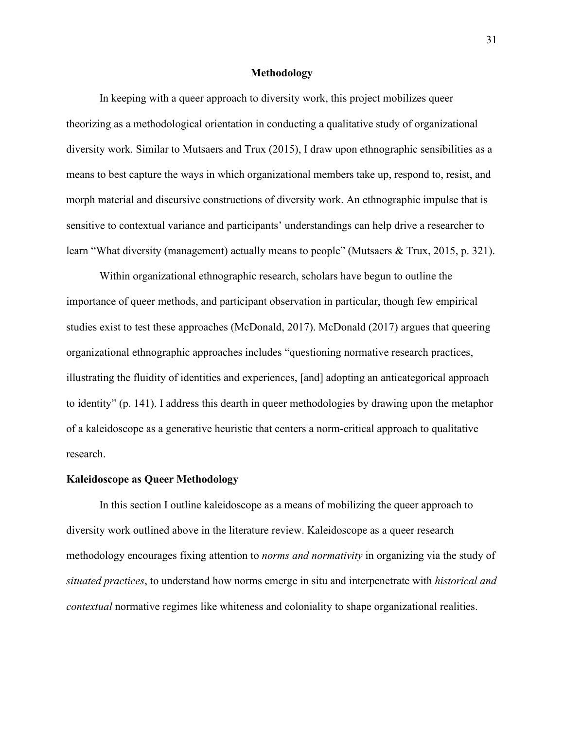# **Methodology**

In keeping with a queer approach to diversity work, this project mobilizes queer theorizing as a methodological orientation in conducting a qualitative study of organizational diversity work. Similar to Mutsaers and Trux (2015), I draw upon ethnographic sensibilities as a means to best capture the ways in which organizational members take up, respond to, resist, and morph material and discursive constructions of diversity work. An ethnographic impulse that is sensitive to contextual variance and participants' understandings can help drive a researcher to learn "What diversity (management) actually means to people" (Mutsaers & Trux, 2015, p. 321).

Within organizational ethnographic research, scholars have begun to outline the importance of queer methods, and participant observation in particular, though few empirical studies exist to test these approaches (McDonald, 2017). McDonald (2017) argues that queering organizational ethnographic approaches includes "questioning normative research practices, illustrating the fluidity of identities and experiences, [and] adopting an anticategorical approach to identity" (p. 141). I address this dearth in queer methodologies by drawing upon the metaphor of a kaleidoscope as a generative heuristic that centers a norm-critical approach to qualitative research.

## **Kaleidoscope as Queer Methodology**

In this section I outline kaleidoscope as a means of mobilizing the queer approach to diversity work outlined above in the literature review. Kaleidoscope as a queer research methodology encourages fixing attention to *norms and normativity* in organizing via the study of *situated practices*, to understand how norms emerge in situ and interpenetrate with *historical and contextual* normative regimes like whiteness and coloniality to shape organizational realities.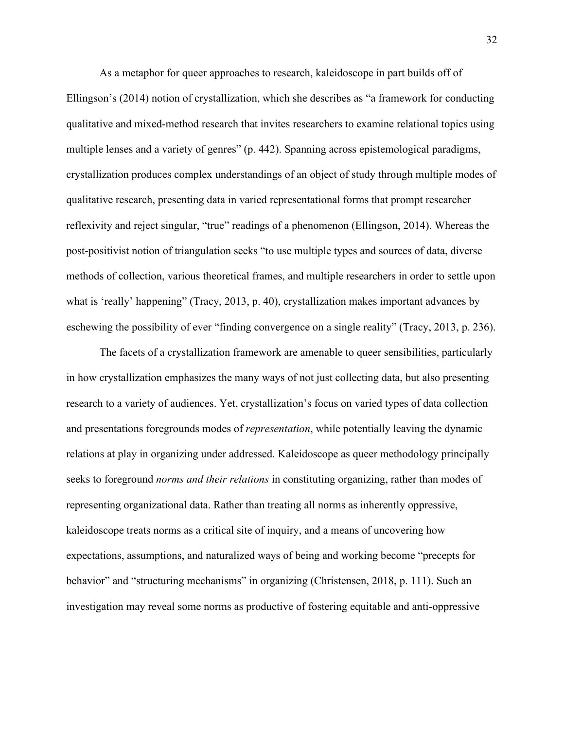As a metaphor for queer approaches to research, kaleidoscope in part builds off of Ellingson's (2014) notion of crystallization, which she describes as "a framework for conducting qualitative and mixed-method research that invites researchers to examine relational topics using multiple lenses and a variety of genres" (p. 442). Spanning across epistemological paradigms, crystallization produces complex understandings of an object of study through multiple modes of qualitative research, presenting data in varied representational forms that prompt researcher reflexivity and reject singular, "true" readings of a phenomenon (Ellingson, 2014). Whereas the post-positivist notion of triangulation seeks "to use multiple types and sources of data, diverse methods of collection, various theoretical frames, and multiple researchers in order to settle upon what is 'really' happening" (Tracy, 2013, p. 40), crystallization makes important advances by eschewing the possibility of ever "finding convergence on a single reality" (Tracy, 2013, p. 236).

The facets of a crystallization framework are amenable to queer sensibilities, particularly in how crystallization emphasizes the many ways of not just collecting data, but also presenting research to a variety of audiences. Yet, crystallization's focus on varied types of data collection and presentations foregrounds modes of *representation*, while potentially leaving the dynamic relations at play in organizing under addressed. Kaleidoscope as queer methodology principally seeks to foreground *norms and their relations* in constituting organizing, rather than modes of representing organizational data. Rather than treating all norms as inherently oppressive, kaleidoscope treats norms as a critical site of inquiry, and a means of uncovering how expectations, assumptions, and naturalized ways of being and working become "precepts for behavior" and "structuring mechanisms" in organizing (Christensen, 2018, p. 111). Such an investigation may reveal some norms as productive of fostering equitable and anti-oppressive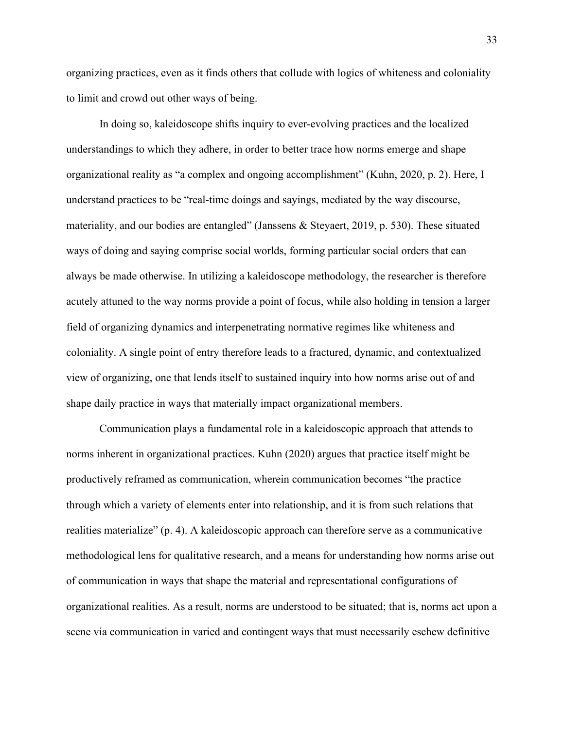organizing practices, even as it finds others that collude with logics of whiteness and coloniality to limit and crowd out other ways of being.

In doing so, kaleidoscope shifts inquiry to ever-evolving practices and the localized understandings to which they adhere, in order to better trace how norms emerge and shape organizational reality as "a complex and ongoing accomplishment" (Kuhn, 2020, p. 2). Here, I understand practices to be "real-time doings and sayings, mediated by the way discourse, materiality, and our bodies are entangled" (Janssens & Steyaert, 2019, p. 530). These situated ways of doing and saying comprise social worlds, forming particular social orders that can always be made otherwise. In utilizing a kaleidoscope methodology, the researcher is therefore acutely attuned to the way norms provide a point of focus, while also holding in tension a larger field of organizing dynamics and interpenetrating normative regimes like whiteness and coloniality. A single point of entry therefore leads to a fractured, dynamic, and contextualized view of organizing, one that lends itself to sustained inquiry into how norms arise out of and shape daily practice in ways that materially impact organizational members.

Communication plays a fundamental role in a kaleidoscopic approach that attends to norms inherent in organizational practices. Kuhn (2020) argues that practice itself might be productively reframed as communication, wherein communication becomes "the practice through which a variety of elements enter into relationship, and it is from such relations that realities materialize" (p. 4). A kaleidoscopic approach can therefore serve as a communicative methodological lens for qualitative research, and a means for understanding how norms arise out of communication in ways that shape the material and representational configurations of organizational realities. As a result, norms are understood to be situated; that is, norms act upon a scene via communication in varied and contingent ways that must necessarily eschew definitive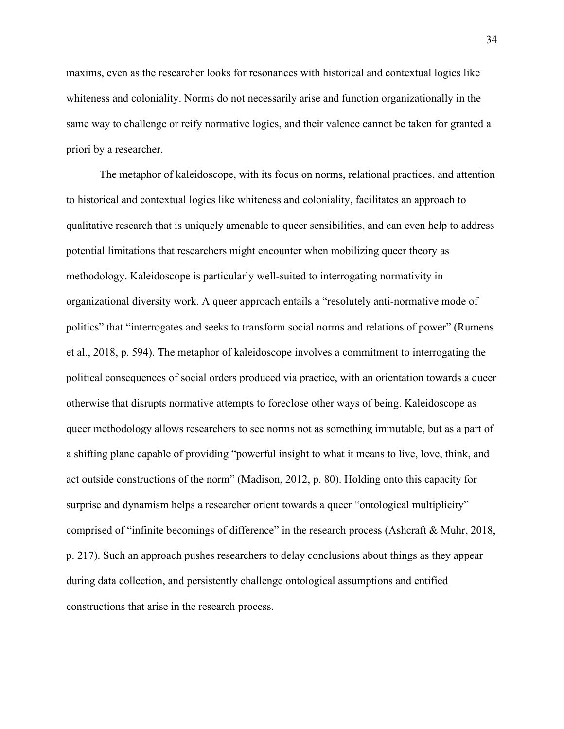maxims, even as the researcher looks for resonances with historical and contextual logics like whiteness and coloniality. Norms do not necessarily arise and function organizationally in the same way to challenge or reify normative logics, and their valence cannot be taken for granted a priori by a researcher.

The metaphor of kaleidoscope, with its focus on norms, relational practices, and attention to historical and contextual logics like whiteness and coloniality, facilitates an approach to qualitative research that is uniquely amenable to queer sensibilities, and can even help to address potential limitations that researchers might encounter when mobilizing queer theory as methodology. Kaleidoscope is particularly well-suited to interrogating normativity in organizational diversity work. A queer approach entails a "resolutely anti-normative mode of politics" that "interrogates and seeks to transform social norms and relations of power" (Rumens et al., 2018, p. 594). The metaphor of kaleidoscope involves a commitment to interrogating the political consequences of social orders produced via practice, with an orientation towards a queer otherwise that disrupts normative attempts to foreclose other ways of being. Kaleidoscope as queer methodology allows researchers to see norms not as something immutable, but as a part of a shifting plane capable of providing "powerful insight to what it means to live, love, think, and act outside constructions of the norm" (Madison, 2012, p. 80). Holding onto this capacity for surprise and dynamism helps a researcher orient towards a queer "ontological multiplicity" comprised of "infinite becomings of difference" in the research process (Ashcraft & Muhr, 2018, p. 217). Such an approach pushes researchers to delay conclusions about things as they appear during data collection, and persistently challenge ontological assumptions and entified constructions that arise in the research process.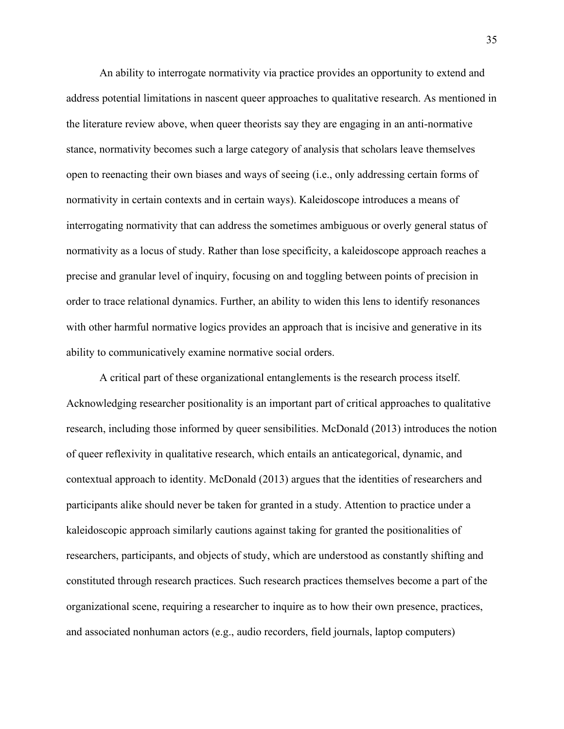An ability to interrogate normativity via practice provides an opportunity to extend and address potential limitations in nascent queer approaches to qualitative research. As mentioned in the literature review above, when queer theorists say they are engaging in an anti-normative stance, normativity becomes such a large category of analysis that scholars leave themselves open to reenacting their own biases and ways of seeing (i.e., only addressing certain forms of normativity in certain contexts and in certain ways). Kaleidoscope introduces a means of interrogating normativity that can address the sometimes ambiguous or overly general status of normativity as a locus of study. Rather than lose specificity, a kaleidoscope approach reaches a precise and granular level of inquiry, focusing on and toggling between points of precision in order to trace relational dynamics. Further, an ability to widen this lens to identify resonances with other harmful normative logics provides an approach that is incisive and generative in its ability to communicatively examine normative social orders.

A critical part of these organizational entanglements is the research process itself. Acknowledging researcher positionality is an important part of critical approaches to qualitative research, including those informed by queer sensibilities. McDonald (2013) introduces the notion of queer reflexivity in qualitative research, which entails an anticategorical, dynamic, and contextual approach to identity. McDonald (2013) argues that the identities of researchers and participants alike should never be taken for granted in a study. Attention to practice under a kaleidoscopic approach similarly cautions against taking for granted the positionalities of researchers, participants, and objects of study, which are understood as constantly shifting and constituted through research practices. Such research practices themselves become a part of the organizational scene, requiring a researcher to inquire as to how their own presence, practices, and associated nonhuman actors (e.g., audio recorders, field journals, laptop computers)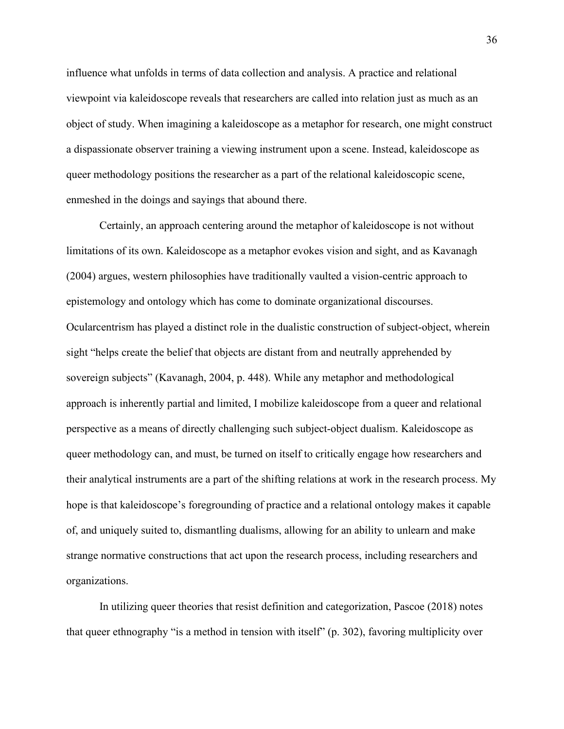influence what unfolds in terms of data collection and analysis. A practice and relational viewpoint via kaleidoscope reveals that researchers are called into relation just as much as an object of study. When imagining a kaleidoscope as a metaphor for research, one might construct a dispassionate observer training a viewing instrument upon a scene. Instead, kaleidoscope as queer methodology positions the researcher as a part of the relational kaleidoscopic scene, enmeshed in the doings and sayings that abound there.

Certainly, an approach centering around the metaphor of kaleidoscope is not without limitations of its own. Kaleidoscope as a metaphor evokes vision and sight, and as Kavanagh (2004) argues, western philosophies have traditionally vaulted a vision-centric approach to epistemology and ontology which has come to dominate organizational discourses. Ocularcentrism has played a distinct role in the dualistic construction of subject-object, wherein sight "helps create the belief that objects are distant from and neutrally apprehended by sovereign subjects" (Kavanagh, 2004, p. 448). While any metaphor and methodological approach is inherently partial and limited, I mobilize kaleidoscope from a queer and relational perspective as a means of directly challenging such subject-object dualism. Kaleidoscope as queer methodology can, and must, be turned on itself to critically engage how researchers and their analytical instruments are a part of the shifting relations at work in the research process. My hope is that kaleidoscope's foregrounding of practice and a relational ontology makes it capable of, and uniquely suited to, dismantling dualisms, allowing for an ability to unlearn and make strange normative constructions that act upon the research process, including researchers and organizations.

In utilizing queer theories that resist definition and categorization, Pascoe (2018) notes that queer ethnography "is a method in tension with itself" (p. 302), favoring multiplicity over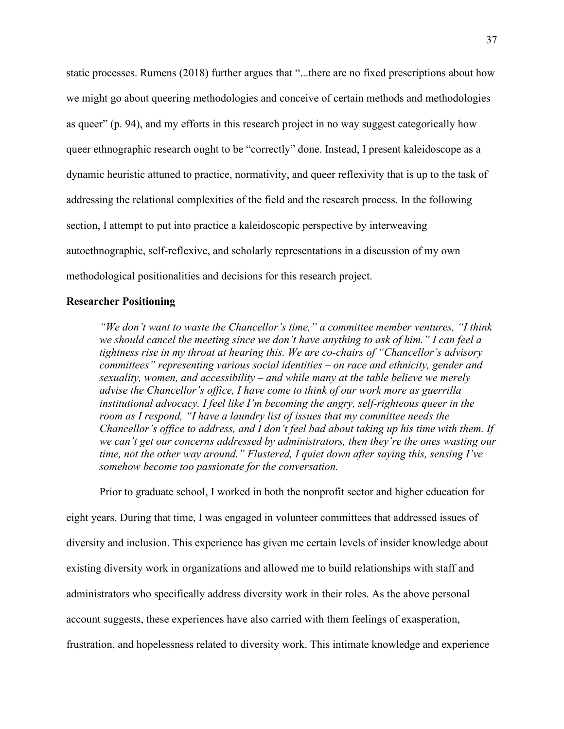static processes. Rumens (2018) further argues that "...there are no fixed prescriptions about how we might go about queering methodologies and conceive of certain methods and methodologies as queer" (p. 94), and my efforts in this research project in no way suggest categorically how queer ethnographic research ought to be "correctly" done. Instead, I present kaleidoscope as a dynamic heuristic attuned to practice, normativity, and queer reflexivity that is up to the task of addressing the relational complexities of the field and the research process. In the following section, I attempt to put into practice a kaleidoscopic perspective by interweaving autoethnographic, self-reflexive, and scholarly representations in a discussion of my own methodological positionalities and decisions for this research project.

## **Researcher Positioning**

*"We don't want to waste the Chancellor's time," a committee member ventures, "I think we should cancel the meeting since we don't have anything to ask of him." I can feel a tightness rise in my throat at hearing this. We are co-chairs of "Chancellor's advisory committees" representing various social identities – on race and ethnicity, gender and sexuality, women, and accessibility – and while many at the table believe we merely advise the Chancellor's office, I have come to think of our work more as guerrilla institutional advocacy. I feel like I'm becoming the angry, self-righteous queer in the room as I respond, "I have a laundry list of issues that my committee needs the Chancellor's office to address, and I don't feel bad about taking up his time with them. If we can't get our concerns addressed by administrators, then they're the ones wasting our time, not the other way around." Flustered, I quiet down after saying this, sensing I've somehow become too passionate for the conversation.*

Prior to graduate school, I worked in both the nonprofit sector and higher education for eight years. During that time, I was engaged in volunteer committees that addressed issues of diversity and inclusion. This experience has given me certain levels of insider knowledge about existing diversity work in organizations and allowed me to build relationships with staff and administrators who specifically address diversity work in their roles. As the above personal account suggests, these experiences have also carried with them feelings of exasperation, frustration, and hopelessness related to diversity work. This intimate knowledge and experience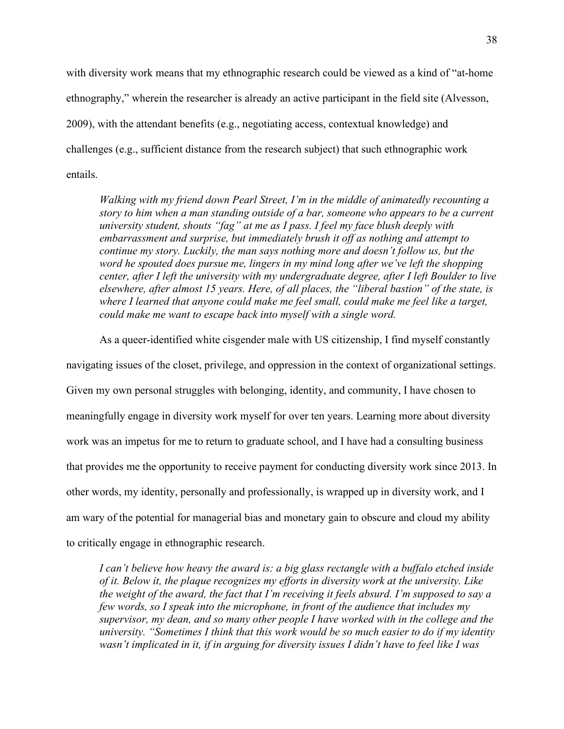with diversity work means that my ethnographic research could be viewed as a kind of "at-home" ethnography," wherein the researcher is already an active participant in the field site (Alvesson, 2009), with the attendant benefits (e.g., negotiating access, contextual knowledge) and challenges (e.g., sufficient distance from the research subject) that such ethnographic work entails.

*Walking with my friend down Pearl Street, I'm in the middle of animatedly recounting a story to him when a man standing outside of a bar, someone who appears to be a current university student, shouts "fag" at me as I pass. I feel my face blush deeply with embarrassment and surprise, but immediately brush it off as nothing and attempt to continue my story. Luckily, the man says nothing more and doesn't follow us, but the word he spouted does pursue me, lingers in my mind long after we've left the shopping center, after I left the university with my undergraduate degree, after I left Boulder to live elsewhere, after almost 15 years. Here, of all places, the "liberal bastion" of the state, is where I learned that anyone could make me feel small, could make me feel like a target, could make me want to escape back into myself with a single word.*

As a queer-identified white cisgender male with US citizenship, I find myself constantly

navigating issues of the closet, privilege, and oppression in the context of organizational settings. Given my own personal struggles with belonging, identity, and community, I have chosen to meaningfully engage in diversity work myself for over ten years. Learning more about diversity work was an impetus for me to return to graduate school, and I have had a consulting business that provides me the opportunity to receive payment for conducting diversity work since 2013. In other words, my identity, personally and professionally, is wrapped up in diversity work, and I am wary of the potential for managerial bias and monetary gain to obscure and cloud my ability to critically engage in ethnographic research.

*I can't believe how heavy the award is: a big glass rectangle with a buffalo etched inside of it. Below it, the plaque recognizes my efforts in diversity work at the university. Like the weight of the award, the fact that I'm receiving it feels absurd. I'm supposed to say a few words, so I speak into the microphone, in front of the audience that includes my supervisor, my dean, and so many other people I have worked with in the college and the university. "Sometimes I think that this work would be so much easier to do if my identity wasn't implicated in it, if in arguing for diversity issues I didn't have to feel like I was*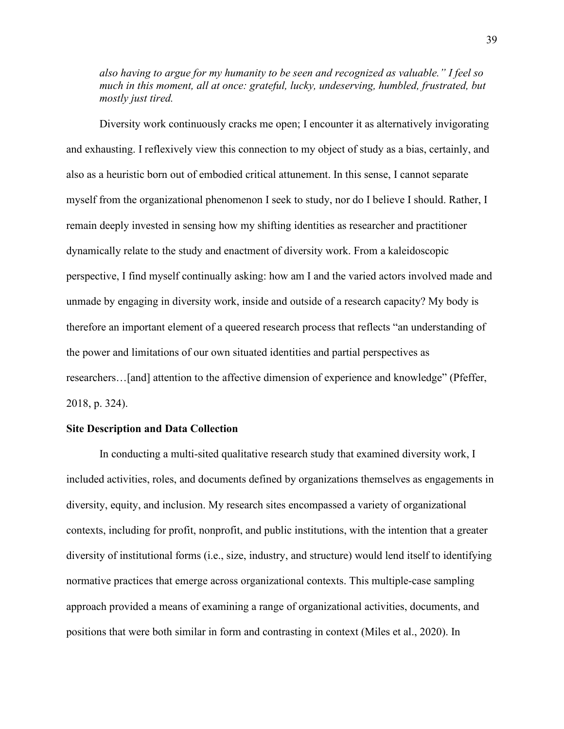*also having to argue for my humanity to be seen and recognized as valuable." I feel so much in this moment, all at once: grateful, lucky, undeserving, humbled, frustrated, but mostly just tired.*

Diversity work continuously cracks me open; I encounter it as alternatively invigorating and exhausting. I reflexively view this connection to my object of study as a bias, certainly, and also as a heuristic born out of embodied critical attunement. In this sense, I cannot separate myself from the organizational phenomenon I seek to study, nor do I believe I should. Rather, I remain deeply invested in sensing how my shifting identities as researcher and practitioner dynamically relate to the study and enactment of diversity work. From a kaleidoscopic perspective, I find myself continually asking: how am I and the varied actors involved made and unmade by engaging in diversity work, inside and outside of a research capacity? My body is therefore an important element of a queered research process that reflects "an understanding of the power and limitations of our own situated identities and partial perspectives as researchers…[and] attention to the affective dimension of experience and knowledge" (Pfeffer, 2018, p. 324).

# **Site Description and Data Collection**

In conducting a multi-sited qualitative research study that examined diversity work, I included activities, roles, and documents defined by organizations themselves as engagements in diversity, equity, and inclusion. My research sites encompassed a variety of organizational contexts, including for profit, nonprofit, and public institutions, with the intention that a greater diversity of institutional forms (i.e., size, industry, and structure) would lend itself to identifying normative practices that emerge across organizational contexts. This multiple-case sampling approach provided a means of examining a range of organizational activities, documents, and positions that were both similar in form and contrasting in context (Miles et al., 2020). In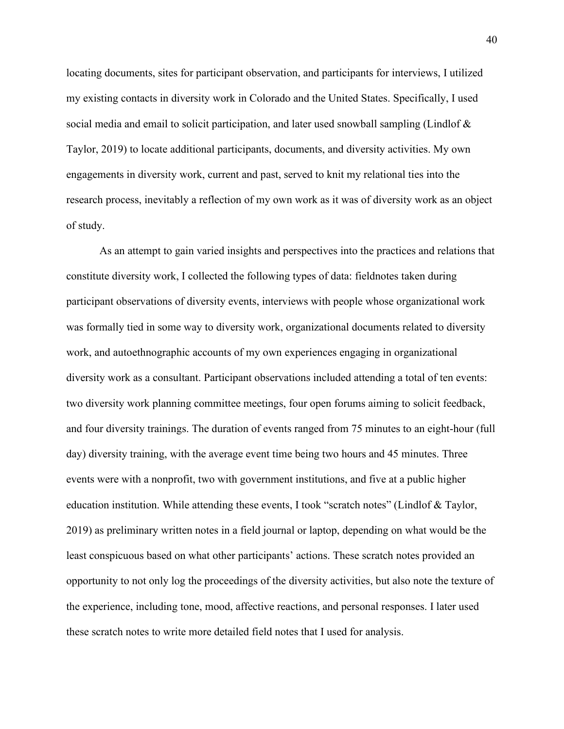locating documents, sites for participant observation, and participants for interviews, I utilized my existing contacts in diversity work in Colorado and the United States. Specifically, I used social media and email to solicit participation, and later used snowball sampling (Lindlof & Taylor, 2019) to locate additional participants, documents, and diversity activities. My own engagements in diversity work, current and past, served to knit my relational ties into the research process, inevitably a reflection of my own work as it was of diversity work as an object of study.

As an attempt to gain varied insights and perspectives into the practices and relations that constitute diversity work, I collected the following types of data: fieldnotes taken during participant observations of diversity events, interviews with people whose organizational work was formally tied in some way to diversity work, organizational documents related to diversity work, and autoethnographic accounts of my own experiences engaging in organizational diversity work as a consultant. Participant observations included attending a total of ten events: two diversity work planning committee meetings, four open forums aiming to solicit feedback, and four diversity trainings. The duration of events ranged from 75 minutes to an eight-hour (full day) diversity training, with the average event time being two hours and 45 minutes. Three events were with a nonprofit, two with government institutions, and five at a public higher education institution. While attending these events, I took "scratch notes" (Lindlof & Taylor, 2019) as preliminary written notes in a field journal or laptop, depending on what would be the least conspicuous based on what other participants' actions. These scratch notes provided an opportunity to not only log the proceedings of the diversity activities, but also note the texture of the experience, including tone, mood, affective reactions, and personal responses. I later used these scratch notes to write more detailed field notes that I used for analysis.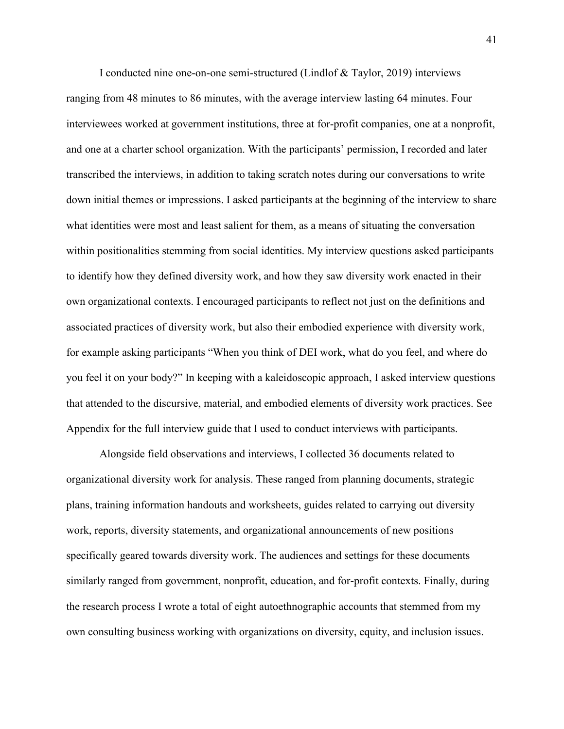I conducted nine one-on-one semi-structured (Lindlof & Taylor, 2019) interviews ranging from 48 minutes to 86 minutes, with the average interview lasting 64 minutes. Four interviewees worked at government institutions, three at for-profit companies, one at a nonprofit, and one at a charter school organization. With the participants' permission, I recorded and later transcribed the interviews, in addition to taking scratch notes during our conversations to write down initial themes or impressions. I asked participants at the beginning of the interview to share what identities were most and least salient for them, as a means of situating the conversation within positionalities stemming from social identities. My interview questions asked participants to identify how they defined diversity work, and how they saw diversity work enacted in their own organizational contexts. I encouraged participants to reflect not just on the definitions and associated practices of diversity work, but also their embodied experience with diversity work, for example asking participants "When you think of DEI work, what do you feel, and where do you feel it on your body?" In keeping with a kaleidoscopic approach, I asked interview questions that attended to the discursive, material, and embodied elements of diversity work practices. See Appendix for the full interview guide that I used to conduct interviews with participants.

Alongside field observations and interviews, I collected 36 documents related to organizational diversity work for analysis. These ranged from planning documents, strategic plans, training information handouts and worksheets, guides related to carrying out diversity work, reports, diversity statements, and organizational announcements of new positions specifically geared towards diversity work. The audiences and settings for these documents similarly ranged from government, nonprofit, education, and for-profit contexts. Finally, during the research process I wrote a total of eight autoethnographic accounts that stemmed from my own consulting business working with organizations on diversity, equity, and inclusion issues.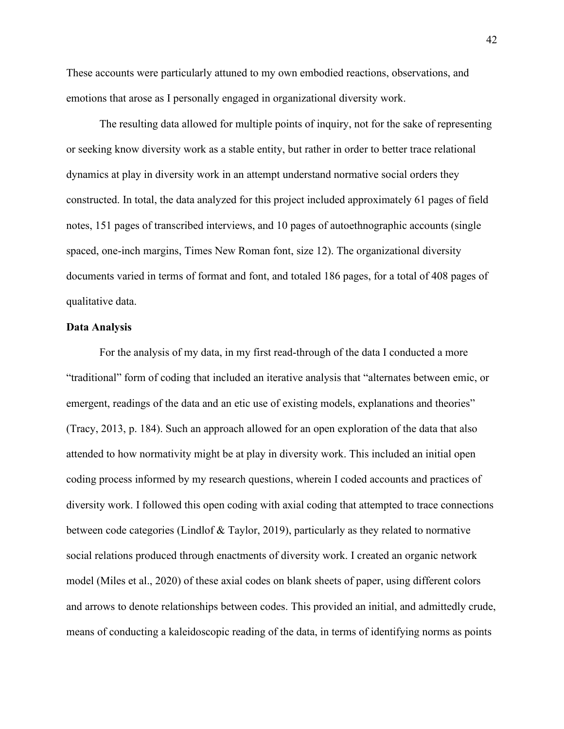These accounts were particularly attuned to my own embodied reactions, observations, and emotions that arose as I personally engaged in organizational diversity work.

The resulting data allowed for multiple points of inquiry, not for the sake of representing or seeking know diversity work as a stable entity, but rather in order to better trace relational dynamics at play in diversity work in an attempt understand normative social orders they constructed. In total, the data analyzed for this project included approximately 61 pages of field notes, 151 pages of transcribed interviews, and 10 pages of autoethnographic accounts (single spaced, one-inch margins, Times New Roman font, size 12). The organizational diversity documents varied in terms of format and font, and totaled 186 pages, for a total of 408 pages of qualitative data.

## **Data Analysis**

For the analysis of my data, in my first read-through of the data I conducted a more "traditional" form of coding that included an iterative analysis that "alternates between emic, or emergent, readings of the data and an etic use of existing models, explanations and theories" (Tracy, 2013, p. 184). Such an approach allowed for an open exploration of the data that also attended to how normativity might be at play in diversity work. This included an initial open coding process informed by my research questions, wherein I coded accounts and practices of diversity work. I followed this open coding with axial coding that attempted to trace connections between code categories (Lindlof & Taylor, 2019), particularly as they related to normative social relations produced through enactments of diversity work. I created an organic network model (Miles et al., 2020) of these axial codes on blank sheets of paper, using different colors and arrows to denote relationships between codes. This provided an initial, and admittedly crude, means of conducting a kaleidoscopic reading of the data, in terms of identifying norms as points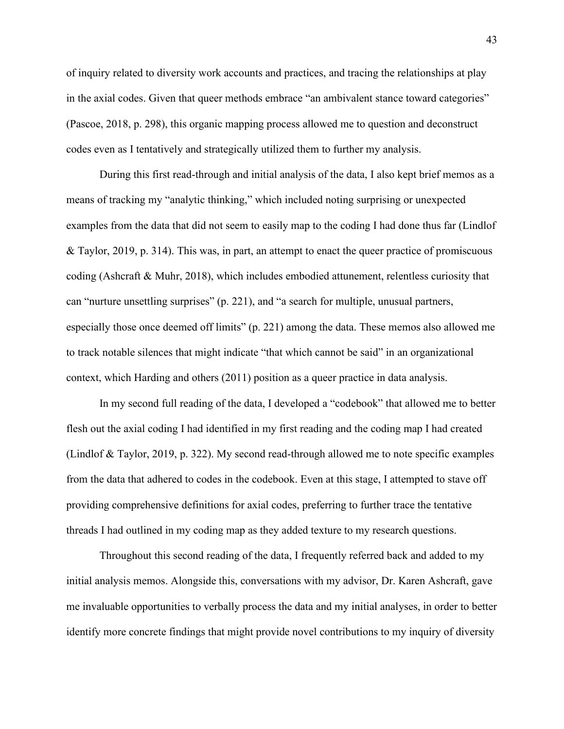of inquiry related to diversity work accounts and practices, and tracing the relationships at play in the axial codes. Given that queer methods embrace "an ambivalent stance toward categories" (Pascoe, 2018, p. 298), this organic mapping process allowed me to question and deconstruct codes even as I tentatively and strategically utilized them to further my analysis.

During this first read-through and initial analysis of the data, I also kept brief memos as a means of tracking my "analytic thinking," which included noting surprising or unexpected examples from the data that did not seem to easily map to the coding I had done thus far (Lindlof & Taylor, 2019, p. 314). This was, in part, an attempt to enact the queer practice of promiscuous coding (Ashcraft & Muhr, 2018), which includes embodied attunement, relentless curiosity that can "nurture unsettling surprises" (p. 221), and "a search for multiple, unusual partners, especially those once deemed off limits" (p. 221) among the data. These memos also allowed me to track notable silences that might indicate "that which cannot be said" in an organizational context, which Harding and others (2011) position as a queer practice in data analysis.

In my second full reading of the data, I developed a "codebook" that allowed me to better flesh out the axial coding I had identified in my first reading and the coding map I had created (Lindlof & Taylor, 2019, p. 322). My second read-through allowed me to note specific examples from the data that adhered to codes in the codebook. Even at this stage, I attempted to stave off providing comprehensive definitions for axial codes, preferring to further trace the tentative threads I had outlined in my coding map as they added texture to my research questions.

Throughout this second reading of the data, I frequently referred back and added to my initial analysis memos. Alongside this, conversations with my advisor, Dr. Karen Ashcraft, gave me invaluable opportunities to verbally process the data and my initial analyses, in order to better identify more concrete findings that might provide novel contributions to my inquiry of diversity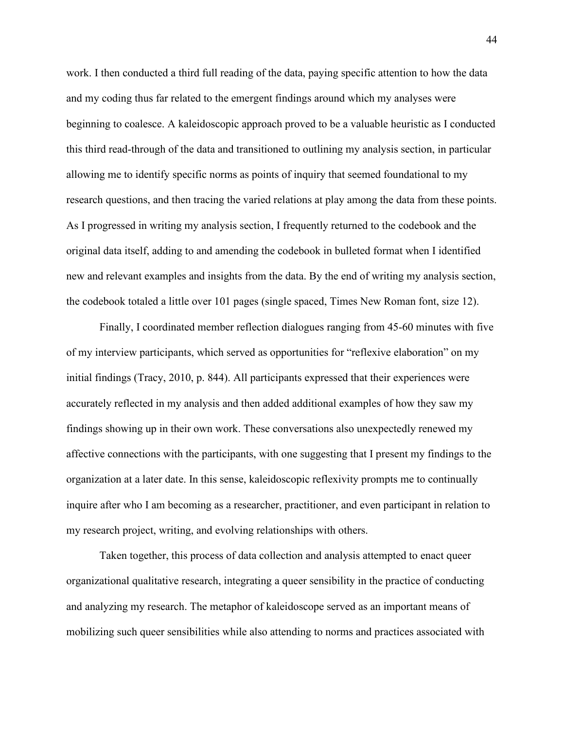work. I then conducted a third full reading of the data, paying specific attention to how the data and my coding thus far related to the emergent findings around which my analyses were beginning to coalesce. A kaleidoscopic approach proved to be a valuable heuristic as I conducted this third read-through of the data and transitioned to outlining my analysis section, in particular allowing me to identify specific norms as points of inquiry that seemed foundational to my research questions, and then tracing the varied relations at play among the data from these points. As I progressed in writing my analysis section, I frequently returned to the codebook and the original data itself, adding to and amending the codebook in bulleted format when I identified new and relevant examples and insights from the data. By the end of writing my analysis section, the codebook totaled a little over 101 pages (single spaced, Times New Roman font, size 12).

Finally, I coordinated member reflection dialogues ranging from 45-60 minutes with five of my interview participants, which served as opportunities for "reflexive elaboration" on my initial findings (Tracy, 2010, p. 844). All participants expressed that their experiences were accurately reflected in my analysis and then added additional examples of how they saw my findings showing up in their own work. These conversations also unexpectedly renewed my affective connections with the participants, with one suggesting that I present my findings to the organization at a later date. In this sense, kaleidoscopic reflexivity prompts me to continually inquire after who I am becoming as a researcher, practitioner, and even participant in relation to my research project, writing, and evolving relationships with others.

Taken together, this process of data collection and analysis attempted to enact queer organizational qualitative research, integrating a queer sensibility in the practice of conducting and analyzing my research. The metaphor of kaleidoscope served as an important means of mobilizing such queer sensibilities while also attending to norms and practices associated with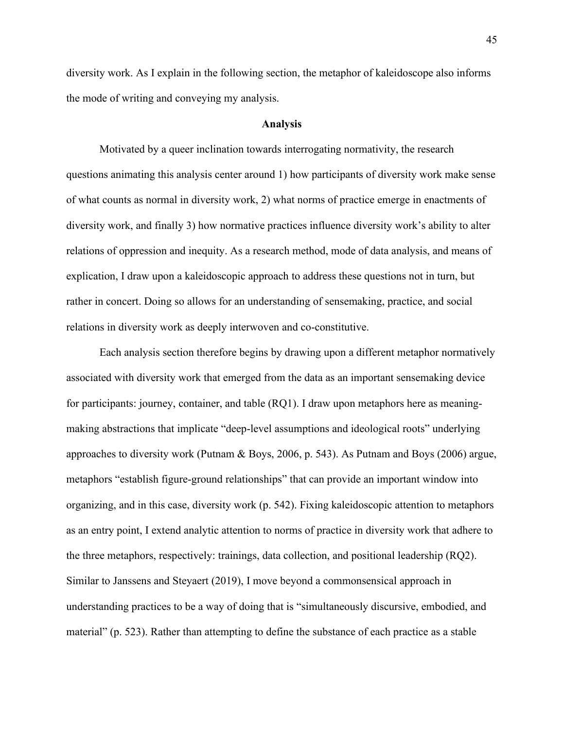diversity work. As I explain in the following section, the metaphor of kaleidoscope also informs the mode of writing and conveying my analysis.

#### **Analysis**

Motivated by a queer inclination towards interrogating normativity, the research questions animating this analysis center around 1) how participants of diversity work make sense of what counts as normal in diversity work, 2) what norms of practice emerge in enactments of diversity work, and finally 3) how normative practices influence diversity work's ability to alter relations of oppression and inequity. As a research method, mode of data analysis, and means of explication, I draw upon a kaleidoscopic approach to address these questions not in turn, but rather in concert. Doing so allows for an understanding of sensemaking, practice, and social relations in diversity work as deeply interwoven and co-constitutive.

Each analysis section therefore begins by drawing upon a different metaphor normatively associated with diversity work that emerged from the data as an important sensemaking device for participants: journey, container, and table (RQ1). I draw upon metaphors here as meaningmaking abstractions that implicate "deep-level assumptions and ideological roots" underlying approaches to diversity work (Putnam & Boys, 2006, p. 543). As Putnam and Boys (2006) argue, metaphors "establish figure-ground relationships" that can provide an important window into organizing, and in this case, diversity work (p. 542). Fixing kaleidoscopic attention to metaphors as an entry point, I extend analytic attention to norms of practice in diversity work that adhere to the three metaphors, respectively: trainings, data collection, and positional leadership (RQ2). Similar to Janssens and Steyaert (2019), I move beyond a commonsensical approach in understanding practices to be a way of doing that is "simultaneously discursive, embodied, and material" (p. 523). Rather than attempting to define the substance of each practice as a stable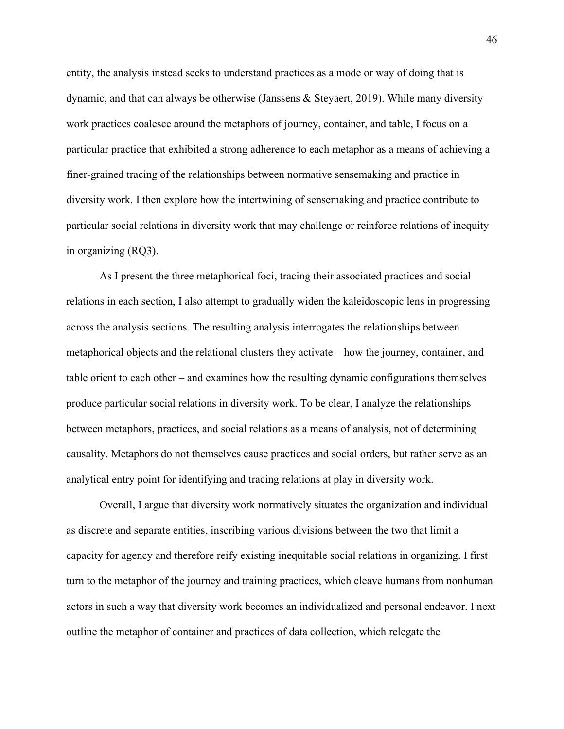entity, the analysis instead seeks to understand practices as a mode or way of doing that is dynamic, and that can always be otherwise (Janssens & Steyaert, 2019). While many diversity work practices coalesce around the metaphors of journey, container, and table, I focus on a particular practice that exhibited a strong adherence to each metaphor as a means of achieving a finer-grained tracing of the relationships between normative sensemaking and practice in diversity work. I then explore how the intertwining of sensemaking and practice contribute to particular social relations in diversity work that may challenge or reinforce relations of inequity in organizing (RQ3).

As I present the three metaphorical foci, tracing their associated practices and social relations in each section, I also attempt to gradually widen the kaleidoscopic lens in progressing across the analysis sections. The resulting analysis interrogates the relationships between metaphorical objects and the relational clusters they activate – how the journey, container, and table orient to each other – and examines how the resulting dynamic configurations themselves produce particular social relations in diversity work. To be clear, I analyze the relationships between metaphors, practices, and social relations as a means of analysis, not of determining causality. Metaphors do not themselves cause practices and social orders, but rather serve as an analytical entry point for identifying and tracing relations at play in diversity work.

Overall, I argue that diversity work normatively situates the organization and individual as discrete and separate entities, inscribing various divisions between the two that limit a capacity for agency and therefore reify existing inequitable social relations in organizing. I first turn to the metaphor of the journey and training practices, which cleave humans from nonhuman actors in such a way that diversity work becomes an individualized and personal endeavor. I next outline the metaphor of container and practices of data collection, which relegate the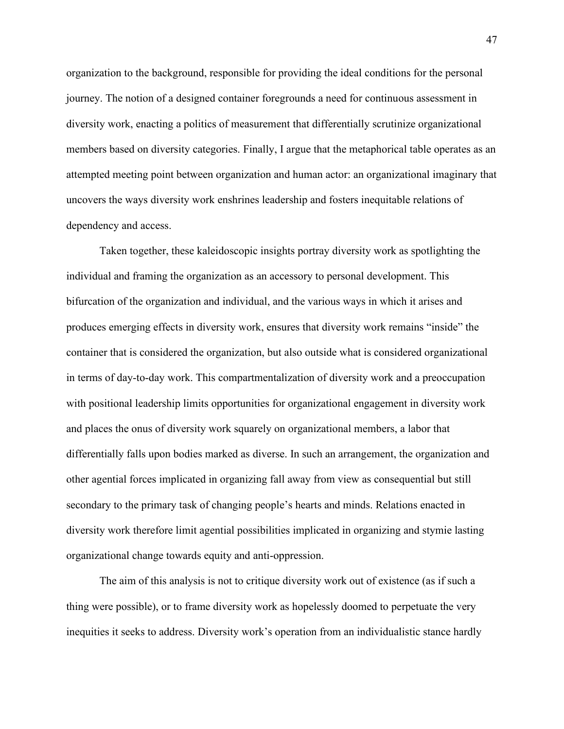organization to the background, responsible for providing the ideal conditions for the personal journey. The notion of a designed container foregrounds a need for continuous assessment in diversity work, enacting a politics of measurement that differentially scrutinize organizational members based on diversity categories. Finally, I argue that the metaphorical table operates as an attempted meeting point between organization and human actor: an organizational imaginary that uncovers the ways diversity work enshrines leadership and fosters inequitable relations of dependency and access.

Taken together, these kaleidoscopic insights portray diversity work as spotlighting the individual and framing the organization as an accessory to personal development. This bifurcation of the organization and individual, and the various ways in which it arises and produces emerging effects in diversity work, ensures that diversity work remains "inside" the container that is considered the organization, but also outside what is considered organizational in terms of day-to-day work. This compartmentalization of diversity work and a preoccupation with positional leadership limits opportunities for organizational engagement in diversity work and places the onus of diversity work squarely on organizational members, a labor that differentially falls upon bodies marked as diverse. In such an arrangement, the organization and other agential forces implicated in organizing fall away from view as consequential but still secondary to the primary task of changing people's hearts and minds. Relations enacted in diversity work therefore limit agential possibilities implicated in organizing and stymie lasting organizational change towards equity and anti-oppression.

The aim of this analysis is not to critique diversity work out of existence (as if such a thing were possible), or to frame diversity work as hopelessly doomed to perpetuate the very inequities it seeks to address. Diversity work's operation from an individualistic stance hardly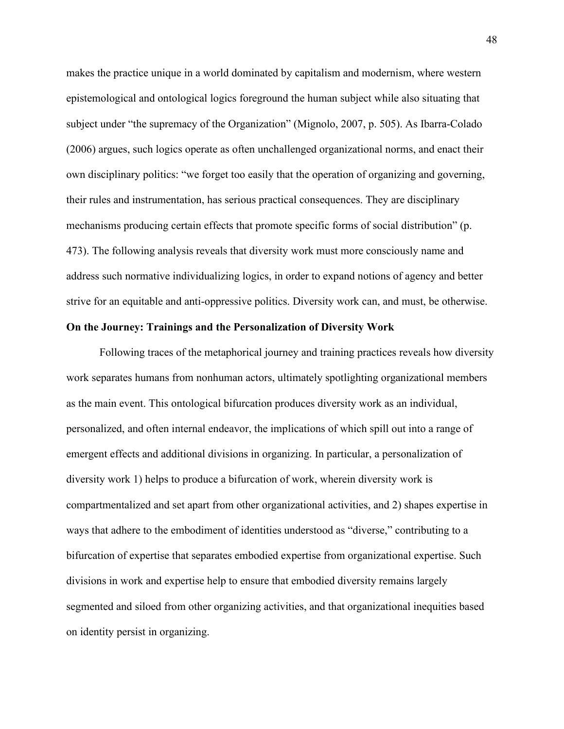makes the practice unique in a world dominated by capitalism and modernism, where western epistemological and ontological logics foreground the human subject while also situating that subject under "the supremacy of the Organization" (Mignolo, 2007, p. 505). As Ibarra-Colado (2006) argues, such logics operate as often unchallenged organizational norms, and enact their own disciplinary politics: "we forget too easily that the operation of organizing and governing, their rules and instrumentation, has serious practical consequences. They are disciplinary mechanisms producing certain effects that promote specific forms of social distribution" (p. 473). The following analysis reveals that diversity work must more consciously name and address such normative individualizing logics, in order to expand notions of agency and better strive for an equitable and anti-oppressive politics. Diversity work can, and must, be otherwise.

### **On the Journey: Trainings and the Personalization of Diversity Work**

Following traces of the metaphorical journey and training practices reveals how diversity work separates humans from nonhuman actors, ultimately spotlighting organizational members as the main event. This ontological bifurcation produces diversity work as an individual, personalized, and often internal endeavor, the implications of which spill out into a range of emergent effects and additional divisions in organizing. In particular, a personalization of diversity work 1) helps to produce a bifurcation of work, wherein diversity work is compartmentalized and set apart from other organizational activities, and 2) shapes expertise in ways that adhere to the embodiment of identities understood as "diverse," contributing to a bifurcation of expertise that separates embodied expertise from organizational expertise. Such divisions in work and expertise help to ensure that embodied diversity remains largely segmented and siloed from other organizing activities, and that organizational inequities based on identity persist in organizing.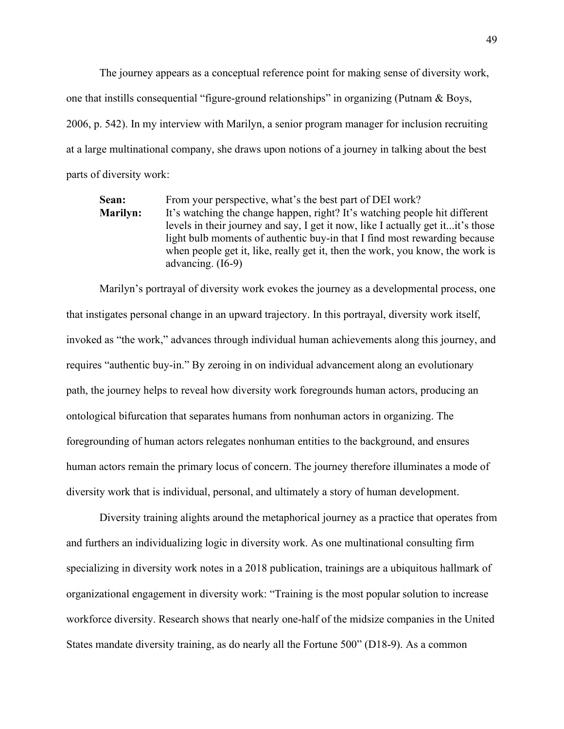The journey appears as a conceptual reference point for making sense of diversity work, one that instills consequential "figure-ground relationships" in organizing (Putnam & Boys, 2006, p. 542). In my interview with Marilyn, a senior program manager for inclusion recruiting at a large multinational company, she draws upon notions of a journey in talking about the best parts of diversity work:

**Sean:** From your perspective, what's the best part of DEI work? **Marilyn:** It's watching the change happen, right? It's watching people hit different levels in their journey and say, I get it now, like I actually get it...it's those light bulb moments of authentic buy-in that I find most rewarding because when people get it, like, really get it, then the work, you know, the work is advancing. (I6-9)

Marilyn's portrayal of diversity work evokes the journey as a developmental process, one that instigates personal change in an upward trajectory. In this portrayal, diversity work itself, invoked as "the work," advances through individual human achievements along this journey, and requires "authentic buy-in." By zeroing in on individual advancement along an evolutionary path, the journey helps to reveal how diversity work foregrounds human actors, producing an ontological bifurcation that separates humans from nonhuman actors in organizing. The foregrounding of human actors relegates nonhuman entities to the background, and ensures human actors remain the primary locus of concern. The journey therefore illuminates a mode of diversity work that is individual, personal, and ultimately a story of human development.

Diversity training alights around the metaphorical journey as a practice that operates from and furthers an individualizing logic in diversity work. As one multinational consulting firm specializing in diversity work notes in a 2018 publication, trainings are a ubiquitous hallmark of organizational engagement in diversity work: "Training is the most popular solution to increase workforce diversity. Research shows that nearly one-half of the midsize companies in the United States mandate diversity training, as do nearly all the Fortune 500" (D18-9). As a common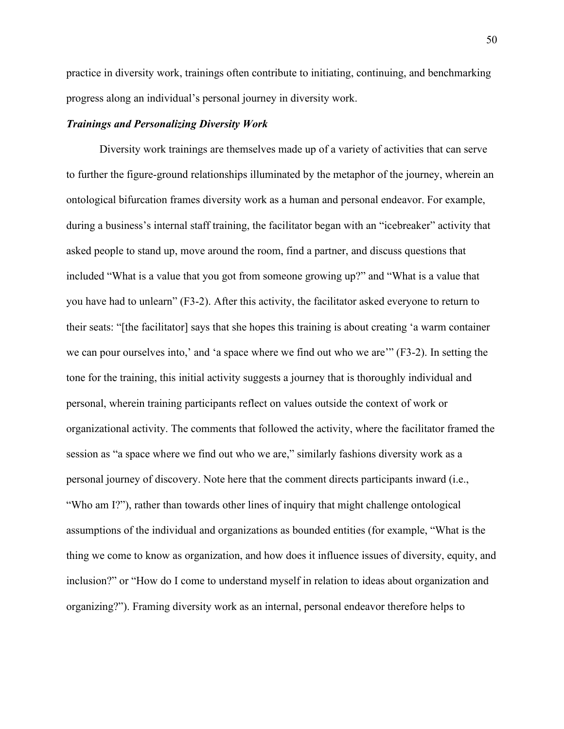practice in diversity work, trainings often contribute to initiating, continuing, and benchmarking progress along an individual's personal journey in diversity work.

### *Trainings and Personalizing Diversity Work*

Diversity work trainings are themselves made up of a variety of activities that can serve to further the figure-ground relationships illuminated by the metaphor of the journey, wherein an ontological bifurcation frames diversity work as a human and personal endeavor. For example, during a business's internal staff training, the facilitator began with an "icebreaker" activity that asked people to stand up, move around the room, find a partner, and discuss questions that included "What is a value that you got from someone growing up?" and "What is a value that you have had to unlearn" (F3-2). After this activity, the facilitator asked everyone to return to their seats: "[the facilitator] says that she hopes this training is about creating 'a warm container we can pour ourselves into,' and 'a space where we find out who we are'" (F3-2). In setting the tone for the training, this initial activity suggests a journey that is thoroughly individual and personal, wherein training participants reflect on values outside the context of work or organizational activity. The comments that followed the activity, where the facilitator framed the session as "a space where we find out who we are," similarly fashions diversity work as a personal journey of discovery. Note here that the comment directs participants inward (i.e., "Who am I?"), rather than towards other lines of inquiry that might challenge ontological assumptions of the individual and organizations as bounded entities (for example, "What is the thing we come to know as organization, and how does it influence issues of diversity, equity, and inclusion?" or "How do I come to understand myself in relation to ideas about organization and organizing?"). Framing diversity work as an internal, personal endeavor therefore helps to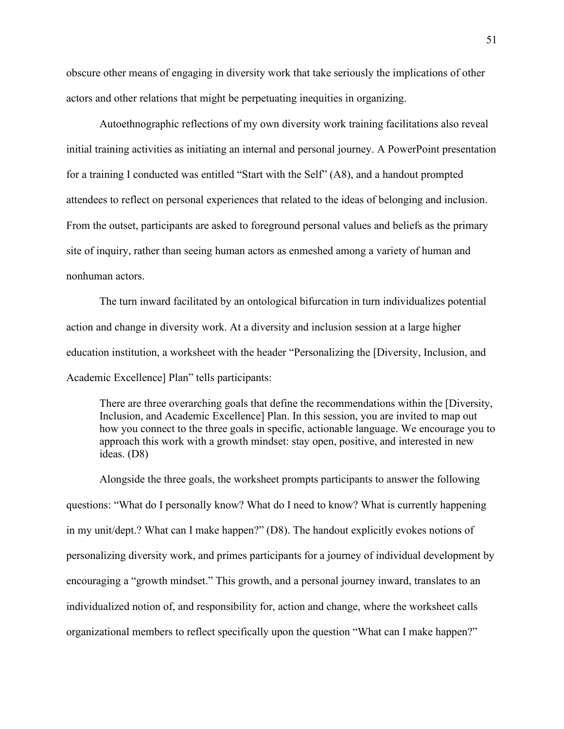obscure other means of engaging in diversity work that take seriously the implications of other actors and other relations that might be perpetuating inequities in organizing.

Autoethnographic reflections of my own diversity work training facilitations also reveal initial training activities as initiating an internal and personal journey. A PowerPoint presentation for a training I conducted was entitled "Start with the Self" (A8), and a handout prompted attendees to reflect on personal experiences that related to the ideas of belonging and inclusion. From the outset, participants are asked to foreground personal values and beliefs as the primary site of inquiry, rather than seeing human actors as enmeshed among a variety of human and nonhuman actors.

The turn inward facilitated by an ontological bifurcation in turn individualizes potential action and change in diversity work. At a diversity and inclusion session at a large higher education institution, a worksheet with the header "Personalizing the [Diversity, Inclusion, and Academic Excellence] Plan" tells participants:

There are three overarching goals that define the recommendations within the [Diversity, Inclusion, and Academic Excellence] Plan. In this session, you are invited to map out how you connect to the three goals in specific, actionable language. We encourage you to approach this work with a growth mindset: stay open, positive, and interested in new ideas. (D8)

Alongside the three goals, the worksheet prompts participants to answer the following questions: "What do I personally know? What do I need to know? What is currently happening in my unit/dept.? What can I make happen?" (D8). The handout explicitly evokes notions of personalizing diversity work, and primes participants for a journey of individual development by encouraging a "growth mindset." This growth, and a personal journey inward, translates to an individualized notion of, and responsibility for, action and change, where the worksheet calls organizational members to reflect specifically upon the question "What can I make happen?"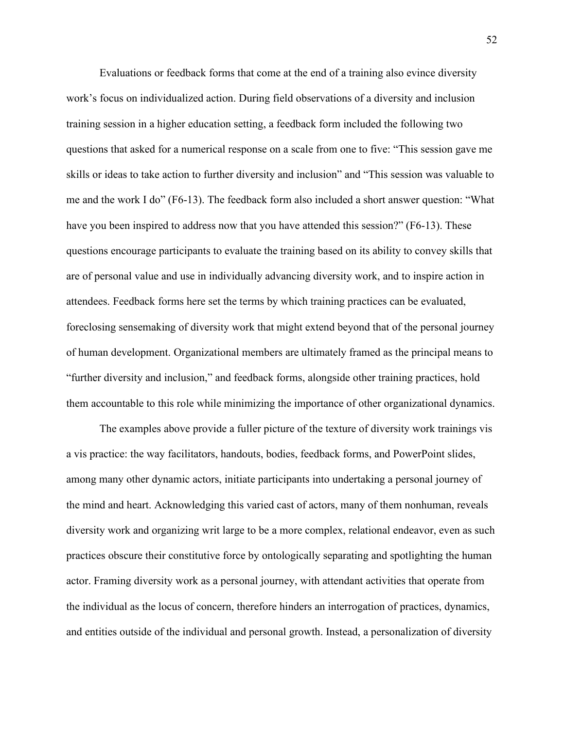Evaluations or feedback forms that come at the end of a training also evince diversity work's focus on individualized action. During field observations of a diversity and inclusion training session in a higher education setting, a feedback form included the following two questions that asked for a numerical response on a scale from one to five: "This session gave me skills or ideas to take action to further diversity and inclusion" and "This session was valuable to me and the work I do" (F6-13). The feedback form also included a short answer question: "What have you been inspired to address now that you have attended this session?" (F6-13). These questions encourage participants to evaluate the training based on its ability to convey skills that are of personal value and use in individually advancing diversity work, and to inspire action in attendees. Feedback forms here set the terms by which training practices can be evaluated, foreclosing sensemaking of diversity work that might extend beyond that of the personal journey of human development. Organizational members are ultimately framed as the principal means to "further diversity and inclusion," and feedback forms, alongside other training practices, hold them accountable to this role while minimizing the importance of other organizational dynamics.

The examples above provide a fuller picture of the texture of diversity work trainings vis a vis practice: the way facilitators, handouts, bodies, feedback forms, and PowerPoint slides, among many other dynamic actors, initiate participants into undertaking a personal journey of the mind and heart. Acknowledging this varied cast of actors, many of them nonhuman, reveals diversity work and organizing writ large to be a more complex, relational endeavor, even as such practices obscure their constitutive force by ontologically separating and spotlighting the human actor. Framing diversity work as a personal journey, with attendant activities that operate from the individual as the locus of concern, therefore hinders an interrogation of practices, dynamics, and entities outside of the individual and personal growth. Instead, a personalization of diversity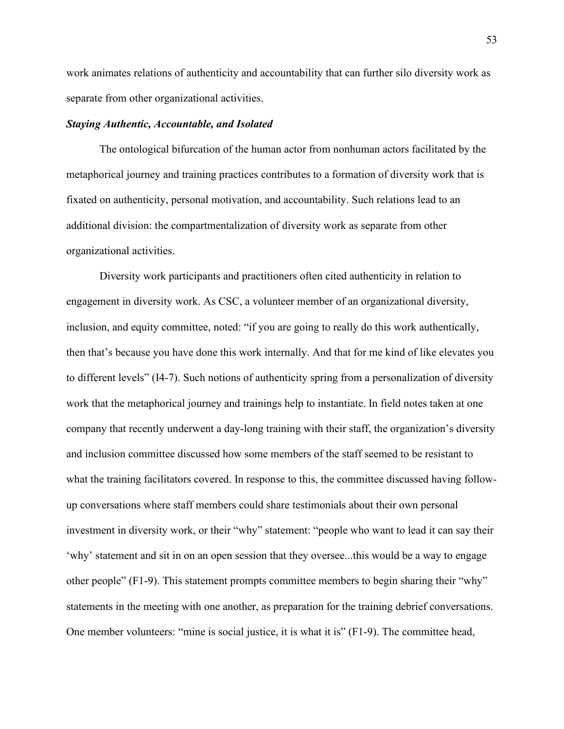work animates relations of authenticity and accountability that can further silo diversity work as separate from other organizational activities.

#### *Staying Authentic, Accountable, and Isolated*

The ontological bifurcation of the human actor from nonhuman actors facilitated by the metaphorical journey and training practices contributes to a formation of diversity work that is fixated on authenticity, personal motivation, and accountability. Such relations lead to an additional division: the compartmentalization of diversity work as separate from other organizational activities.

Diversity work participants and practitioners often cited authenticity in relation to engagement in diversity work. As CSC, a volunteer member of an organizational diversity, inclusion, and equity committee, noted: "if you are going to really do this work authentically, then that's because you have done this work internally. And that for me kind of like elevates you to different levels" (I4-7). Such notions of authenticity spring from a personalization of diversity work that the metaphorical journey and trainings help to instantiate. In field notes taken at one company that recently underwent a day-long training with their staff, the organization's diversity and inclusion committee discussed how some members of the staff seemed to be resistant to what the training facilitators covered. In response to this, the committee discussed having followup conversations where staff members could share testimonials about their own personal investment in diversity work, or their "why" statement: "people who want to lead it can say their 'why' statement and sit in on an open session that they oversee...this would be a way to engage other people" (F1-9). This statement prompts committee members to begin sharing their "why" statements in the meeting with one another, as preparation for the training debrief conversations. One member volunteers: "mine is social justice, it is what it is" (F1-9). The committee head,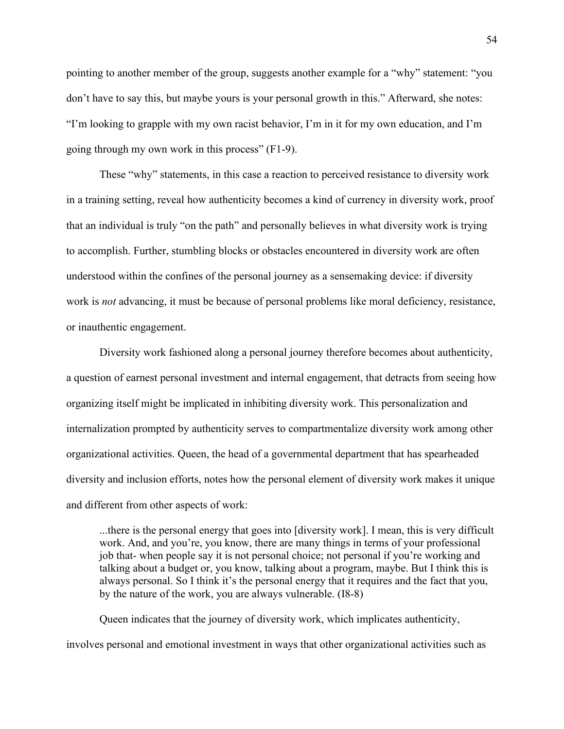pointing to another member of the group, suggests another example for a "why" statement: "you don't have to say this, but maybe yours is your personal growth in this." Afterward, she notes: "I'm looking to grapple with my own racist behavior, I'm in it for my own education, and I'm going through my own work in this process" (F1-9).

These "why" statements, in this case a reaction to perceived resistance to diversity work in a training setting, reveal how authenticity becomes a kind of currency in diversity work, proof that an individual is truly "on the path" and personally believes in what diversity work is trying to accomplish. Further, stumbling blocks or obstacles encountered in diversity work are often understood within the confines of the personal journey as a sensemaking device: if diversity work is *not* advancing, it must be because of personal problems like moral deficiency, resistance, or inauthentic engagement.

Diversity work fashioned along a personal journey therefore becomes about authenticity, a question of earnest personal investment and internal engagement, that detracts from seeing how organizing itself might be implicated in inhibiting diversity work. This personalization and internalization prompted by authenticity serves to compartmentalize diversity work among other organizational activities. Queen, the head of a governmental department that has spearheaded diversity and inclusion efforts, notes how the personal element of diversity work makes it unique and different from other aspects of work:

...there is the personal energy that goes into [diversity work]. I mean, this is very difficult work. And, and you're, you know, there are many things in terms of your professional job that- when people say it is not personal choice; not personal if you're working and talking about a budget or, you know, talking about a program, maybe. But I think this is always personal. So I think it's the personal energy that it requires and the fact that you, by the nature of the work, you are always vulnerable. (I8-8)

Queen indicates that the journey of diversity work, which implicates authenticity, involves personal and emotional investment in ways that other organizational activities such as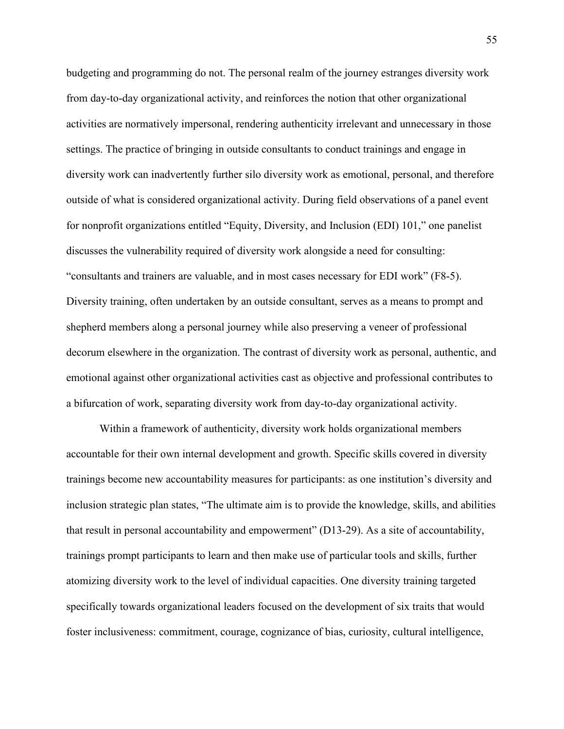budgeting and programming do not. The personal realm of the journey estranges diversity work from day-to-day organizational activity, and reinforces the notion that other organizational activities are normatively impersonal, rendering authenticity irrelevant and unnecessary in those settings. The practice of bringing in outside consultants to conduct trainings and engage in diversity work can inadvertently further silo diversity work as emotional, personal, and therefore outside of what is considered organizational activity. During field observations of a panel event for nonprofit organizations entitled "Equity, Diversity, and Inclusion (EDI) 101," one panelist discusses the vulnerability required of diversity work alongside a need for consulting: "consultants and trainers are valuable, and in most cases necessary for EDI work" (F8-5). Diversity training, often undertaken by an outside consultant, serves as a means to prompt and shepherd members along a personal journey while also preserving a veneer of professional decorum elsewhere in the organization. The contrast of diversity work as personal, authentic, and emotional against other organizational activities cast as objective and professional contributes to a bifurcation of work, separating diversity work from day-to-day organizational activity.

Within a framework of authenticity, diversity work holds organizational members accountable for their own internal development and growth. Specific skills covered in diversity trainings become new accountability measures for participants: as one institution's diversity and inclusion strategic plan states, "The ultimate aim is to provide the knowledge, skills, and abilities that result in personal accountability and empowerment" (D13-29). As a site of accountability, trainings prompt participants to learn and then make use of particular tools and skills, further atomizing diversity work to the level of individual capacities. One diversity training targeted specifically towards organizational leaders focused on the development of six traits that would foster inclusiveness: commitment, courage, cognizance of bias, curiosity, cultural intelligence,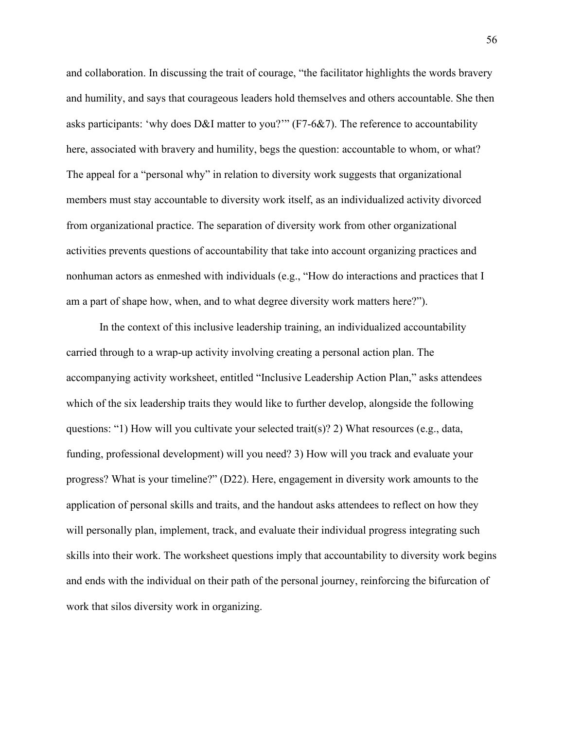and collaboration. In discussing the trait of courage, "the facilitator highlights the words bravery and humility, and says that courageous leaders hold themselves and others accountable. She then asks participants: 'why does D&I matter to you?'" (F7-6&7). The reference to accountability here, associated with bravery and humility, begs the question: accountable to whom, or what? The appeal for a "personal why" in relation to diversity work suggests that organizational members must stay accountable to diversity work itself, as an individualized activity divorced from organizational practice. The separation of diversity work from other organizational activities prevents questions of accountability that take into account organizing practices and nonhuman actors as enmeshed with individuals (e.g., "How do interactions and practices that I am a part of shape how, when, and to what degree diversity work matters here?").

In the context of this inclusive leadership training, an individualized accountability carried through to a wrap-up activity involving creating a personal action plan. The accompanying activity worksheet, entitled "Inclusive Leadership Action Plan," asks attendees which of the six leadership traits they would like to further develop, alongside the following questions: "1) How will you cultivate your selected trait(s)? 2) What resources (e.g., data, funding, professional development) will you need? 3) How will you track and evaluate your progress? What is your timeline?" (D22). Here, engagement in diversity work amounts to the application of personal skills and traits, and the handout asks attendees to reflect on how they will personally plan, implement, track, and evaluate their individual progress integrating such skills into their work. The worksheet questions imply that accountability to diversity work begins and ends with the individual on their path of the personal journey, reinforcing the bifurcation of work that silos diversity work in organizing.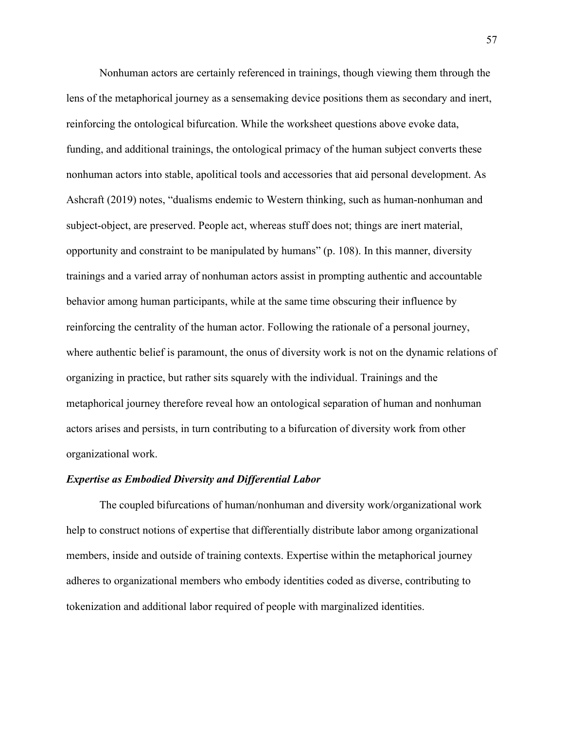Nonhuman actors are certainly referenced in trainings, though viewing them through the lens of the metaphorical journey as a sensemaking device positions them as secondary and inert, reinforcing the ontological bifurcation. While the worksheet questions above evoke data, funding, and additional trainings, the ontological primacy of the human subject converts these nonhuman actors into stable, apolitical tools and accessories that aid personal development. As Ashcraft (2019) notes, "dualisms endemic to Western thinking, such as human-nonhuman and subject-object, are preserved. People act, whereas stuff does not; things are inert material, opportunity and constraint to be manipulated by humans" (p. 108). In this manner, diversity trainings and a varied array of nonhuman actors assist in prompting authentic and accountable behavior among human participants, while at the same time obscuring their influence by reinforcing the centrality of the human actor. Following the rationale of a personal journey, where authentic belief is paramount, the onus of diversity work is not on the dynamic relations of organizing in practice, but rather sits squarely with the individual. Trainings and the metaphorical journey therefore reveal how an ontological separation of human and nonhuman actors arises and persists, in turn contributing to a bifurcation of diversity work from other organizational work.

## *Expertise as Embodied Diversity and Differential Labor*

The coupled bifurcations of human/nonhuman and diversity work/organizational work help to construct notions of expertise that differentially distribute labor among organizational members, inside and outside of training contexts. Expertise within the metaphorical journey adheres to organizational members who embody identities coded as diverse, contributing to tokenization and additional labor required of people with marginalized identities.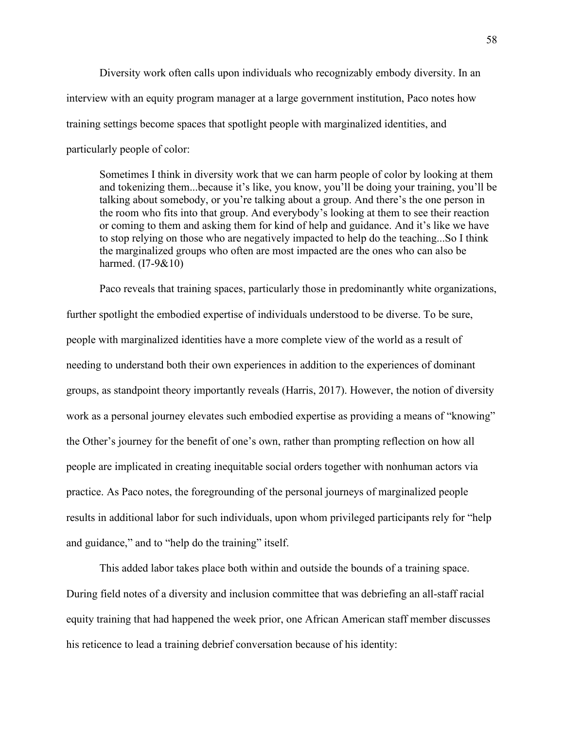Diversity work often calls upon individuals who recognizably embody diversity. In an interview with an equity program manager at a large government institution, Paco notes how training settings become spaces that spotlight people with marginalized identities, and particularly people of color:

Sometimes I think in diversity work that we can harm people of color by looking at them and tokenizing them...because it's like, you know, you'll be doing your training, you'll be talking about somebody, or you're talking about a group. And there's the one person in the room who fits into that group. And everybody's looking at them to see their reaction or coming to them and asking them for kind of help and guidance. And it's like we have to stop relying on those who are negatively impacted to help do the teaching...So I think the marginalized groups who often are most impacted are the ones who can also be harmed. (I7-9&10)

Paco reveals that training spaces, particularly those in predominantly white organizations, further spotlight the embodied expertise of individuals understood to be diverse. To be sure, people with marginalized identities have a more complete view of the world as a result of needing to understand both their own experiences in addition to the experiences of dominant groups, as standpoint theory importantly reveals (Harris, 2017). However, the notion of diversity work as a personal journey elevates such embodied expertise as providing a means of "knowing" the Other's journey for the benefit of one's own, rather than prompting reflection on how all people are implicated in creating inequitable social orders together with nonhuman actors via practice. As Paco notes, the foregrounding of the personal journeys of marginalized people results in additional labor for such individuals, upon whom privileged participants rely for "help and guidance," and to "help do the training" itself.

This added labor takes place both within and outside the bounds of a training space. During field notes of a diversity and inclusion committee that was debriefing an all-staff racial equity training that had happened the week prior, one African American staff member discusses his reticence to lead a training debrief conversation because of his identity: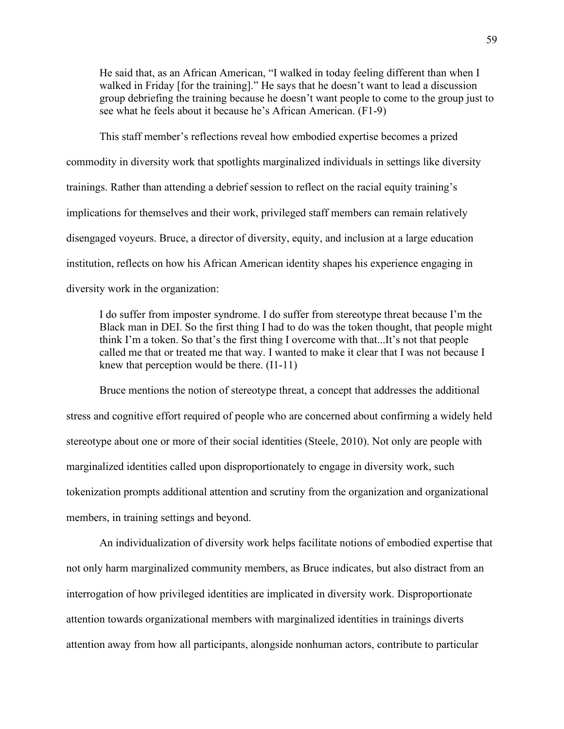He said that, as an African American, "I walked in today feeling different than when I walked in Friday [for the training]." He says that he doesn't want to lead a discussion group debriefing the training because he doesn't want people to come to the group just to see what he feels about it because he's African American. (F1-9)

This staff member's reflections reveal how embodied expertise becomes a prized commodity in diversity work that spotlights marginalized individuals in settings like diversity trainings. Rather than attending a debrief session to reflect on the racial equity training's implications for themselves and their work, privileged staff members can remain relatively disengaged voyeurs. Bruce, a director of diversity, equity, and inclusion at a large education institution, reflects on how his African American identity shapes his experience engaging in diversity work in the organization:

I do suffer from imposter syndrome. I do suffer from stereotype threat because I'm the Black man in DEI. So the first thing I had to do was the token thought, that people might think I'm a token. So that's the first thing I overcome with that...It's not that people called me that or treated me that way. I wanted to make it clear that I was not because I knew that perception would be there. (I1-11)

Bruce mentions the notion of stereotype threat, a concept that addresses the additional stress and cognitive effort required of people who are concerned about confirming a widely held stereotype about one or more of their social identities (Steele, 2010). Not only are people with marginalized identities called upon disproportionately to engage in diversity work, such tokenization prompts additional attention and scrutiny from the organization and organizational members, in training settings and beyond.

An individualization of diversity work helps facilitate notions of embodied expertise that not only harm marginalized community members, as Bruce indicates, but also distract from an interrogation of how privileged identities are implicated in diversity work. Disproportionate attention towards organizational members with marginalized identities in trainings diverts attention away from how all participants, alongside nonhuman actors, contribute to particular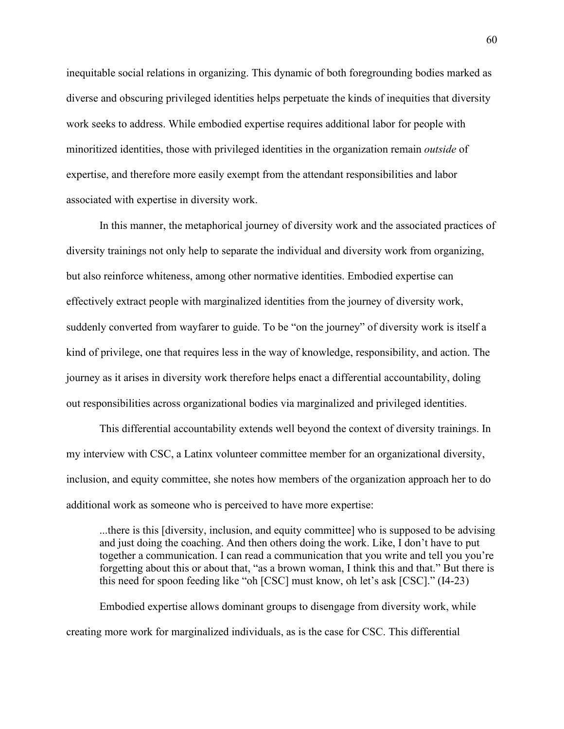inequitable social relations in organizing. This dynamic of both foregrounding bodies marked as diverse and obscuring privileged identities helps perpetuate the kinds of inequities that diversity work seeks to address. While embodied expertise requires additional labor for people with minoritized identities, those with privileged identities in the organization remain *outside* of expertise, and therefore more easily exempt from the attendant responsibilities and labor associated with expertise in diversity work.

In this manner, the metaphorical journey of diversity work and the associated practices of diversity trainings not only help to separate the individual and diversity work from organizing, but also reinforce whiteness, among other normative identities. Embodied expertise can effectively extract people with marginalized identities from the journey of diversity work, suddenly converted from wayfarer to guide. To be "on the journey" of diversity work is itself a kind of privilege, one that requires less in the way of knowledge, responsibility, and action. The journey as it arises in diversity work therefore helps enact a differential accountability, doling out responsibilities across organizational bodies via marginalized and privileged identities.

This differential accountability extends well beyond the context of diversity trainings. In my interview with CSC, a Latinx volunteer committee member for an organizational diversity, inclusion, and equity committee, she notes how members of the organization approach her to do additional work as someone who is perceived to have more expertise:

...there is this [diversity, inclusion, and equity committee] who is supposed to be advising and just doing the coaching. And then others doing the work. Like, I don't have to put together a communication. I can read a communication that you write and tell you you're forgetting about this or about that, "as a brown woman, I think this and that." But there is this need for spoon feeding like "oh [CSC] must know, oh let's ask [CSC]." (I4-23)

Embodied expertise allows dominant groups to disengage from diversity work, while creating more work for marginalized individuals, as is the case for CSC. This differential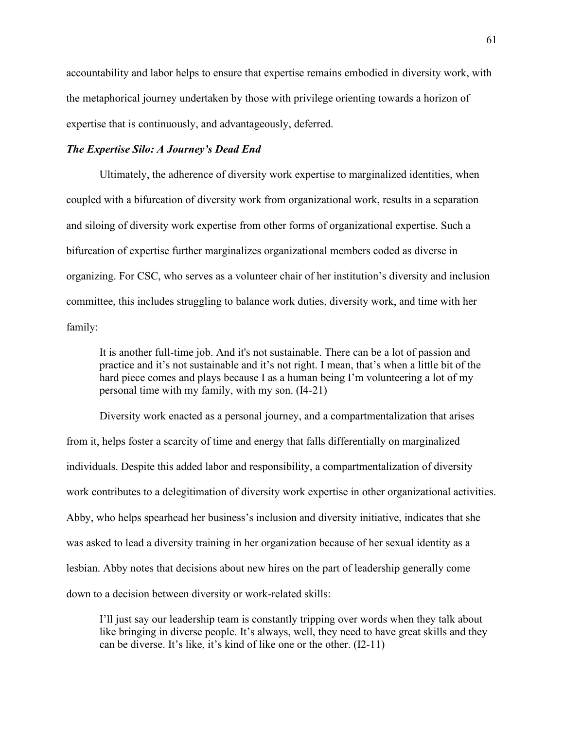accountability and labor helps to ensure that expertise remains embodied in diversity work, with the metaphorical journey undertaken by those with privilege orienting towards a horizon of expertise that is continuously, and advantageously, deferred.

# *The Expertise Silo: A Journey's Dead End*

Ultimately, the adherence of diversity work expertise to marginalized identities, when coupled with a bifurcation of diversity work from organizational work, results in a separation and siloing of diversity work expertise from other forms of organizational expertise. Such a bifurcation of expertise further marginalizes organizational members coded as diverse in organizing. For CSC, who serves as a volunteer chair of her institution's diversity and inclusion committee, this includes struggling to balance work duties, diversity work, and time with her family:

It is another full-time job. And it's not sustainable. There can be a lot of passion and practice and it's not sustainable and it's not right. I mean, that's when a little bit of the hard piece comes and plays because I as a human being I'm volunteering a lot of my personal time with my family, with my son. (I4-21)

Diversity work enacted as a personal journey, and a compartmentalization that arises from it, helps foster a scarcity of time and energy that falls differentially on marginalized individuals. Despite this added labor and responsibility, a compartmentalization of diversity work contributes to a delegitimation of diversity work expertise in other organizational activities. Abby, who helps spearhead her business's inclusion and diversity initiative, indicates that she was asked to lead a diversity training in her organization because of her sexual identity as a lesbian. Abby notes that decisions about new hires on the part of leadership generally come down to a decision between diversity or work-related skills:

I'll just say our leadership team is constantly tripping over words when they talk about like bringing in diverse people. It's always, well, they need to have great skills and they can be diverse. It's like, it's kind of like one or the other. (I2-11)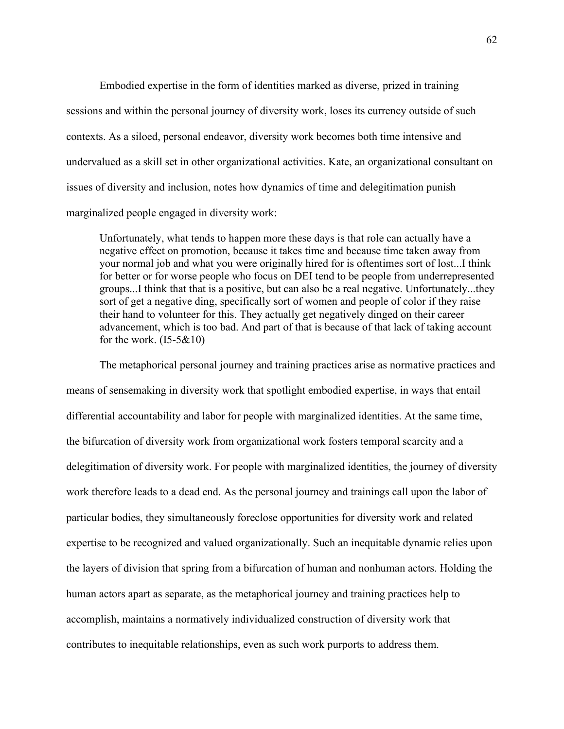Embodied expertise in the form of identities marked as diverse, prized in training sessions and within the personal journey of diversity work, loses its currency outside of such contexts. As a siloed, personal endeavor, diversity work becomes both time intensive and undervalued as a skill set in other organizational activities. Kate, an organizational consultant on issues of diversity and inclusion, notes how dynamics of time and delegitimation punish marginalized people engaged in diversity work:

Unfortunately, what tends to happen more these days is that role can actually have a negative effect on promotion, because it takes time and because time taken away from your normal job and what you were originally hired for is oftentimes sort of lost...I think for better or for worse people who focus on DEI tend to be people from underrepresented groups...I think that that is a positive, but can also be a real negative. Unfortunately...they sort of get a negative ding, specifically sort of women and people of color if they raise their hand to volunteer for this. They actually get negatively dinged on their career advancement, which is too bad. And part of that is because of that lack of taking account for the work.  $(15-5&10)$ 

The metaphorical personal journey and training practices arise as normative practices and means of sensemaking in diversity work that spotlight embodied expertise, in ways that entail differential accountability and labor for people with marginalized identities. At the same time, the bifurcation of diversity work from organizational work fosters temporal scarcity and a delegitimation of diversity work. For people with marginalized identities, the journey of diversity work therefore leads to a dead end. As the personal journey and trainings call upon the labor of particular bodies, they simultaneously foreclose opportunities for diversity work and related expertise to be recognized and valued organizationally. Such an inequitable dynamic relies upon the layers of division that spring from a bifurcation of human and nonhuman actors. Holding the human actors apart as separate, as the metaphorical journey and training practices help to accomplish, maintains a normatively individualized construction of diversity work that contributes to inequitable relationships, even as such work purports to address them.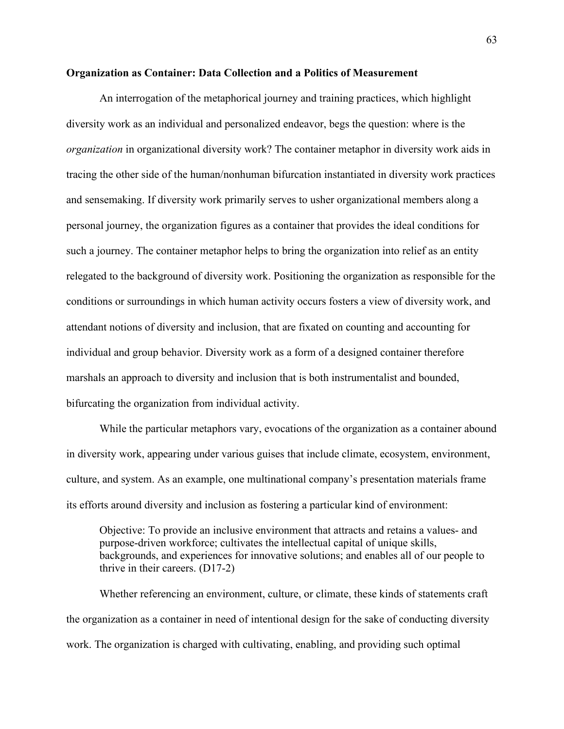#### **Organization as Container: Data Collection and a Politics of Measurement**

An interrogation of the metaphorical journey and training practices, which highlight diversity work as an individual and personalized endeavor, begs the question: where is the *organization* in organizational diversity work? The container metaphor in diversity work aids in tracing the other side of the human/nonhuman bifurcation instantiated in diversity work practices and sensemaking. If diversity work primarily serves to usher organizational members along a personal journey, the organization figures as a container that provides the ideal conditions for such a journey. The container metaphor helps to bring the organization into relief as an entity relegated to the background of diversity work. Positioning the organization as responsible for the conditions or surroundings in which human activity occurs fosters a view of diversity work, and attendant notions of diversity and inclusion, that are fixated on counting and accounting for individual and group behavior. Diversity work as a form of a designed container therefore marshals an approach to diversity and inclusion that is both instrumentalist and bounded, bifurcating the organization from individual activity.

While the particular metaphors vary, evocations of the organization as a container abound in diversity work, appearing under various guises that include climate, ecosystem, environment, culture, and system. As an example, one multinational company's presentation materials frame its efforts around diversity and inclusion as fostering a particular kind of environment:

Objective: To provide an inclusive environment that attracts and retains a values- and purpose-driven workforce; cultivates the intellectual capital of unique skills, backgrounds, and experiences for innovative solutions; and enables all of our people to thrive in their careers. (D17-2)

Whether referencing an environment, culture, or climate, these kinds of statements craft the organization as a container in need of intentional design for the sake of conducting diversity work. The organization is charged with cultivating, enabling, and providing such optimal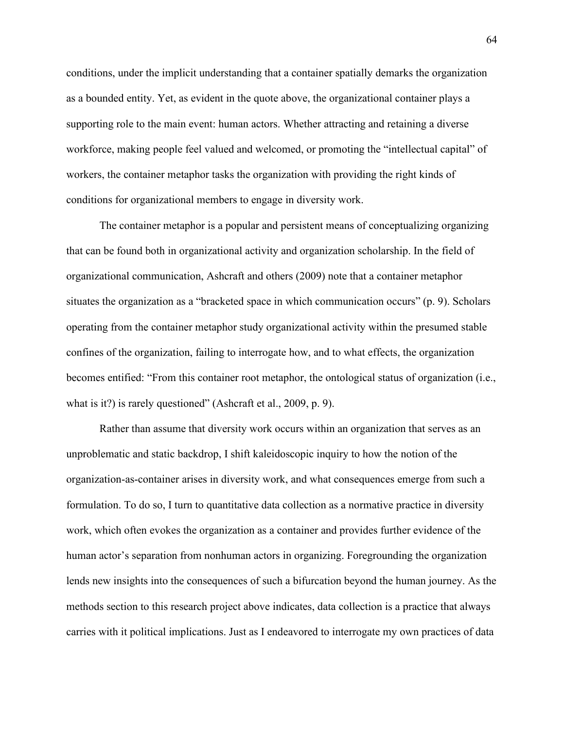conditions, under the implicit understanding that a container spatially demarks the organization as a bounded entity. Yet, as evident in the quote above, the organizational container plays a supporting role to the main event: human actors. Whether attracting and retaining a diverse workforce, making people feel valued and welcomed, or promoting the "intellectual capital" of workers, the container metaphor tasks the organization with providing the right kinds of conditions for organizational members to engage in diversity work.

The container metaphor is a popular and persistent means of conceptualizing organizing that can be found both in organizational activity and organization scholarship. In the field of organizational communication, Ashcraft and others (2009) note that a container metaphor situates the organization as a "bracketed space in which communication occurs" (p. 9). Scholars operating from the container metaphor study organizational activity within the presumed stable confines of the organization, failing to interrogate how, and to what effects, the organization becomes entified: "From this container root metaphor, the ontological status of organization (i.e., what is it?) is rarely questioned" (Ashcraft et al., 2009, p. 9).

Rather than assume that diversity work occurs within an organization that serves as an unproblematic and static backdrop, I shift kaleidoscopic inquiry to how the notion of the organization-as-container arises in diversity work, and what consequences emerge from such a formulation. To do so, I turn to quantitative data collection as a normative practice in diversity work, which often evokes the organization as a container and provides further evidence of the human actor's separation from nonhuman actors in organizing. Foregrounding the organization lends new insights into the consequences of such a bifurcation beyond the human journey. As the methods section to this research project above indicates, data collection is a practice that always carries with it political implications. Just as I endeavored to interrogate my own practices of data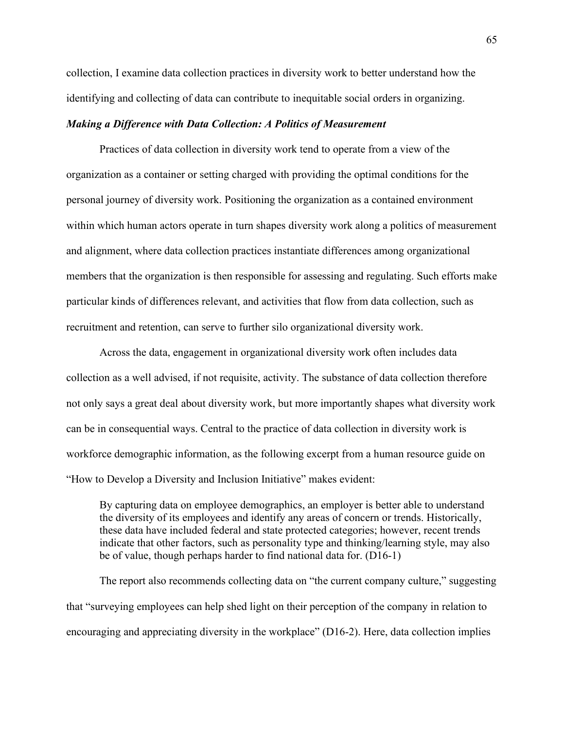collection, I examine data collection practices in diversity work to better understand how the identifying and collecting of data can contribute to inequitable social orders in organizing.

# *Making a Difference with Data Collection: A Politics of Measurement*

Practices of data collection in diversity work tend to operate from a view of the organization as a container or setting charged with providing the optimal conditions for the personal journey of diversity work. Positioning the organization as a contained environment within which human actors operate in turn shapes diversity work along a politics of measurement and alignment, where data collection practices instantiate differences among organizational members that the organization is then responsible for assessing and regulating. Such efforts make particular kinds of differences relevant, and activities that flow from data collection, such as recruitment and retention, can serve to further silo organizational diversity work.

Across the data, engagement in organizational diversity work often includes data collection as a well advised, if not requisite, activity. The substance of data collection therefore not only says a great deal about diversity work, but more importantly shapes what diversity work can be in consequential ways. Central to the practice of data collection in diversity work is workforce demographic information, as the following excerpt from a human resource guide on "How to Develop a Diversity and Inclusion Initiative" makes evident:

By capturing data on employee demographics, an employer is better able to understand the diversity of its employees and identify any areas of concern or trends. Historically, these data have included federal and state protected categories; however, recent trends indicate that other factors, such as personality type and thinking/learning style, may also be of value, though perhaps harder to find national data for. (D16-1)

The report also recommends collecting data on "the current company culture," suggesting that "surveying employees can help shed light on their perception of the company in relation to encouraging and appreciating diversity in the workplace" (D16-2). Here, data collection implies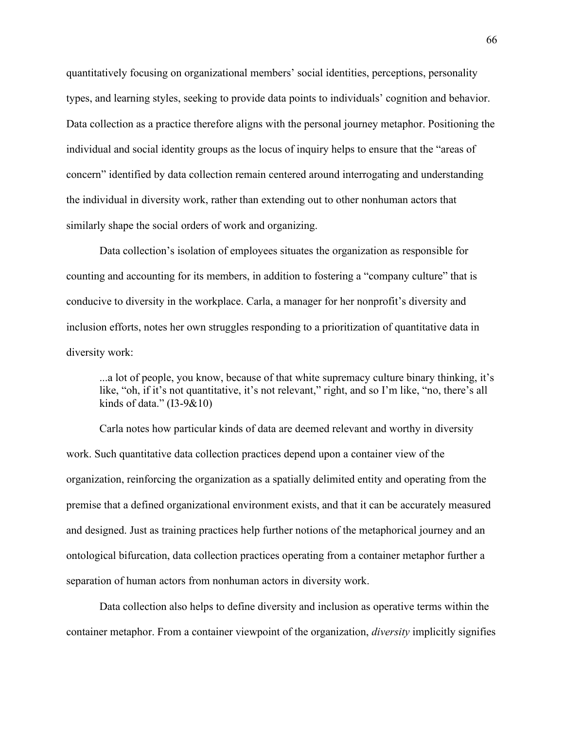quantitatively focusing on organizational members' social identities, perceptions, personality types, and learning styles, seeking to provide data points to individuals' cognition and behavior. Data collection as a practice therefore aligns with the personal journey metaphor. Positioning the individual and social identity groups as the locus of inquiry helps to ensure that the "areas of concern" identified by data collection remain centered around interrogating and understanding the individual in diversity work, rather than extending out to other nonhuman actors that similarly shape the social orders of work and organizing.

Data collection's isolation of employees situates the organization as responsible for counting and accounting for its members, in addition to fostering a "company culture" that is conducive to diversity in the workplace. Carla, a manager for her nonprofit's diversity and inclusion efforts, notes her own struggles responding to a prioritization of quantitative data in diversity work:

...a lot of people, you know, because of that white supremacy culture binary thinking, it's like, "oh, if it's not quantitative, it's not relevant," right, and so I'm like, "no, there's all kinds of data." (I3-9&10)

Carla notes how particular kinds of data are deemed relevant and worthy in diversity work. Such quantitative data collection practices depend upon a container view of the organization, reinforcing the organization as a spatially delimited entity and operating from the premise that a defined organizational environment exists, and that it can be accurately measured and designed. Just as training practices help further notions of the metaphorical journey and an ontological bifurcation, data collection practices operating from a container metaphor further a separation of human actors from nonhuman actors in diversity work.

Data collection also helps to define diversity and inclusion as operative terms within the container metaphor. From a container viewpoint of the organization, *diversity* implicitly signifies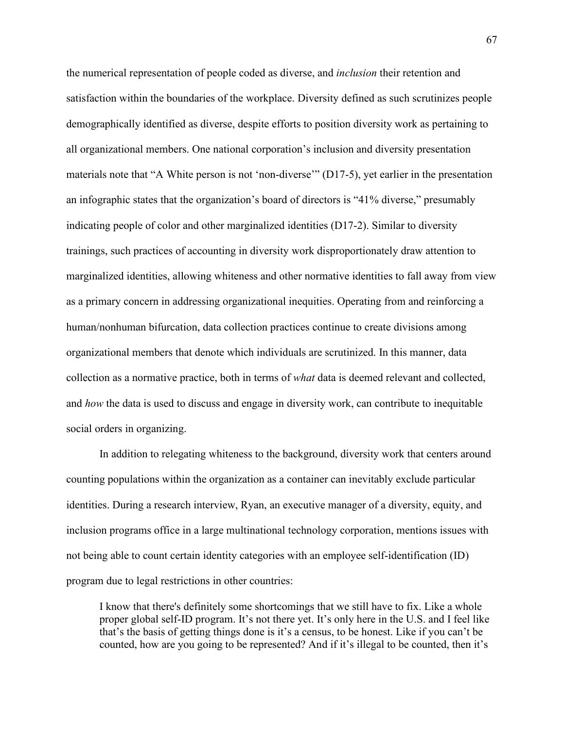the numerical representation of people coded as diverse, and *inclusion* their retention and satisfaction within the boundaries of the workplace. Diversity defined as such scrutinizes people demographically identified as diverse, despite efforts to position diversity work as pertaining to all organizational members. One national corporation's inclusion and diversity presentation materials note that "A White person is not 'non-diverse'" (D17-5), yet earlier in the presentation an infographic states that the organization's board of directors is "41% diverse," presumably indicating people of color and other marginalized identities (D17-2). Similar to diversity trainings, such practices of accounting in diversity work disproportionately draw attention to marginalized identities, allowing whiteness and other normative identities to fall away from view as a primary concern in addressing organizational inequities. Operating from and reinforcing a human/nonhuman bifurcation, data collection practices continue to create divisions among organizational members that denote which individuals are scrutinized. In this manner, data collection as a normative practice, both in terms of *what* data is deemed relevant and collected, and *how* the data is used to discuss and engage in diversity work, can contribute to inequitable social orders in organizing.

In addition to relegating whiteness to the background, diversity work that centers around counting populations within the organization as a container can inevitably exclude particular identities. During a research interview, Ryan, an executive manager of a diversity, equity, and inclusion programs office in a large multinational technology corporation, mentions issues with not being able to count certain identity categories with an employee self-identification (ID) program due to legal restrictions in other countries:

I know that there's definitely some shortcomings that we still have to fix. Like a whole proper global self-ID program. It's not there yet. It's only here in the U.S. and I feel like that's the basis of getting things done is it's a census, to be honest. Like if you can't be counted, how are you going to be represented? And if it's illegal to be counted, then it's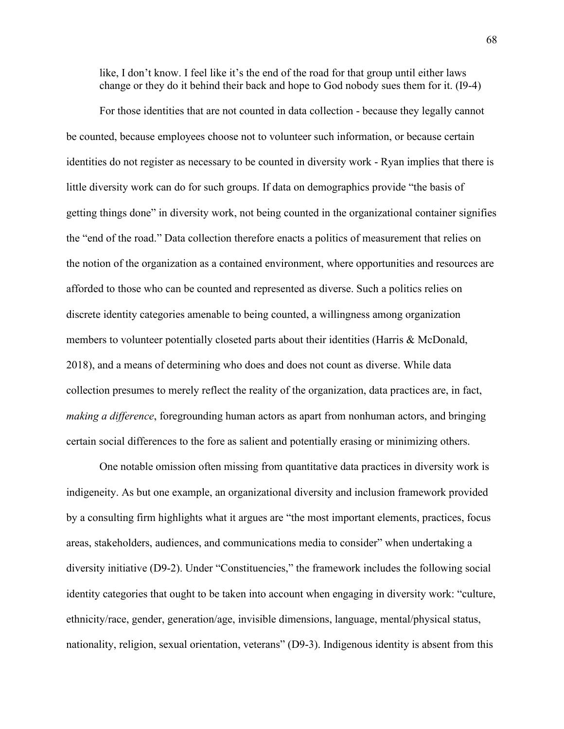like, I don't know. I feel like it's the end of the road for that group until either laws change or they do it behind their back and hope to God nobody sues them for it. (I9-4)

For those identities that are not counted in data collection - because they legally cannot be counted, because employees choose not to volunteer such information, or because certain identities do not register as necessary to be counted in diversity work - Ryan implies that there is little diversity work can do for such groups. If data on demographics provide "the basis of getting things done" in diversity work, not being counted in the organizational container signifies the "end of the road." Data collection therefore enacts a politics of measurement that relies on the notion of the organization as a contained environment, where opportunities and resources are afforded to those who can be counted and represented as diverse. Such a politics relies on discrete identity categories amenable to being counted, a willingness among organization members to volunteer potentially closeted parts about their identities (Harris & McDonald, 2018), and a means of determining who does and does not count as diverse. While data collection presumes to merely reflect the reality of the organization, data practices are, in fact, *making a difference*, foregrounding human actors as apart from nonhuman actors, and bringing certain social differences to the fore as salient and potentially erasing or minimizing others.

One notable omission often missing from quantitative data practices in diversity work is indigeneity. As but one example, an organizational diversity and inclusion framework provided by a consulting firm highlights what it argues are "the most important elements, practices, focus areas, stakeholders, audiences, and communications media to consider" when undertaking a diversity initiative (D9-2). Under "Constituencies," the framework includes the following social identity categories that ought to be taken into account when engaging in diversity work: "culture, ethnicity/race, gender, generation/age, invisible dimensions, language, mental/physical status, nationality, religion, sexual orientation, veterans" (D9-3). Indigenous identity is absent from this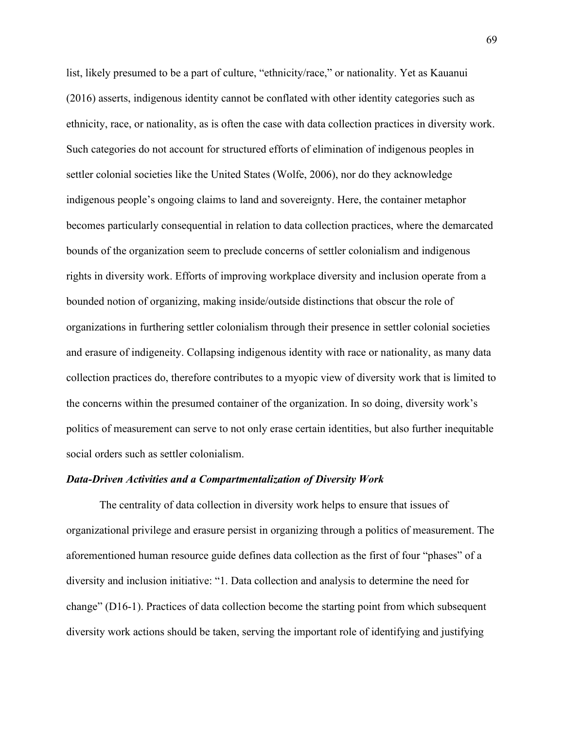list, likely presumed to be a part of culture, "ethnicity/race," or nationality. Yet as Kauanui (2016) asserts, indigenous identity cannot be conflated with other identity categories such as ethnicity, race, or nationality, as is often the case with data collection practices in diversity work. Such categories do not account for structured efforts of elimination of indigenous peoples in settler colonial societies like the United States (Wolfe, 2006), nor do they acknowledge indigenous people's ongoing claims to land and sovereignty. Here, the container metaphor becomes particularly consequential in relation to data collection practices, where the demarcated bounds of the organization seem to preclude concerns of settler colonialism and indigenous rights in diversity work. Efforts of improving workplace diversity and inclusion operate from a bounded notion of organizing, making inside/outside distinctions that obscur the role of organizations in furthering settler colonialism through their presence in settler colonial societies and erasure of indigeneity. Collapsing indigenous identity with race or nationality, as many data collection practices do, therefore contributes to a myopic view of diversity work that is limited to the concerns within the presumed container of the organization. In so doing, diversity work's politics of measurement can serve to not only erase certain identities, but also further inequitable social orders such as settler colonialism.

## *Data-Driven Activities and a Compartmentalization of Diversity Work*

The centrality of data collection in diversity work helps to ensure that issues of organizational privilege and erasure persist in organizing through a politics of measurement. The aforementioned human resource guide defines data collection as the first of four "phases" of a diversity and inclusion initiative: "1. Data collection and analysis to determine the need for change" (D16-1). Practices of data collection become the starting point from which subsequent diversity work actions should be taken, serving the important role of identifying and justifying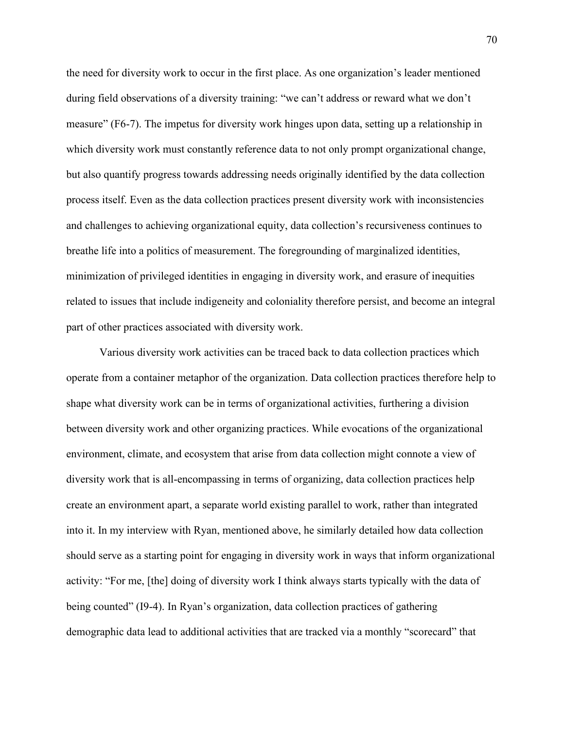the need for diversity work to occur in the first place. As one organization's leader mentioned during field observations of a diversity training: "we can't address or reward what we don't measure" (F6-7). The impetus for diversity work hinges upon data, setting up a relationship in which diversity work must constantly reference data to not only prompt organizational change, but also quantify progress towards addressing needs originally identified by the data collection process itself. Even as the data collection practices present diversity work with inconsistencies and challenges to achieving organizational equity, data collection's recursiveness continues to breathe life into a politics of measurement. The foregrounding of marginalized identities, minimization of privileged identities in engaging in diversity work, and erasure of inequities related to issues that include indigeneity and coloniality therefore persist, and become an integral part of other practices associated with diversity work.

Various diversity work activities can be traced back to data collection practices which operate from a container metaphor of the organization. Data collection practices therefore help to shape what diversity work can be in terms of organizational activities, furthering a division between diversity work and other organizing practices. While evocations of the organizational environment, climate, and ecosystem that arise from data collection might connote a view of diversity work that is all-encompassing in terms of organizing, data collection practices help create an environment apart, a separate world existing parallel to work, rather than integrated into it. In my interview with Ryan, mentioned above, he similarly detailed how data collection should serve as a starting point for engaging in diversity work in ways that inform organizational activity: "For me, [the] doing of diversity work I think always starts typically with the data of being counted" (I9-4). In Ryan's organization, data collection practices of gathering demographic data lead to additional activities that are tracked via a monthly "scorecard" that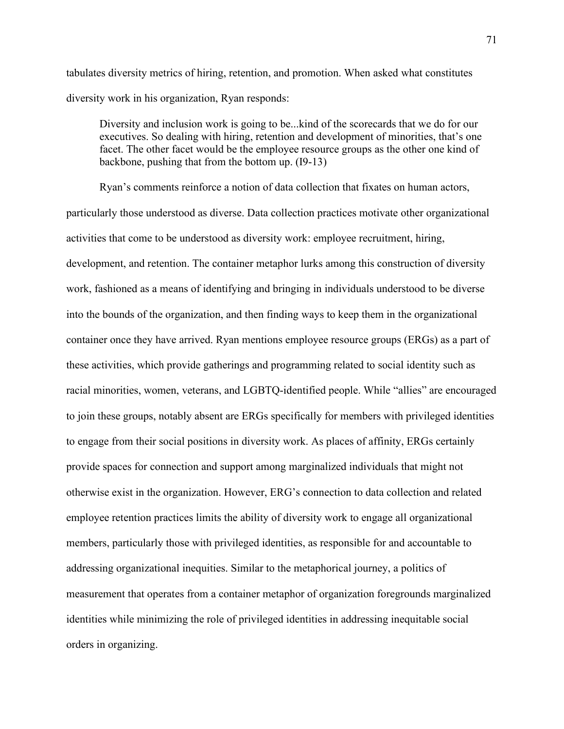tabulates diversity metrics of hiring, retention, and promotion. When asked what constitutes diversity work in his organization, Ryan responds:

Diversity and inclusion work is going to be...kind of the scorecards that we do for our executives. So dealing with hiring, retention and development of minorities, that's one facet. The other facet would be the employee resource groups as the other one kind of backbone, pushing that from the bottom up. (I9-13)

Ryan's comments reinforce a notion of data collection that fixates on human actors, particularly those understood as diverse. Data collection practices motivate other organizational activities that come to be understood as diversity work: employee recruitment, hiring, development, and retention. The container metaphor lurks among this construction of diversity work, fashioned as a means of identifying and bringing in individuals understood to be diverse into the bounds of the organization, and then finding ways to keep them in the organizational container once they have arrived. Ryan mentions employee resource groups (ERGs) as a part of these activities, which provide gatherings and programming related to social identity such as racial minorities, women, veterans, and LGBTQ-identified people. While "allies" are encouraged to join these groups, notably absent are ERGs specifically for members with privileged identities to engage from their social positions in diversity work. As places of affinity, ERGs certainly provide spaces for connection and support among marginalized individuals that might not otherwise exist in the organization. However, ERG's connection to data collection and related employee retention practices limits the ability of diversity work to engage all organizational members, particularly those with privileged identities, as responsible for and accountable to addressing organizational inequities. Similar to the metaphorical journey, a politics of measurement that operates from a container metaphor of organization foregrounds marginalized identities while minimizing the role of privileged identities in addressing inequitable social orders in organizing.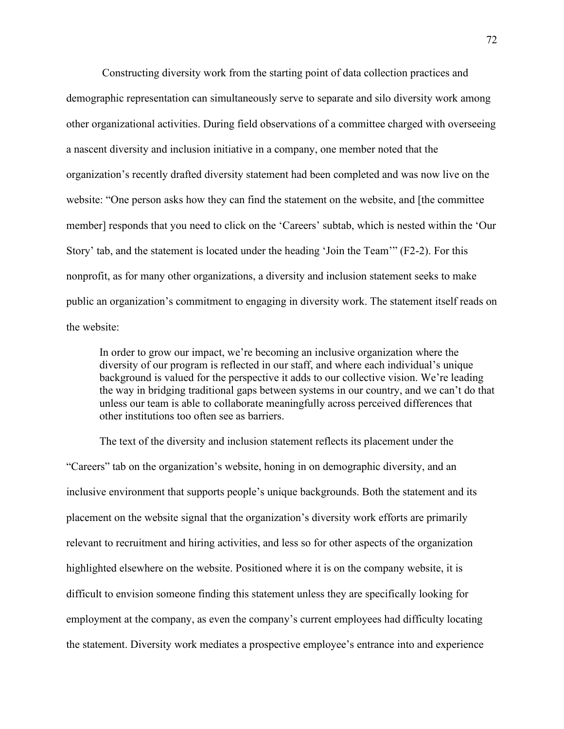Constructing diversity work from the starting point of data collection practices and demographic representation can simultaneously serve to separate and silo diversity work among other organizational activities. During field observations of a committee charged with overseeing a nascent diversity and inclusion initiative in a company, one member noted that the organization's recently drafted diversity statement had been completed and was now live on the website: "One person asks how they can find the statement on the website, and [the committee member] responds that you need to click on the 'Careers' subtab, which is nested within the 'Our Story' tab, and the statement is located under the heading 'Join the Team'" (F2-2). For this nonprofit, as for many other organizations, a diversity and inclusion statement seeks to make public an organization's commitment to engaging in diversity work. The statement itself reads on the website:

In order to grow our impact, we're becoming an inclusive organization where the diversity of our program is reflected in our staff, and where each individual's unique background is valued for the perspective it adds to our collective vision. We're leading the way in bridging traditional gaps between systems in our country, and we can't do that unless our team is able to collaborate meaningfully across perceived differences that other institutions too often see as barriers.

The text of the diversity and inclusion statement reflects its placement under the "Careers" tab on the organization's website, honing in on demographic diversity, and an inclusive environment that supports people's unique backgrounds. Both the statement and its placement on the website signal that the organization's diversity work efforts are primarily relevant to recruitment and hiring activities, and less so for other aspects of the organization highlighted elsewhere on the website. Positioned where it is on the company website, it is difficult to envision someone finding this statement unless they are specifically looking for employment at the company, as even the company's current employees had difficulty locating the statement. Diversity work mediates a prospective employee's entrance into and experience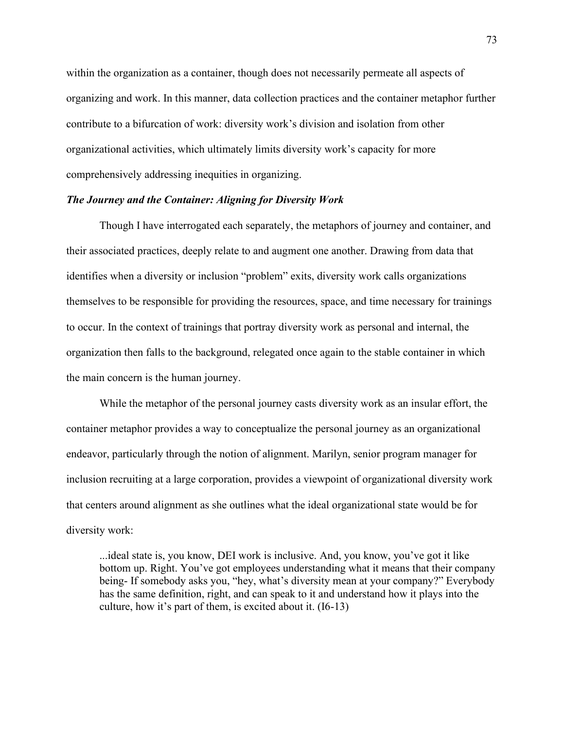within the organization as a container, though does not necessarily permeate all aspects of organizing and work. In this manner, data collection practices and the container metaphor further contribute to a bifurcation of work: diversity work's division and isolation from other organizational activities, which ultimately limits diversity work's capacity for more comprehensively addressing inequities in organizing.

## *The Journey and the Container: Aligning for Diversity Work*

Though I have interrogated each separately, the metaphors of journey and container, and their associated practices, deeply relate to and augment one another. Drawing from data that identifies when a diversity or inclusion "problem" exits, diversity work calls organizations themselves to be responsible for providing the resources, space, and time necessary for trainings to occur. In the context of trainings that portray diversity work as personal and internal, the organization then falls to the background, relegated once again to the stable container in which the main concern is the human journey.

While the metaphor of the personal journey casts diversity work as an insular effort, the container metaphor provides a way to conceptualize the personal journey as an organizational endeavor, particularly through the notion of alignment. Marilyn, senior program manager for inclusion recruiting at a large corporation, provides a viewpoint of organizational diversity work that centers around alignment as she outlines what the ideal organizational state would be for diversity work:

...ideal state is, you know, DEI work is inclusive. And, you know, you've got it like bottom up. Right. You've got employees understanding what it means that their company being- If somebody asks you, "hey, what's diversity mean at your company?" Everybody has the same definition, right, and can speak to it and understand how it plays into the culture, how it's part of them, is excited about it. (I6-13)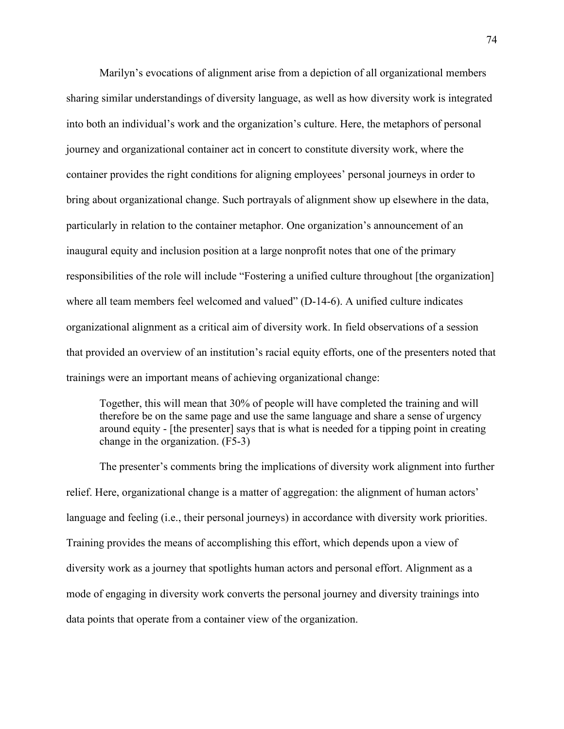Marilyn's evocations of alignment arise from a depiction of all organizational members sharing similar understandings of diversity language, as well as how diversity work is integrated into both an individual's work and the organization's culture. Here, the metaphors of personal journey and organizational container act in concert to constitute diversity work, where the container provides the right conditions for aligning employees' personal journeys in order to bring about organizational change. Such portrayals of alignment show up elsewhere in the data, particularly in relation to the container metaphor. One organization's announcement of an inaugural equity and inclusion position at a large nonprofit notes that one of the primary responsibilities of the role will include "Fostering a unified culture throughout [the organization] where all team members feel welcomed and valued" (D-14-6). A unified culture indicates organizational alignment as a critical aim of diversity work. In field observations of a session that provided an overview of an institution's racial equity efforts, one of the presenters noted that trainings were an important means of achieving organizational change:

Together, this will mean that 30% of people will have completed the training and will therefore be on the same page and use the same language and share a sense of urgency around equity - [the presenter] says that is what is needed for a tipping point in creating change in the organization. (F5-3)

The presenter's comments bring the implications of diversity work alignment into further relief. Here, organizational change is a matter of aggregation: the alignment of human actors' language and feeling (i.e., their personal journeys) in accordance with diversity work priorities. Training provides the means of accomplishing this effort, which depends upon a view of diversity work as a journey that spotlights human actors and personal effort. Alignment as a mode of engaging in diversity work converts the personal journey and diversity trainings into data points that operate from a container view of the organization.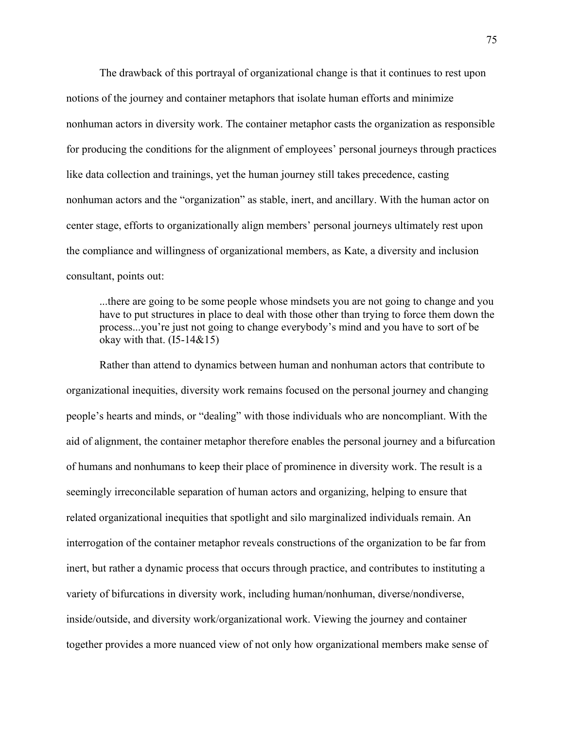The drawback of this portrayal of organizational change is that it continues to rest upon notions of the journey and container metaphors that isolate human efforts and minimize nonhuman actors in diversity work. The container metaphor casts the organization as responsible for producing the conditions for the alignment of employees' personal journeys through practices like data collection and trainings, yet the human journey still takes precedence, casting nonhuman actors and the "organization" as stable, inert, and ancillary. With the human actor on center stage, efforts to organizationally align members' personal journeys ultimately rest upon the compliance and willingness of organizational members, as Kate, a diversity and inclusion consultant, points out:

...there are going to be some people whose mindsets you are not going to change and you have to put structures in place to deal with those other than trying to force them down the process...you're just not going to change everybody's mind and you have to sort of be okay with that.  $(I5-14&15)$ 

Rather than attend to dynamics between human and nonhuman actors that contribute to organizational inequities, diversity work remains focused on the personal journey and changing people's hearts and minds, or "dealing" with those individuals who are noncompliant. With the aid of alignment, the container metaphor therefore enables the personal journey and a bifurcation of humans and nonhumans to keep their place of prominence in diversity work. The result is a seemingly irreconcilable separation of human actors and organizing, helping to ensure that related organizational inequities that spotlight and silo marginalized individuals remain. An interrogation of the container metaphor reveals constructions of the organization to be far from inert, but rather a dynamic process that occurs through practice, and contributes to instituting a variety of bifurcations in diversity work, including human/nonhuman, diverse/nondiverse, inside/outside, and diversity work/organizational work. Viewing the journey and container together provides a more nuanced view of not only how organizational members make sense of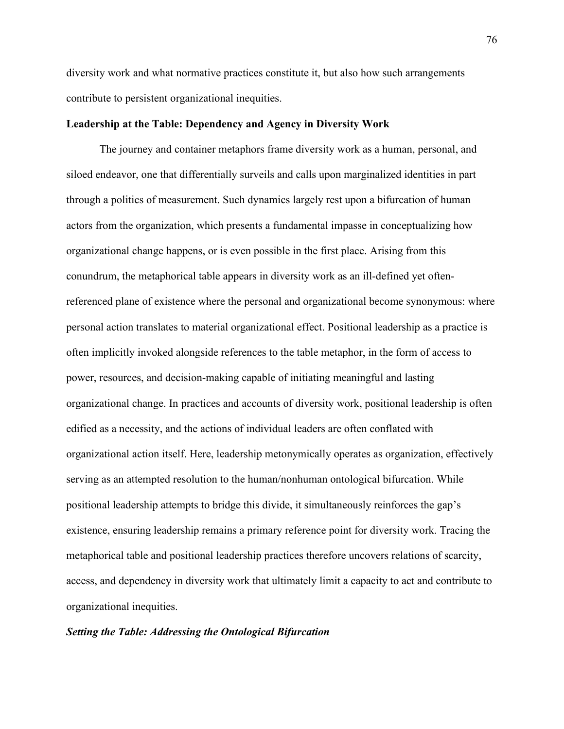diversity work and what normative practices constitute it, but also how such arrangements contribute to persistent organizational inequities.

## **Leadership at the Table: Dependency and Agency in Diversity Work**

The journey and container metaphors frame diversity work as a human, personal, and siloed endeavor, one that differentially surveils and calls upon marginalized identities in part through a politics of measurement. Such dynamics largely rest upon a bifurcation of human actors from the organization, which presents a fundamental impasse in conceptualizing how organizational change happens, or is even possible in the first place. Arising from this conundrum, the metaphorical table appears in diversity work as an ill-defined yet oftenreferenced plane of existence where the personal and organizational become synonymous: where personal action translates to material organizational effect. Positional leadership as a practice is often implicitly invoked alongside references to the table metaphor, in the form of access to power, resources, and decision-making capable of initiating meaningful and lasting organizational change. In practices and accounts of diversity work, positional leadership is often edified as a necessity, and the actions of individual leaders are often conflated with organizational action itself. Here, leadership metonymically operates as organization, effectively serving as an attempted resolution to the human/nonhuman ontological bifurcation. While positional leadership attempts to bridge this divide, it simultaneously reinforces the gap's existence, ensuring leadership remains a primary reference point for diversity work. Tracing the metaphorical table and positional leadership practices therefore uncovers relations of scarcity, access, and dependency in diversity work that ultimately limit a capacity to act and contribute to organizational inequities.

#### *Setting the Table: Addressing the Ontological Bifurcation*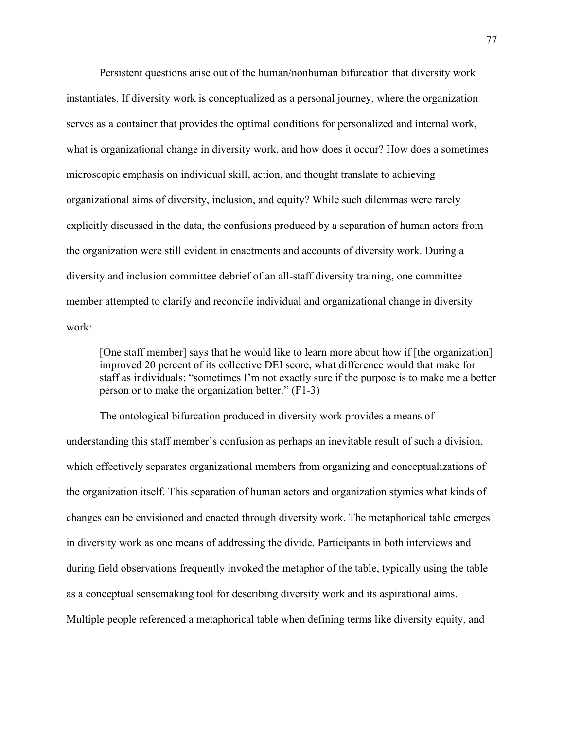Persistent questions arise out of the human/nonhuman bifurcation that diversity work instantiates. If diversity work is conceptualized as a personal journey, where the organization serves as a container that provides the optimal conditions for personalized and internal work, what is organizational change in diversity work, and how does it occur? How does a sometimes microscopic emphasis on individual skill, action, and thought translate to achieving organizational aims of diversity, inclusion, and equity? While such dilemmas were rarely explicitly discussed in the data, the confusions produced by a separation of human actors from the organization were still evident in enactments and accounts of diversity work. During a diversity and inclusion committee debrief of an all-staff diversity training, one committee member attempted to clarify and reconcile individual and organizational change in diversity work:

[One staff member] says that he would like to learn more about how if [the organization] improved 20 percent of its collective DEI score, what difference would that make for staff as individuals: "sometimes I'm not exactly sure if the purpose is to make me a better person or to make the organization better." (F1-3)

The ontological bifurcation produced in diversity work provides a means of understanding this staff member's confusion as perhaps an inevitable result of such a division, which effectively separates organizational members from organizing and conceptualizations of the organization itself. This separation of human actors and organization stymies what kinds of changes can be envisioned and enacted through diversity work. The metaphorical table emerges in diversity work as one means of addressing the divide. Participants in both interviews and during field observations frequently invoked the metaphor of the table, typically using the table as a conceptual sensemaking tool for describing diversity work and its aspirational aims. Multiple people referenced a metaphorical table when defining terms like diversity equity, and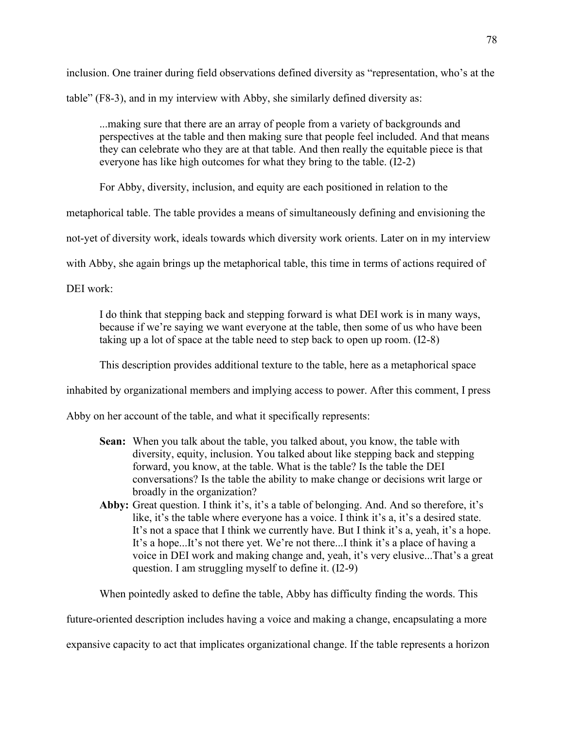inclusion. One trainer during field observations defined diversity as "representation, who's at the table" (F8-3), and in my interview with Abby, she similarly defined diversity as:

...making sure that there are an array of people from a variety of backgrounds and perspectives at the table and then making sure that people feel included. And that means they can celebrate who they are at that table. And then really the equitable piece is that everyone has like high outcomes for what they bring to the table. (I2-2)

For Abby, diversity, inclusion, and equity are each positioned in relation to the

metaphorical table. The table provides a means of simultaneously defining and envisioning the

not-yet of diversity work, ideals towards which diversity work orients. Later on in my interview

with Abby, she again brings up the metaphorical table, this time in terms of actions required of

DEI work:

I do think that stepping back and stepping forward is what DEI work is in many ways, because if we're saying we want everyone at the table, then some of us who have been taking up a lot of space at the table need to step back to open up room. (I2-8)

This description provides additional texture to the table, here as a metaphorical space

inhabited by organizational members and implying access to power. After this comment, I press

Abby on her account of the table, and what it specifically represents:

- **Sean:** When you talk about the table, you talked about, you know, the table with diversity, equity, inclusion. You talked about like stepping back and stepping forward, you know, at the table. What is the table? Is the table the DEI conversations? Is the table the ability to make change or decisions writ large or broadly in the organization?
- **Abby:** Great question. I think it's, it's a table of belonging. And. And so therefore, it's like, it's the table where everyone has a voice. I think it's a, it's a desired state. It's not a space that I think we currently have. But I think it's a, yeah, it's a hope. It's a hope...It's not there yet. We're not there...I think it's a place of having a voice in DEI work and making change and, yeah, it's very elusive...That's a great question. I am struggling myself to define it. (I2-9)

When pointedly asked to define the table, Abby has difficulty finding the words. This

future-oriented description includes having a voice and making a change, encapsulating a more

expansive capacity to act that implicates organizational change. If the table represents a horizon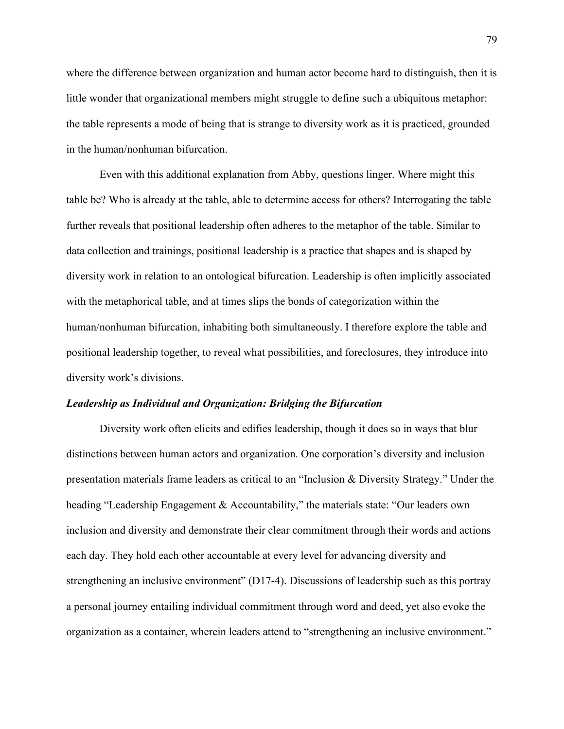where the difference between organization and human actor become hard to distinguish, then it is little wonder that organizational members might struggle to define such a ubiquitous metaphor: the table represents a mode of being that is strange to diversity work as it is practiced, grounded in the human/nonhuman bifurcation.

Even with this additional explanation from Abby, questions linger. Where might this table be? Who is already at the table, able to determine access for others? Interrogating the table further reveals that positional leadership often adheres to the metaphor of the table. Similar to data collection and trainings, positional leadership is a practice that shapes and is shaped by diversity work in relation to an ontological bifurcation. Leadership is often implicitly associated with the metaphorical table, and at times slips the bonds of categorization within the human/nonhuman bifurcation, inhabiting both simultaneously. I therefore explore the table and positional leadership together, to reveal what possibilities, and foreclosures, they introduce into diversity work's divisions.

#### *Leadership as Individual and Organization: Bridging the Bifurcation*

Diversity work often elicits and edifies leadership, though it does so in ways that blur distinctions between human actors and organization. One corporation's diversity and inclusion presentation materials frame leaders as critical to an "Inclusion & Diversity Strategy." Under the heading "Leadership Engagement & Accountability," the materials state: "Our leaders own inclusion and diversity and demonstrate their clear commitment through their words and actions each day. They hold each other accountable at every level for advancing diversity and strengthening an inclusive environment" (D17-4). Discussions of leadership such as this portray a personal journey entailing individual commitment through word and deed, yet also evoke the organization as a container, wherein leaders attend to "strengthening an inclusive environment."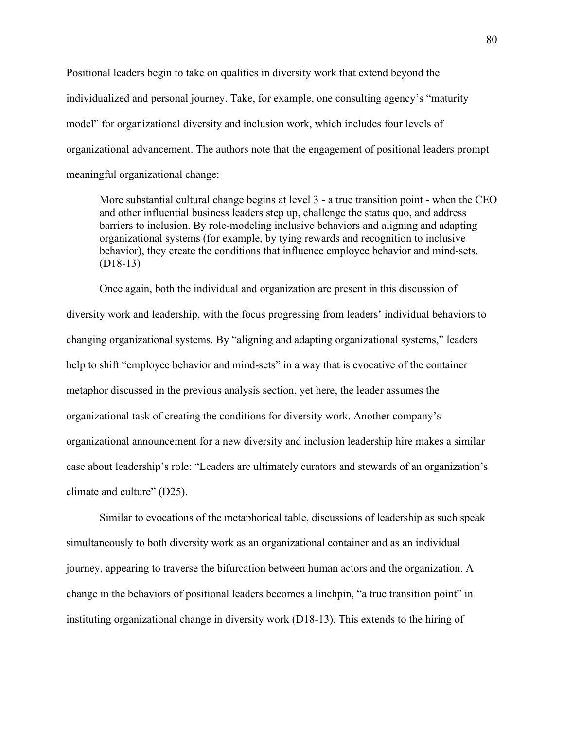Positional leaders begin to take on qualities in diversity work that extend beyond the individualized and personal journey. Take, for example, one consulting agency's "maturity model" for organizational diversity and inclusion work, which includes four levels of organizational advancement. The authors note that the engagement of positional leaders prompt meaningful organizational change:

More substantial cultural change begins at level 3 - a true transition point - when the CEO and other influential business leaders step up, challenge the status quo, and address barriers to inclusion. By role-modeling inclusive behaviors and aligning and adapting organizational systems (for example, by tying rewards and recognition to inclusive behavior), they create the conditions that influence employee behavior and mind-sets. (D18-13)

Once again, both the individual and organization are present in this discussion of diversity work and leadership, with the focus progressing from leaders' individual behaviors to changing organizational systems. By "aligning and adapting organizational systems," leaders help to shift "employee behavior and mind-sets" in a way that is evocative of the container metaphor discussed in the previous analysis section, yet here, the leader assumes the organizational task of creating the conditions for diversity work. Another company's organizational announcement for a new diversity and inclusion leadership hire makes a similar case about leadership's role: "Leaders are ultimately curators and stewards of an organization's climate and culture" (D25).

Similar to evocations of the metaphorical table, discussions of leadership as such speak simultaneously to both diversity work as an organizational container and as an individual journey, appearing to traverse the bifurcation between human actors and the organization. A change in the behaviors of positional leaders becomes a linchpin, "a true transition point" in instituting organizational change in diversity work (D18-13). This extends to the hiring of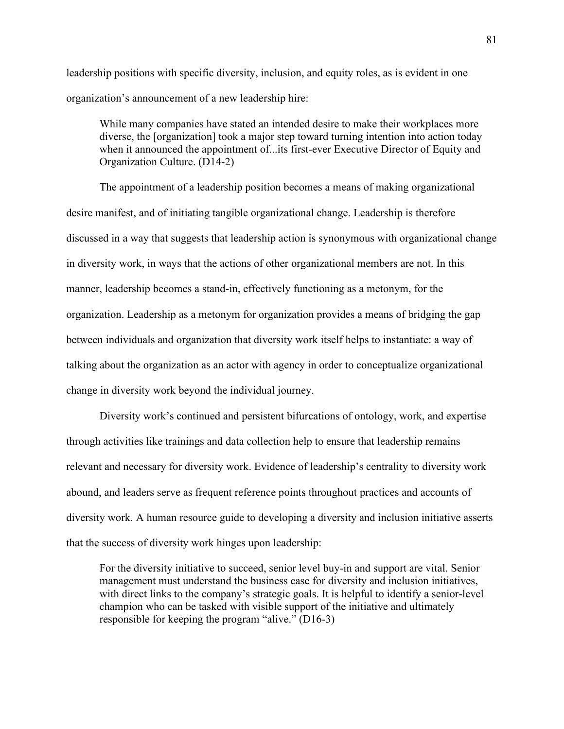leadership positions with specific diversity, inclusion, and equity roles, as is evident in one organization's announcement of a new leadership hire:

While many companies have stated an intended desire to make their workplaces more diverse, the [organization] took a major step toward turning intention into action today when it announced the appointment of...its first-ever Executive Director of Equity and Organization Culture. (D14-2)

The appointment of a leadership position becomes a means of making organizational desire manifest, and of initiating tangible organizational change. Leadership is therefore discussed in a way that suggests that leadership action is synonymous with organizational change in diversity work, in ways that the actions of other organizational members are not. In this manner, leadership becomes a stand-in, effectively functioning as a metonym, for the organization. Leadership as a metonym for organization provides a means of bridging the gap between individuals and organization that diversity work itself helps to instantiate: a way of talking about the organization as an actor with agency in order to conceptualize organizational change in diversity work beyond the individual journey.

Diversity work's continued and persistent bifurcations of ontology, work, and expertise through activities like trainings and data collection help to ensure that leadership remains relevant and necessary for diversity work. Evidence of leadership's centrality to diversity work abound, and leaders serve as frequent reference points throughout practices and accounts of diversity work. A human resource guide to developing a diversity and inclusion initiative asserts that the success of diversity work hinges upon leadership:

For the diversity initiative to succeed, senior level buy-in and support are vital. Senior management must understand the business case for diversity and inclusion initiatives, with direct links to the company's strategic goals. It is helpful to identify a senior-level champion who can be tasked with visible support of the initiative and ultimately responsible for keeping the program "alive." (D16-3)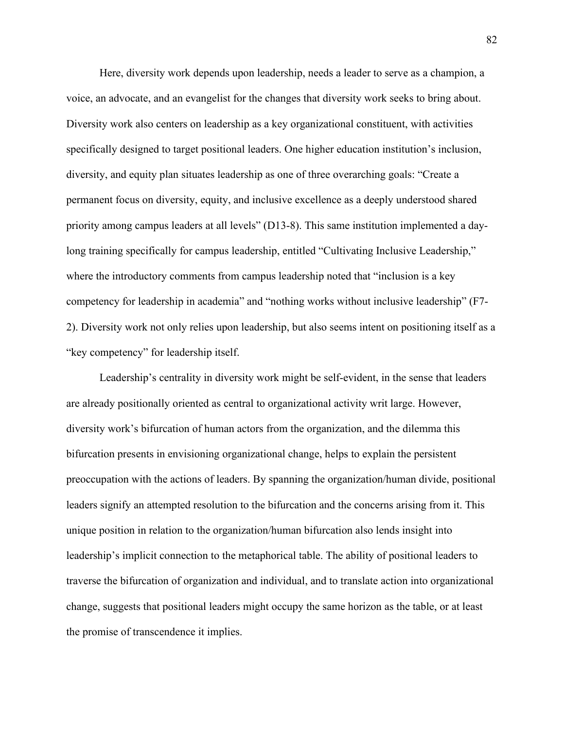Here, diversity work depends upon leadership, needs a leader to serve as a champion, a voice, an advocate, and an evangelist for the changes that diversity work seeks to bring about. Diversity work also centers on leadership as a key organizational constituent, with activities specifically designed to target positional leaders. One higher education institution's inclusion, diversity, and equity plan situates leadership as one of three overarching goals: "Create a permanent focus on diversity, equity, and inclusive excellence as a deeply understood shared priority among campus leaders at all levels" (D13-8). This same institution implemented a daylong training specifically for campus leadership, entitled "Cultivating Inclusive Leadership," where the introductory comments from campus leadership noted that "inclusion is a key competency for leadership in academia" and "nothing works without inclusive leadership" (F7- 2). Diversity work not only relies upon leadership, but also seems intent on positioning itself as a "key competency" for leadership itself.

Leadership's centrality in diversity work might be self-evident, in the sense that leaders are already positionally oriented as central to organizational activity writ large. However, diversity work's bifurcation of human actors from the organization, and the dilemma this bifurcation presents in envisioning organizational change, helps to explain the persistent preoccupation with the actions of leaders. By spanning the organization/human divide, positional leaders signify an attempted resolution to the bifurcation and the concerns arising from it. This unique position in relation to the organization/human bifurcation also lends insight into leadership's implicit connection to the metaphorical table. The ability of positional leaders to traverse the bifurcation of organization and individual, and to translate action into organizational change, suggests that positional leaders might occupy the same horizon as the table, or at least the promise of transcendence it implies.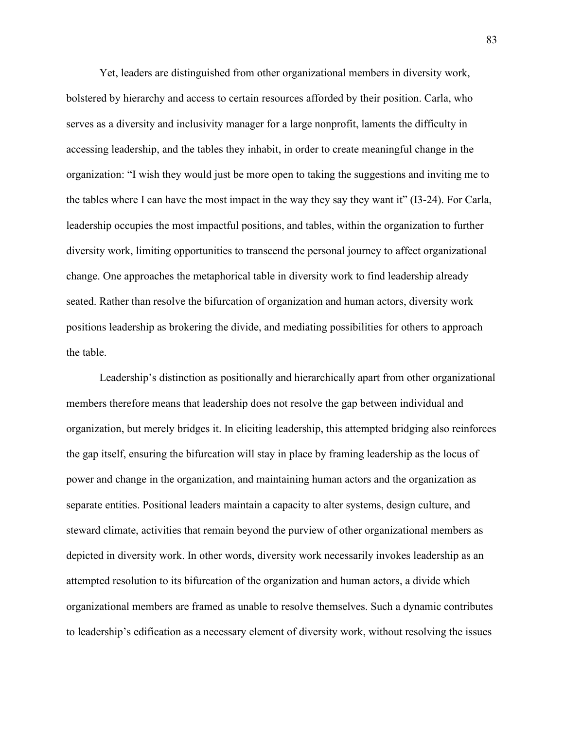Yet, leaders are distinguished from other organizational members in diversity work, bolstered by hierarchy and access to certain resources afforded by their position. Carla, who serves as a diversity and inclusivity manager for a large nonprofit, laments the difficulty in accessing leadership, and the tables they inhabit, in order to create meaningful change in the organization: "I wish they would just be more open to taking the suggestions and inviting me to the tables where I can have the most impact in the way they say they want it" (I3-24). For Carla, leadership occupies the most impactful positions, and tables, within the organization to further diversity work, limiting opportunities to transcend the personal journey to affect organizational change. One approaches the metaphorical table in diversity work to find leadership already seated. Rather than resolve the bifurcation of organization and human actors, diversity work positions leadership as brokering the divide, and mediating possibilities for others to approach the table.

Leadership's distinction as positionally and hierarchically apart from other organizational members therefore means that leadership does not resolve the gap between individual and organization, but merely bridges it. In eliciting leadership, this attempted bridging also reinforces the gap itself, ensuring the bifurcation will stay in place by framing leadership as the locus of power and change in the organization, and maintaining human actors and the organization as separate entities. Positional leaders maintain a capacity to alter systems, design culture, and steward climate, activities that remain beyond the purview of other organizational members as depicted in diversity work. In other words, diversity work necessarily invokes leadership as an attempted resolution to its bifurcation of the organization and human actors, a divide which organizational members are framed as unable to resolve themselves. Such a dynamic contributes to leadership's edification as a necessary element of diversity work, without resolving the issues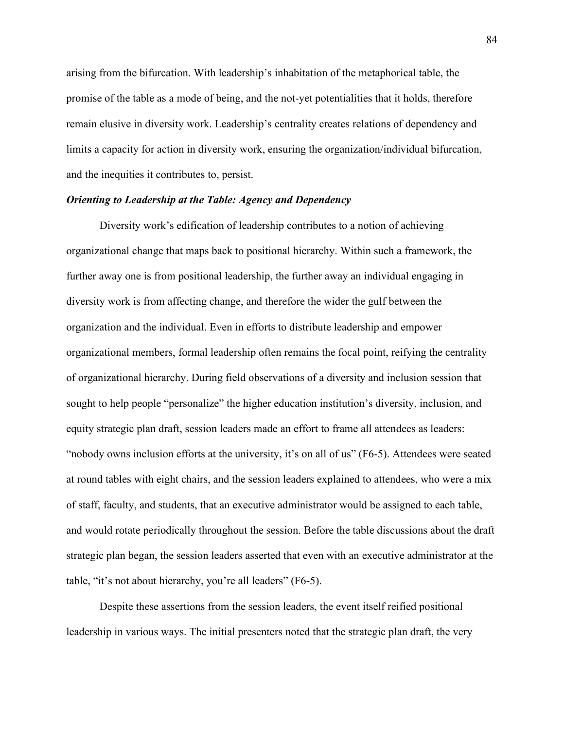arising from the bifurcation. With leadership's inhabitation of the metaphorical table, the promise of the table as a mode of being, and the not-yet potentialities that it holds, therefore remain elusive in diversity work. Leadership's centrality creates relations of dependency and limits a capacity for action in diversity work, ensuring the organization/individual bifurcation, and the inequities it contributes to, persist.

# *Orienting to Leadership at the Table: Agency and Dependency*

Diversity work's edification of leadership contributes to a notion of achieving organizational change that maps back to positional hierarchy. Within such a framework, the further away one is from positional leadership, the further away an individual engaging in diversity work is from affecting change, and therefore the wider the gulf between the organization and the individual. Even in efforts to distribute leadership and empower organizational members, formal leadership often remains the focal point, reifying the centrality of organizational hierarchy. During field observations of a diversity and inclusion session that sought to help people "personalize" the higher education institution's diversity, inclusion, and equity strategic plan draft, session leaders made an effort to frame all attendees as leaders: "nobody owns inclusion efforts at the university, it's on all of us" (F6-5). Attendees were seated at round tables with eight chairs, and the session leaders explained to attendees, who were a mix of staff, faculty, and students, that an executive administrator would be assigned to each table, and would rotate periodically throughout the session. Before the table discussions about the draft strategic plan began, the session leaders asserted that even with an executive administrator at the table, "it's not about hierarchy, you're all leaders" (F6-5).

Despite these assertions from the session leaders, the event itself reified positional leadership in various ways. The initial presenters noted that the strategic plan draft, the very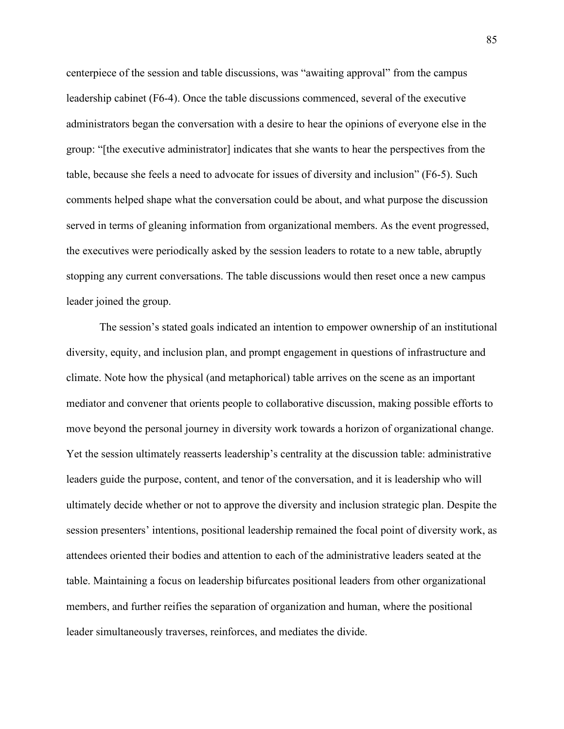centerpiece of the session and table discussions, was "awaiting approval" from the campus leadership cabinet (F6-4). Once the table discussions commenced, several of the executive administrators began the conversation with a desire to hear the opinions of everyone else in the group: "[the executive administrator] indicates that she wants to hear the perspectives from the table, because she feels a need to advocate for issues of diversity and inclusion" (F6-5). Such comments helped shape what the conversation could be about, and what purpose the discussion served in terms of gleaning information from organizational members. As the event progressed, the executives were periodically asked by the session leaders to rotate to a new table, abruptly stopping any current conversations. The table discussions would then reset once a new campus leader joined the group.

The session's stated goals indicated an intention to empower ownership of an institutional diversity, equity, and inclusion plan, and prompt engagement in questions of infrastructure and climate. Note how the physical (and metaphorical) table arrives on the scene as an important mediator and convener that orients people to collaborative discussion, making possible efforts to move beyond the personal journey in diversity work towards a horizon of organizational change. Yet the session ultimately reasserts leadership's centrality at the discussion table: administrative leaders guide the purpose, content, and tenor of the conversation, and it is leadership who will ultimately decide whether or not to approve the diversity and inclusion strategic plan. Despite the session presenters' intentions, positional leadership remained the focal point of diversity work, as attendees oriented their bodies and attention to each of the administrative leaders seated at the table. Maintaining a focus on leadership bifurcates positional leaders from other organizational members, and further reifies the separation of organization and human, where the positional leader simultaneously traverses, reinforces, and mediates the divide.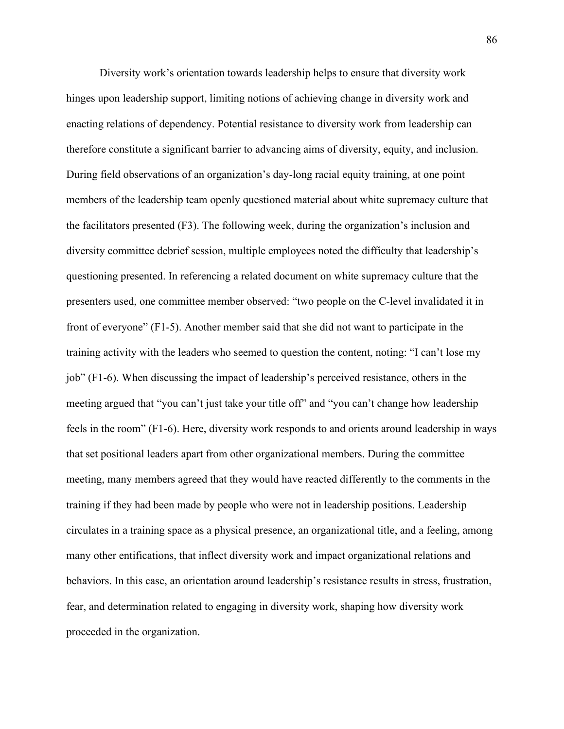Diversity work's orientation towards leadership helps to ensure that diversity work hinges upon leadership support, limiting notions of achieving change in diversity work and enacting relations of dependency. Potential resistance to diversity work from leadership can therefore constitute a significant barrier to advancing aims of diversity, equity, and inclusion. During field observations of an organization's day-long racial equity training, at one point members of the leadership team openly questioned material about white supremacy culture that the facilitators presented (F3). The following week, during the organization's inclusion and diversity committee debrief session, multiple employees noted the difficulty that leadership's questioning presented. In referencing a related document on white supremacy culture that the presenters used, one committee member observed: "two people on the C-level invalidated it in front of everyone" (F1-5). Another member said that she did not want to participate in the training activity with the leaders who seemed to question the content, noting: "I can't lose my job" (F1-6). When discussing the impact of leadership's perceived resistance, others in the meeting argued that "you can't just take your title off" and "you can't change how leadership feels in the room" (F1-6). Here, diversity work responds to and orients around leadership in ways that set positional leaders apart from other organizational members. During the committee meeting, many members agreed that they would have reacted differently to the comments in the training if they had been made by people who were not in leadership positions. Leadership circulates in a training space as a physical presence, an organizational title, and a feeling, among many other entifications, that inflect diversity work and impact organizational relations and behaviors. In this case, an orientation around leadership's resistance results in stress, frustration, fear, and determination related to engaging in diversity work, shaping how diversity work proceeded in the organization.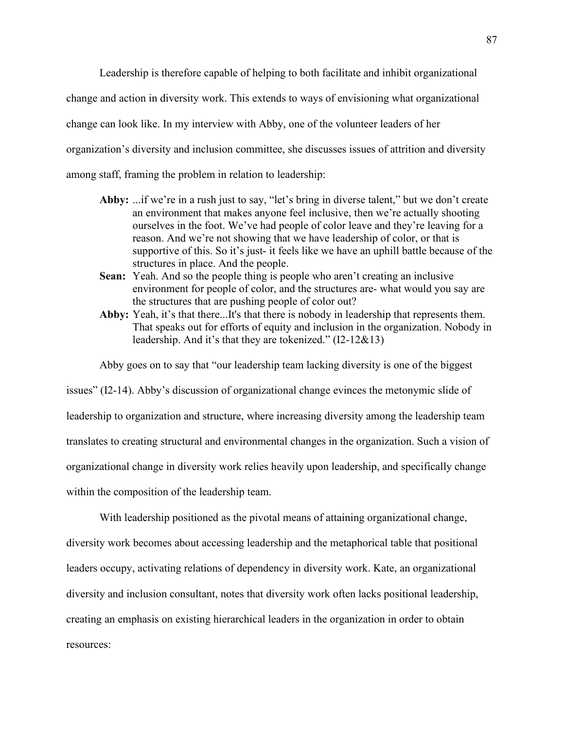Leadership is therefore capable of helping to both facilitate and inhibit organizational change and action in diversity work. This extends to ways of envisioning what organizational change can look like. In my interview with Abby, one of the volunteer leaders of her organization's diversity and inclusion committee, she discusses issues of attrition and diversity among staff, framing the problem in relation to leadership:

- **Abby:** ...if we're in a rush just to say, "let's bring in diverse talent," but we don't create an environment that makes anyone feel inclusive, then we're actually shooting ourselves in the foot. We've had people of color leave and they're leaving for a reason. And we're not showing that we have leadership of color, or that is supportive of this. So it's just- it feels like we have an uphill battle because of the structures in place. And the people.
- **Sean:** Yeah. And so the people thing is people who aren't creating an inclusive environment for people of color, and the structures are- what would you say are the structures that are pushing people of color out?
- Abby: Yeah, it's that there...It's that there is nobody in leadership that represents them. That speaks out for efforts of equity and inclusion in the organization. Nobody in leadership. And it's that they are tokenized." (I2-12&13)

Abby goes on to say that "our leadership team lacking diversity is one of the biggest

issues" (I2-14). Abby's discussion of organizational change evinces the metonymic slide of leadership to organization and structure, where increasing diversity among the leadership team translates to creating structural and environmental changes in the organization. Such a vision of organizational change in diversity work relies heavily upon leadership, and specifically change within the composition of the leadership team.

With leadership positioned as the pivotal means of attaining organizational change, diversity work becomes about accessing leadership and the metaphorical table that positional leaders occupy, activating relations of dependency in diversity work. Kate, an organizational diversity and inclusion consultant, notes that diversity work often lacks positional leadership, creating an emphasis on existing hierarchical leaders in the organization in order to obtain resources: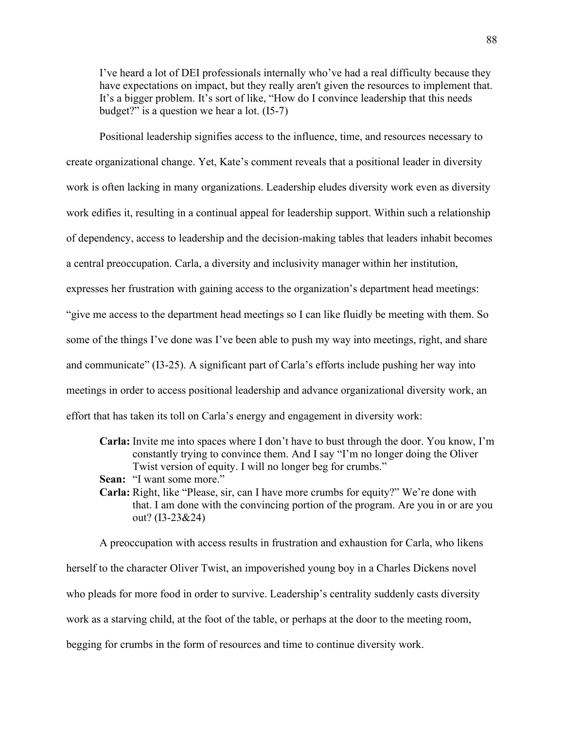I've heard a lot of DEI professionals internally who've had a real difficulty because they have expectations on impact, but they really aren't given the resources to implement that. It's a bigger problem. It's sort of like, "How do I convince leadership that this needs budget?" is a question we hear a lot. (I5-7)

Positional leadership signifies access to the influence, time, and resources necessary to create organizational change. Yet, Kate's comment reveals that a positional leader in diversity work is often lacking in many organizations. Leadership eludes diversity work even as diversity work edifies it, resulting in a continual appeal for leadership support. Within such a relationship of dependency, access to leadership and the decision-making tables that leaders inhabit becomes a central preoccupation. Carla, a diversity and inclusivity manager within her institution, expresses her frustration with gaining access to the organization's department head meetings: "give me access to the department head meetings so I can like fluidly be meeting with them. So some of the things I've done was I've been able to push my way into meetings, right, and share and communicate" (I3-25). A significant part of Carla's efforts include pushing her way into meetings in order to access positional leadership and advance organizational diversity work, an effort that has taken its toll on Carla's energy and engagement in diversity work:

- **Carla:** Invite me into spaces where I don't have to bust through the door. You know, I'm constantly trying to convince them. And I say "I'm no longer doing the Oliver Twist version of equity. I will no longer beg for crumbs."
- **Sean:** "I want some more."
- **Carla:** Right, like "Please, sir, can I have more crumbs for equity?" We're done with that. I am done with the convincing portion of the program. Are you in or are you out? (I3-23&24)

A preoccupation with access results in frustration and exhaustion for Carla, who likens herself to the character Oliver Twist, an impoverished young boy in a Charles Dickens novel who pleads for more food in order to survive. Leadership's centrality suddenly casts diversity work as a starving child, at the foot of the table, or perhaps at the door to the meeting room, begging for crumbs in the form of resources and time to continue diversity work.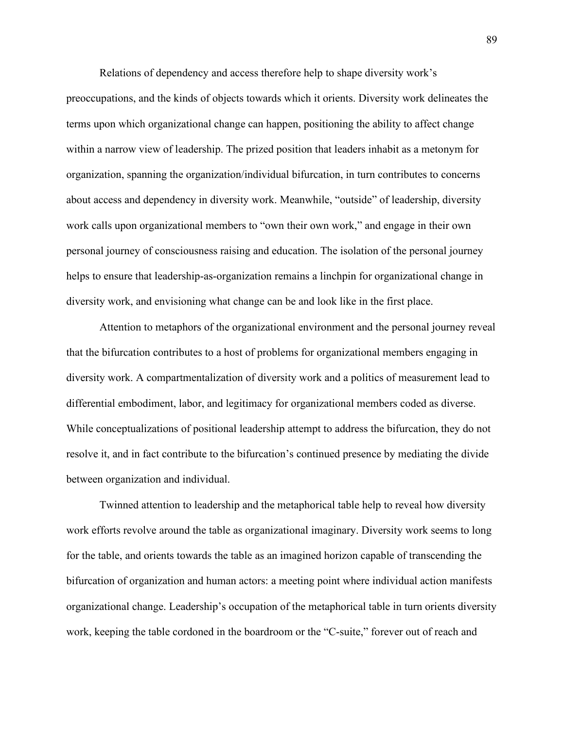Relations of dependency and access therefore help to shape diversity work's

preoccupations, and the kinds of objects towards which it orients. Diversity work delineates the terms upon which organizational change can happen, positioning the ability to affect change within a narrow view of leadership. The prized position that leaders inhabit as a metonym for organization, spanning the organization/individual bifurcation, in turn contributes to concerns about access and dependency in diversity work. Meanwhile, "outside" of leadership, diversity work calls upon organizational members to "own their own work," and engage in their own personal journey of consciousness raising and education. The isolation of the personal journey helps to ensure that leadership-as-organization remains a linchpin for organizational change in diversity work, and envisioning what change can be and look like in the first place.

Attention to metaphors of the organizational environment and the personal journey reveal that the bifurcation contributes to a host of problems for organizational members engaging in diversity work. A compartmentalization of diversity work and a politics of measurement lead to differential embodiment, labor, and legitimacy for organizational members coded as diverse. While conceptualizations of positional leadership attempt to address the bifurcation, they do not resolve it, and in fact contribute to the bifurcation's continued presence by mediating the divide between organization and individual.

Twinned attention to leadership and the metaphorical table help to reveal how diversity work efforts revolve around the table as organizational imaginary. Diversity work seems to long for the table, and orients towards the table as an imagined horizon capable of transcending the bifurcation of organization and human actors: a meeting point where individual action manifests organizational change. Leadership's occupation of the metaphorical table in turn orients diversity work, keeping the table cordoned in the boardroom or the "C-suite," forever out of reach and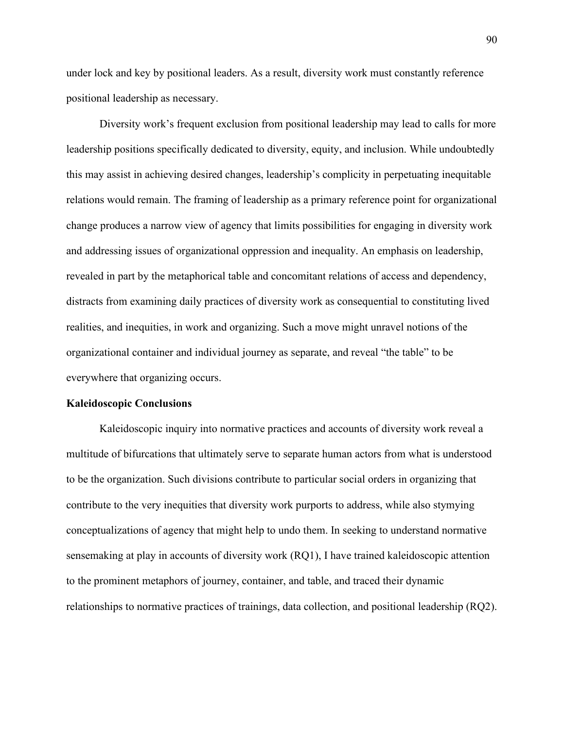under lock and key by positional leaders. As a result, diversity work must constantly reference positional leadership as necessary.

Diversity work's frequent exclusion from positional leadership may lead to calls for more leadership positions specifically dedicated to diversity, equity, and inclusion. While undoubtedly this may assist in achieving desired changes, leadership's complicity in perpetuating inequitable relations would remain. The framing of leadership as a primary reference point for organizational change produces a narrow view of agency that limits possibilities for engaging in diversity work and addressing issues of organizational oppression and inequality. An emphasis on leadership, revealed in part by the metaphorical table and concomitant relations of access and dependency, distracts from examining daily practices of diversity work as consequential to constituting lived realities, and inequities, in work and organizing. Such a move might unravel notions of the organizational container and individual journey as separate, and reveal "the table" to be everywhere that organizing occurs.

#### **Kaleidoscopic Conclusions**

Kaleidoscopic inquiry into normative practices and accounts of diversity work reveal a multitude of bifurcations that ultimately serve to separate human actors from what is understood to be the organization. Such divisions contribute to particular social orders in organizing that contribute to the very inequities that diversity work purports to address, while also stymying conceptualizations of agency that might help to undo them. In seeking to understand normative sensemaking at play in accounts of diversity work (RQ1), I have trained kaleidoscopic attention to the prominent metaphors of journey, container, and table, and traced their dynamic relationships to normative practices of trainings, data collection, and positional leadership (RQ2).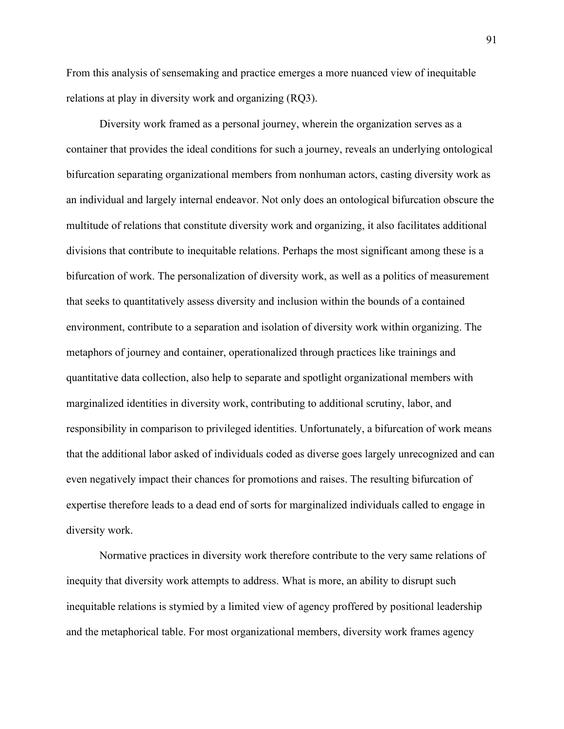From this analysis of sensemaking and practice emerges a more nuanced view of inequitable relations at play in diversity work and organizing (RQ3).

Diversity work framed as a personal journey, wherein the organization serves as a container that provides the ideal conditions for such a journey, reveals an underlying ontological bifurcation separating organizational members from nonhuman actors, casting diversity work as an individual and largely internal endeavor. Not only does an ontological bifurcation obscure the multitude of relations that constitute diversity work and organizing, it also facilitates additional divisions that contribute to inequitable relations. Perhaps the most significant among these is a bifurcation of work. The personalization of diversity work, as well as a politics of measurement that seeks to quantitatively assess diversity and inclusion within the bounds of a contained environment, contribute to a separation and isolation of diversity work within organizing. The metaphors of journey and container, operationalized through practices like trainings and quantitative data collection, also help to separate and spotlight organizational members with marginalized identities in diversity work, contributing to additional scrutiny, labor, and responsibility in comparison to privileged identities. Unfortunately, a bifurcation of work means that the additional labor asked of individuals coded as diverse goes largely unrecognized and can even negatively impact their chances for promotions and raises. The resulting bifurcation of expertise therefore leads to a dead end of sorts for marginalized individuals called to engage in diversity work.

Normative practices in diversity work therefore contribute to the very same relations of inequity that diversity work attempts to address. What is more, an ability to disrupt such inequitable relations is stymied by a limited view of agency proffered by positional leadership and the metaphorical table. For most organizational members, diversity work frames agency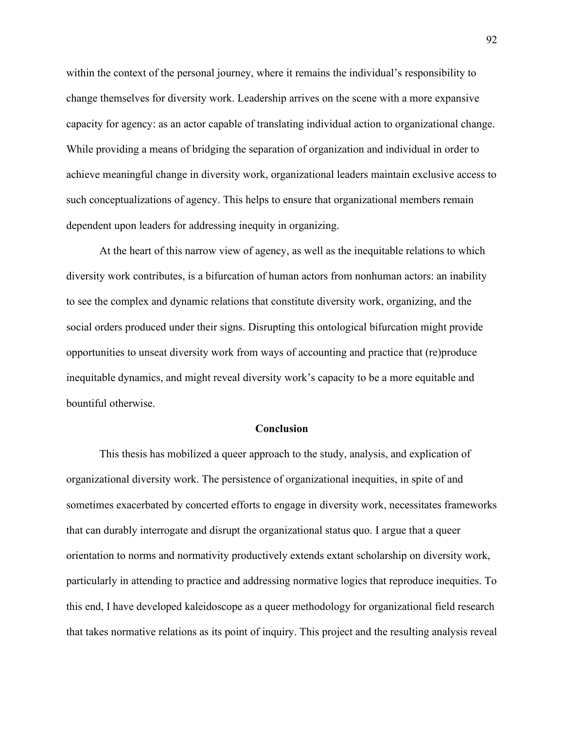within the context of the personal journey, where it remains the individual's responsibility to change themselves for diversity work. Leadership arrives on the scene with a more expansive capacity for agency: as an actor capable of translating individual action to organizational change. While providing a means of bridging the separation of organization and individual in order to achieve meaningful change in diversity work, organizational leaders maintain exclusive access to such conceptualizations of agency. This helps to ensure that organizational members remain dependent upon leaders for addressing inequity in organizing.

At the heart of this narrow view of agency, as well as the inequitable relations to which diversity work contributes, is a bifurcation of human actors from nonhuman actors: an inability to see the complex and dynamic relations that constitute diversity work, organizing, and the social orders produced under their signs. Disrupting this ontological bifurcation might provide opportunities to unseat diversity work from ways of accounting and practice that (re)produce inequitable dynamics, and might reveal diversity work's capacity to be a more equitable and bountiful otherwise.

#### **Conclusion**

This thesis has mobilized a queer approach to the study, analysis, and explication of organizational diversity work. The persistence of organizational inequities, in spite of and sometimes exacerbated by concerted efforts to engage in diversity work, necessitates frameworks that can durably interrogate and disrupt the organizational status quo. I argue that a queer orientation to norms and normativity productively extends extant scholarship on diversity work, particularly in attending to practice and addressing normative logics that reproduce inequities. To this end, I have developed kaleidoscope as a queer methodology for organizational field research that takes normative relations as its point of inquiry. This project and the resulting analysis reveal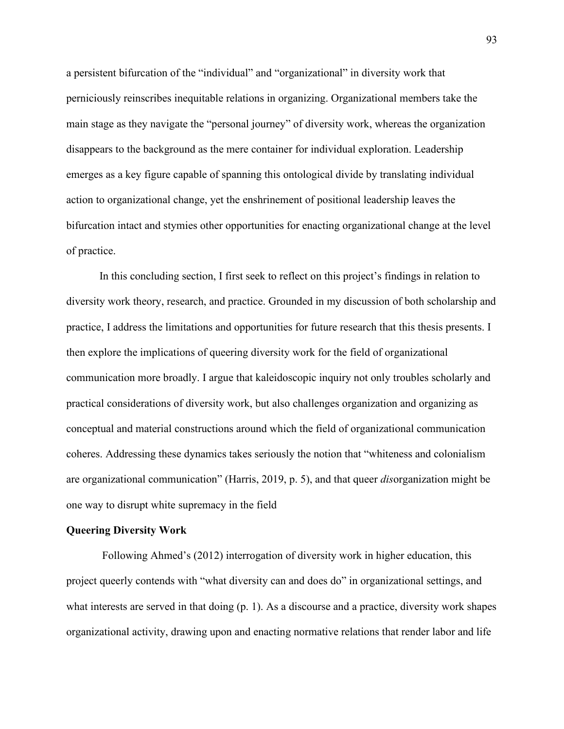a persistent bifurcation of the "individual" and "organizational" in diversity work that perniciously reinscribes inequitable relations in organizing. Organizational members take the main stage as they navigate the "personal journey" of diversity work, whereas the organization disappears to the background as the mere container for individual exploration. Leadership emerges as a key figure capable of spanning this ontological divide by translating individual action to organizational change, yet the enshrinement of positional leadership leaves the bifurcation intact and stymies other opportunities for enacting organizational change at the level of practice.

In this concluding section, I first seek to reflect on this project's findings in relation to diversity work theory, research, and practice. Grounded in my discussion of both scholarship and practice, I address the limitations and opportunities for future research that this thesis presents. I then explore the implications of queering diversity work for the field of organizational communication more broadly. I argue that kaleidoscopic inquiry not only troubles scholarly and practical considerations of diversity work, but also challenges organization and organizing as conceptual and material constructions around which the field of organizational communication coheres. Addressing these dynamics takes seriously the notion that "whiteness and colonialism are organizational communication" (Harris, 2019, p. 5), and that queer *dis*organization might be one way to disrupt white supremacy in the field

#### **Queering Diversity Work**

Following Ahmed's (2012) interrogation of diversity work in higher education, this project queerly contends with "what diversity can and does do" in organizational settings, and what interests are served in that doing (p. 1). As a discourse and a practice, diversity work shapes organizational activity, drawing upon and enacting normative relations that render labor and life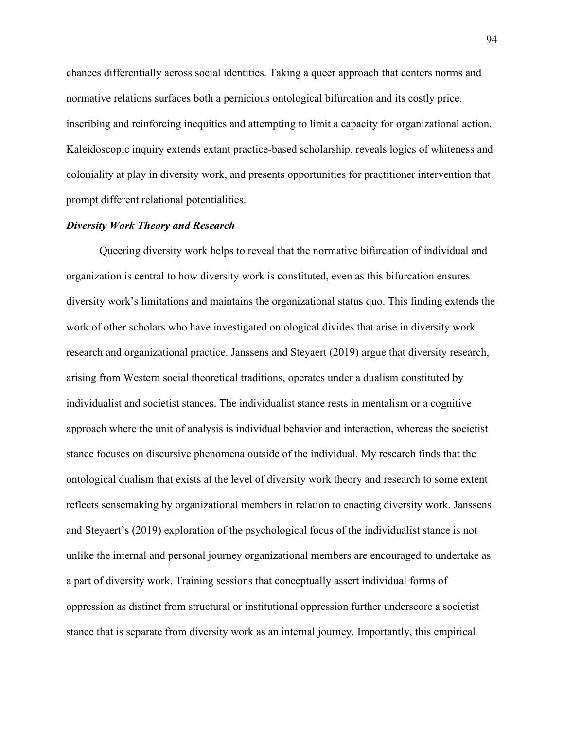chances differentially across social identities. Taking a queer approach that centers norms and normative relations surfaces both a pernicious ontological bifurcation and its costly price, inscribing and reinforcing inequities and attempting to limit a capacity for organizational action. Kaleidoscopic inquiry extends extant practice-based scholarship, reveals logics of whiteness and coloniality at play in diversity work, and presents opportunities for practitioner intervention that prompt different relational potentialities.

# *Diversity Work Theory and Research*

Queering diversity work helps to reveal that the normative bifurcation of individual and organization is central to how diversity work is constituted, even as this bifurcation ensures diversity work's limitations and maintains the organizational status quo. This finding extends the work of other scholars who have investigated ontological divides that arise in diversity work research and organizational practice. Janssens and Steyaert (2019) argue that diversity research, arising from Western social theoretical traditions, operates under a dualism constituted by individualist and societist stances. The individualist stance rests in mentalism or a cognitive approach where the unit of analysis is individual behavior and interaction, whereas the societist stance focuses on discursive phenomena outside of the individual. My research finds that the ontological dualism that exists at the level of diversity work theory and research to some extent reflects sensemaking by organizational members in relation to enacting diversity work. Janssens and Steyaert's (2019) exploration of the psychological focus of the individualist stance is not unlike the internal and personal journey organizational members are encouraged to undertake as a part of diversity work. Training sessions that conceptually assert individual forms of oppression as distinct from structural or institutional oppression further underscore a societist stance that is separate from diversity work as an internal journey. Importantly, this empirical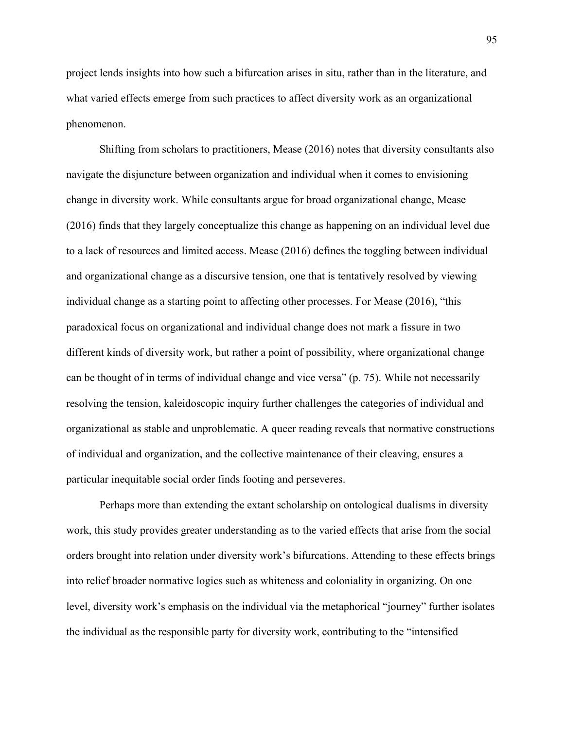project lends insights into how such a bifurcation arises in situ, rather than in the literature, and what varied effects emerge from such practices to affect diversity work as an organizational phenomenon.

Shifting from scholars to practitioners, Mease (2016) notes that diversity consultants also navigate the disjuncture between organization and individual when it comes to envisioning change in diversity work. While consultants argue for broad organizational change, Mease (2016) finds that they largely conceptualize this change as happening on an individual level due to a lack of resources and limited access. Mease (2016) defines the toggling between individual and organizational change as a discursive tension, one that is tentatively resolved by viewing individual change as a starting point to affecting other processes. For Mease (2016), "this paradoxical focus on organizational and individual change does not mark a fissure in two different kinds of diversity work, but rather a point of possibility, where organizational change can be thought of in terms of individual change and vice versa" (p. 75). While not necessarily resolving the tension, kaleidoscopic inquiry further challenges the categories of individual and organizational as stable and unproblematic. A queer reading reveals that normative constructions of individual and organization, and the collective maintenance of their cleaving, ensures a particular inequitable social order finds footing and perseveres.

Perhaps more than extending the extant scholarship on ontological dualisms in diversity work, this study provides greater understanding as to the varied effects that arise from the social orders brought into relation under diversity work's bifurcations. Attending to these effects brings into relief broader normative logics such as whiteness and coloniality in organizing. On one level, diversity work's emphasis on the individual via the metaphorical "journey" further isolates the individual as the responsible party for diversity work, contributing to the "intensified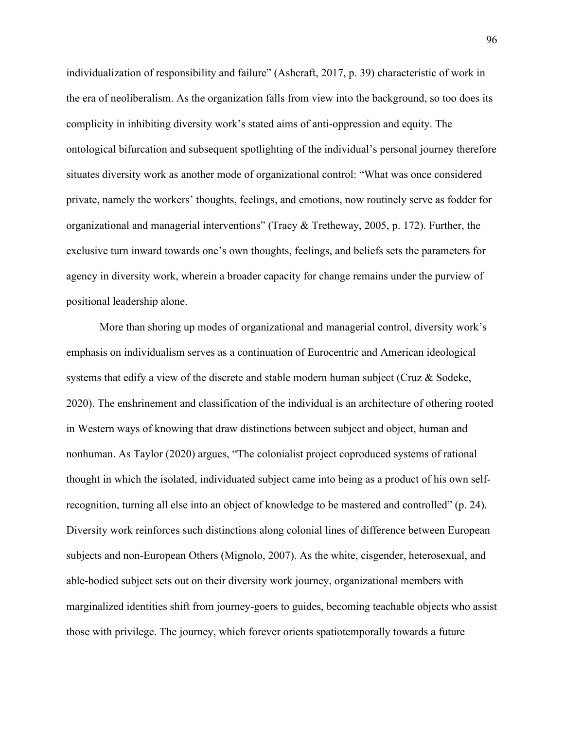individualization of responsibility and failure" (Ashcraft, 2017, p. 39) characteristic of work in the era of neoliberalism. As the organization falls from view into the background, so too does its complicity in inhibiting diversity work's stated aims of anti-oppression and equity. The ontological bifurcation and subsequent spotlighting of the individual's personal journey therefore situates diversity work as another mode of organizational control: "What was once considered private, namely the workers' thoughts, feelings, and emotions, now routinely serve as fodder for organizational and managerial interventions" (Tracy & Tretheway, 2005, p. 172). Further, the exclusive turn inward towards one's own thoughts, feelings, and beliefs sets the parameters for agency in diversity work, wherein a broader capacity for change remains under the purview of positional leadership alone.

More than shoring up modes of organizational and managerial control, diversity work's emphasis on individualism serves as a continuation of Eurocentric and American ideological systems that edify a view of the discrete and stable modern human subject (Cruz & Sodeke, 2020). The enshrinement and classification of the individual is an architecture of othering rooted in Western ways of knowing that draw distinctions between subject and object, human and nonhuman. As Taylor (2020) argues, "The colonialist project coproduced systems of rational thought in which the isolated, individuated subject came into being as a product of his own selfrecognition, turning all else into an object of knowledge to be mastered and controlled" (p. 24). Diversity work reinforces such distinctions along colonial lines of difference between European subjects and non-European Others (Mignolo, 2007). As the white, cisgender, heterosexual, and able-bodied subject sets out on their diversity work journey, organizational members with marginalized identities shift from journey-goers to guides, becoming teachable objects who assist those with privilege. The journey, which forever orients spatiotemporally towards a future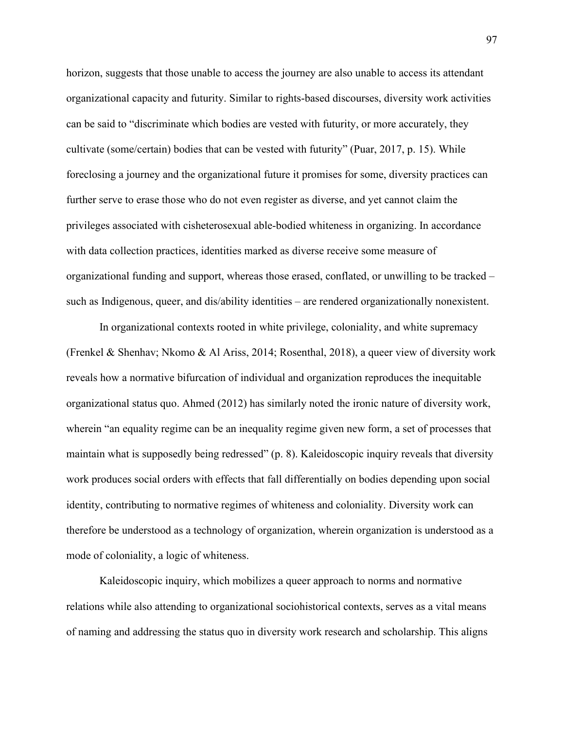horizon, suggests that those unable to access the journey are also unable to access its attendant organizational capacity and futurity. Similar to rights-based discourses, diversity work activities can be said to "discriminate which bodies are vested with futurity, or more accurately, they cultivate (some/certain) bodies that can be vested with futurity" (Puar, 2017, p. 15). While foreclosing a journey and the organizational future it promises for some, diversity practices can further serve to erase those who do not even register as diverse, and yet cannot claim the privileges associated with cisheterosexual able-bodied whiteness in organizing. In accordance with data collection practices, identities marked as diverse receive some measure of organizational funding and support, whereas those erased, conflated, or unwilling to be tracked – such as Indigenous, queer, and dis/ability identities – are rendered organizationally nonexistent.

In organizational contexts rooted in white privilege, coloniality, and white supremacy (Frenkel & Shenhav; Nkomo & Al Ariss, 2014; Rosenthal, 2018), a queer view of diversity work reveals how a normative bifurcation of individual and organization reproduces the inequitable organizational status quo. Ahmed (2012) has similarly noted the ironic nature of diversity work, wherein "an equality regime can be an inequality regime given new form, a set of processes that maintain what is supposedly being redressed" (p. 8). Kaleidoscopic inquiry reveals that diversity work produces social orders with effects that fall differentially on bodies depending upon social identity, contributing to normative regimes of whiteness and coloniality. Diversity work can therefore be understood as a technology of organization, wherein organization is understood as a mode of coloniality, a logic of whiteness.

Kaleidoscopic inquiry, which mobilizes a queer approach to norms and normative relations while also attending to organizational sociohistorical contexts, serves as a vital means of naming and addressing the status quo in diversity work research and scholarship. This aligns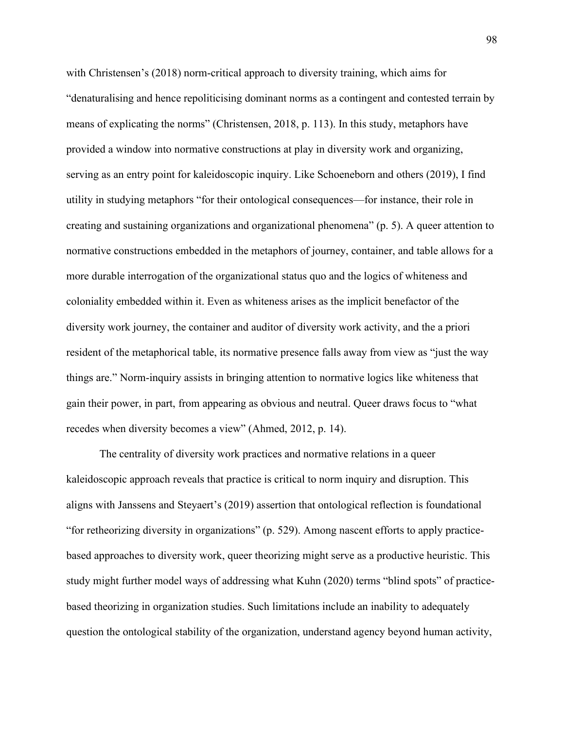with Christensen's (2018) norm-critical approach to diversity training, which aims for "denaturalising and hence repoliticising dominant norms as a contingent and contested terrain by means of explicating the norms" (Christensen, 2018, p. 113). In this study, metaphors have provided a window into normative constructions at play in diversity work and organizing, serving as an entry point for kaleidoscopic inquiry. Like Schoeneborn and others (2019), I find utility in studying metaphors "for their ontological consequences—for instance, their role in creating and sustaining organizations and organizational phenomena" (p. 5). A queer attention to normative constructions embedded in the metaphors of journey, container, and table allows for a more durable interrogation of the organizational status quo and the logics of whiteness and coloniality embedded within it. Even as whiteness arises as the implicit benefactor of the diversity work journey, the container and auditor of diversity work activity, and the a priori resident of the metaphorical table, its normative presence falls away from view as "just the way things are." Norm-inquiry assists in bringing attention to normative logics like whiteness that gain their power, in part, from appearing as obvious and neutral. Queer draws focus to "what recedes when diversity becomes a view" (Ahmed, 2012, p. 14).

The centrality of diversity work practices and normative relations in a queer kaleidoscopic approach reveals that practice is critical to norm inquiry and disruption. This aligns with Janssens and Steyaert's (2019) assertion that ontological reflection is foundational "for retheorizing diversity in organizations" (p. 529). Among nascent efforts to apply practicebased approaches to diversity work, queer theorizing might serve as a productive heuristic. This study might further model ways of addressing what Kuhn (2020) terms "blind spots" of practicebased theorizing in organization studies. Such limitations include an inability to adequately question the ontological stability of the organization, understand agency beyond human activity,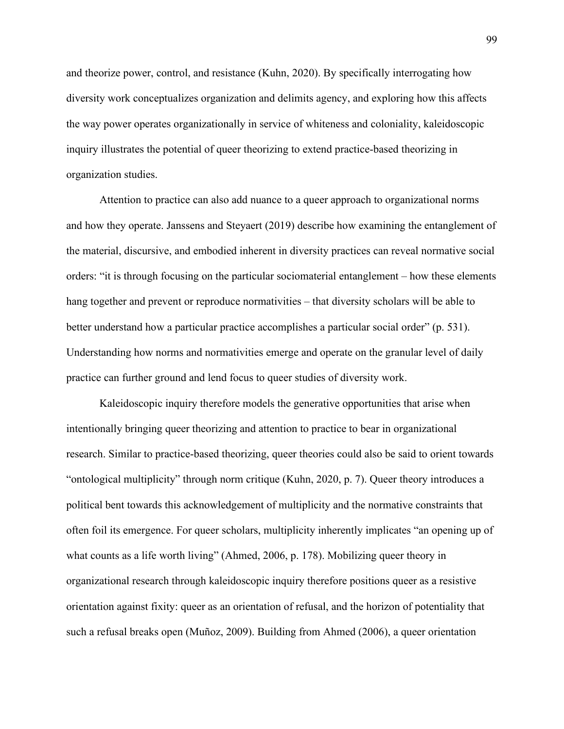and theorize power, control, and resistance (Kuhn, 2020). By specifically interrogating how diversity work conceptualizes organization and delimits agency, and exploring how this affects the way power operates organizationally in service of whiteness and coloniality, kaleidoscopic inquiry illustrates the potential of queer theorizing to extend practice-based theorizing in organization studies.

Attention to practice can also add nuance to a queer approach to organizational norms and how they operate. Janssens and Steyaert (2019) describe how examining the entanglement of the material, discursive, and embodied inherent in diversity practices can reveal normative social orders: "it is through focusing on the particular sociomaterial entanglement – how these elements hang together and prevent or reproduce normativities – that diversity scholars will be able to better understand how a particular practice accomplishes a particular social order" (p. 531). Understanding how norms and normativities emerge and operate on the granular level of daily practice can further ground and lend focus to queer studies of diversity work.

Kaleidoscopic inquiry therefore models the generative opportunities that arise when intentionally bringing queer theorizing and attention to practice to bear in organizational research. Similar to practice-based theorizing, queer theories could also be said to orient towards "ontological multiplicity" through norm critique (Kuhn, 2020, p. 7). Queer theory introduces a political bent towards this acknowledgement of multiplicity and the normative constraints that often foil its emergence. For queer scholars, multiplicity inherently implicates "an opening up of what counts as a life worth living" (Ahmed, 2006, p. 178). Mobilizing queer theory in organizational research through kaleidoscopic inquiry therefore positions queer as a resistive orientation against fixity: queer as an orientation of refusal, and the horizon of potentiality that such a refusal breaks open (Muñoz, 2009). Building from Ahmed (2006), a queer orientation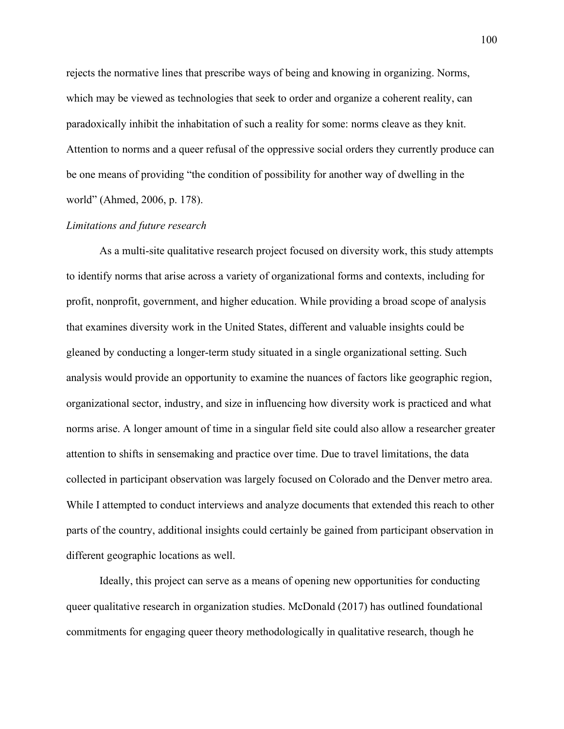rejects the normative lines that prescribe ways of being and knowing in organizing. Norms, which may be viewed as technologies that seek to order and organize a coherent reality, can paradoxically inhibit the inhabitation of such a reality for some: norms cleave as they knit. Attention to norms and a queer refusal of the oppressive social orders they currently produce can be one means of providing "the condition of possibility for another way of dwelling in the world" (Ahmed, 2006, p. 178).

# *Limitations and future research*

As a multi-site qualitative research project focused on diversity work, this study attempts to identify norms that arise across a variety of organizational forms and contexts, including for profit, nonprofit, government, and higher education. While providing a broad scope of analysis that examines diversity work in the United States, different and valuable insights could be gleaned by conducting a longer-term study situated in a single organizational setting. Such analysis would provide an opportunity to examine the nuances of factors like geographic region, organizational sector, industry, and size in influencing how diversity work is practiced and what norms arise. A longer amount of time in a singular field site could also allow a researcher greater attention to shifts in sensemaking and practice over time. Due to travel limitations, the data collected in participant observation was largely focused on Colorado and the Denver metro area. While I attempted to conduct interviews and analyze documents that extended this reach to other parts of the country, additional insights could certainly be gained from participant observation in different geographic locations as well.

Ideally, this project can serve as a means of opening new opportunities for conducting queer qualitative research in organization studies. McDonald (2017) has outlined foundational commitments for engaging queer theory methodologically in qualitative research, though he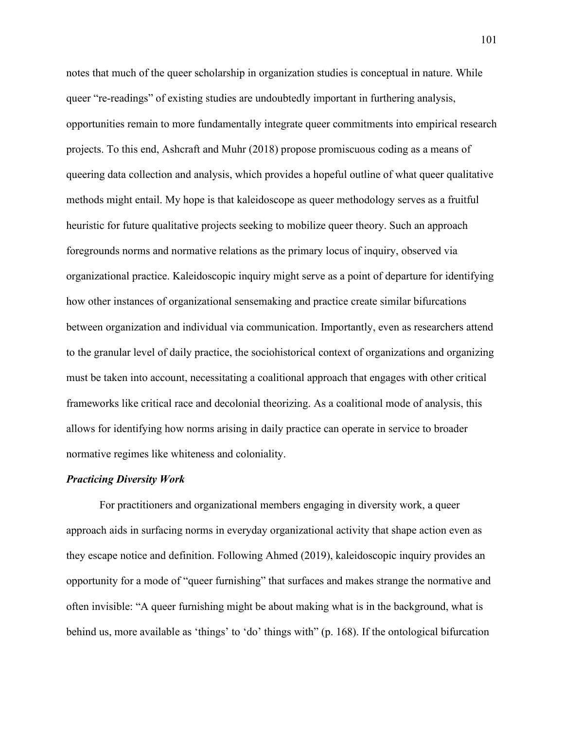notes that much of the queer scholarship in organization studies is conceptual in nature. While queer "re-readings" of existing studies are undoubtedly important in furthering analysis, opportunities remain to more fundamentally integrate queer commitments into empirical research projects. To this end, Ashcraft and Muhr (2018) propose promiscuous coding as a means of queering data collection and analysis, which provides a hopeful outline of what queer qualitative methods might entail. My hope is that kaleidoscope as queer methodology serves as a fruitful heuristic for future qualitative projects seeking to mobilize queer theory. Such an approach foregrounds norms and normative relations as the primary locus of inquiry, observed via organizational practice. Kaleidoscopic inquiry might serve as a point of departure for identifying how other instances of organizational sensemaking and practice create similar bifurcations between organization and individual via communication. Importantly, even as researchers attend to the granular level of daily practice, the sociohistorical context of organizations and organizing must be taken into account, necessitating a coalitional approach that engages with other critical frameworks like critical race and decolonial theorizing. As a coalitional mode of analysis, this allows for identifying how norms arising in daily practice can operate in service to broader normative regimes like whiteness and coloniality.

## *Practicing Diversity Work*

For practitioners and organizational members engaging in diversity work, a queer approach aids in surfacing norms in everyday organizational activity that shape action even as they escape notice and definition. Following Ahmed (2019), kaleidoscopic inquiry provides an opportunity for a mode of "queer furnishing" that surfaces and makes strange the normative and often invisible: "A queer furnishing might be about making what is in the background, what is behind us, more available as 'things' to 'do' things with" (p. 168). If the ontological bifurcation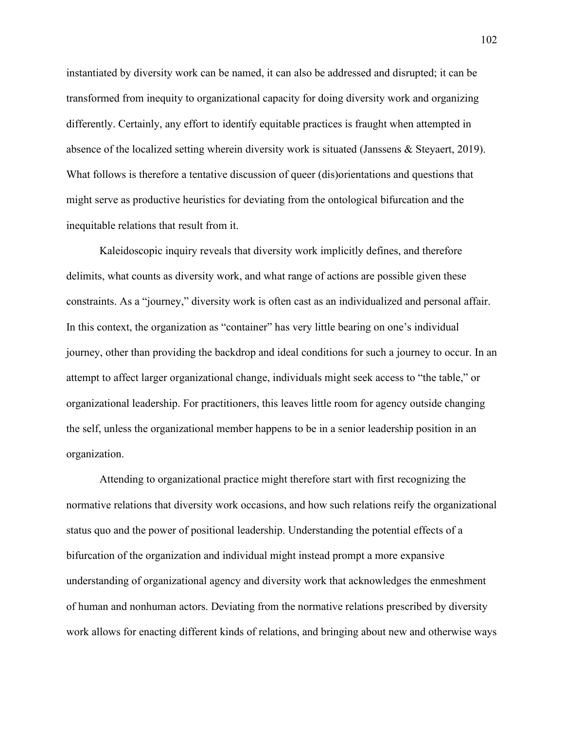instantiated by diversity work can be named, it can also be addressed and disrupted; it can be transformed from inequity to organizational capacity for doing diversity work and organizing differently. Certainly, any effort to identify equitable practices is fraught when attempted in absence of the localized setting wherein diversity work is situated (Janssens & Steyaert, 2019). What follows is therefore a tentative discussion of queer (dis)orientations and questions that might serve as productive heuristics for deviating from the ontological bifurcation and the inequitable relations that result from it.

Kaleidoscopic inquiry reveals that diversity work implicitly defines, and therefore delimits, what counts as diversity work, and what range of actions are possible given these constraints. As a "journey," diversity work is often cast as an individualized and personal affair. In this context, the organization as "container" has very little bearing on one's individual journey, other than providing the backdrop and ideal conditions for such a journey to occur. In an attempt to affect larger organizational change, individuals might seek access to "the table," or organizational leadership. For practitioners, this leaves little room for agency outside changing the self, unless the organizational member happens to be in a senior leadership position in an organization.

Attending to organizational practice might therefore start with first recognizing the normative relations that diversity work occasions, and how such relations reify the organizational status quo and the power of positional leadership. Understanding the potential effects of a bifurcation of the organization and individual might instead prompt a more expansive understanding of organizational agency and diversity work that acknowledges the enmeshment of human and nonhuman actors. Deviating from the normative relations prescribed by diversity work allows for enacting different kinds of relations, and bringing about new and otherwise ways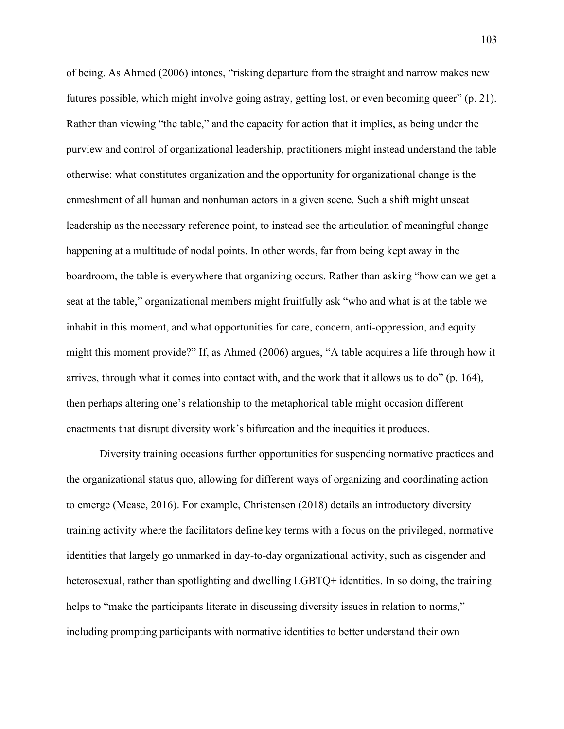of being. As Ahmed (2006) intones, "risking departure from the straight and narrow makes new futures possible, which might involve going astray, getting lost, or even becoming queer" (p. 21). Rather than viewing "the table," and the capacity for action that it implies, as being under the purview and control of organizational leadership, practitioners might instead understand the table otherwise: what constitutes organization and the opportunity for organizational change is the enmeshment of all human and nonhuman actors in a given scene. Such a shift might unseat leadership as the necessary reference point, to instead see the articulation of meaningful change happening at a multitude of nodal points. In other words, far from being kept away in the boardroom, the table is everywhere that organizing occurs. Rather than asking "how can we get a seat at the table," organizational members might fruitfully ask "who and what is at the table we inhabit in this moment, and what opportunities for care, concern, anti-oppression, and equity might this moment provide?" If, as Ahmed (2006) argues, "A table acquires a life through how it arrives, through what it comes into contact with, and the work that it allows us to do" (p. 164), then perhaps altering one's relationship to the metaphorical table might occasion different enactments that disrupt diversity work's bifurcation and the inequities it produces.

Diversity training occasions further opportunities for suspending normative practices and the organizational status quo, allowing for different ways of organizing and coordinating action to emerge (Mease, 2016). For example, Christensen (2018) details an introductory diversity training activity where the facilitators define key terms with a focus on the privileged, normative identities that largely go unmarked in day-to-day organizational activity, such as cisgender and heterosexual, rather than spotlighting and dwelling LGBTQ+ identities. In so doing, the training helps to "make the participants literate in discussing diversity issues in relation to norms," including prompting participants with normative identities to better understand their own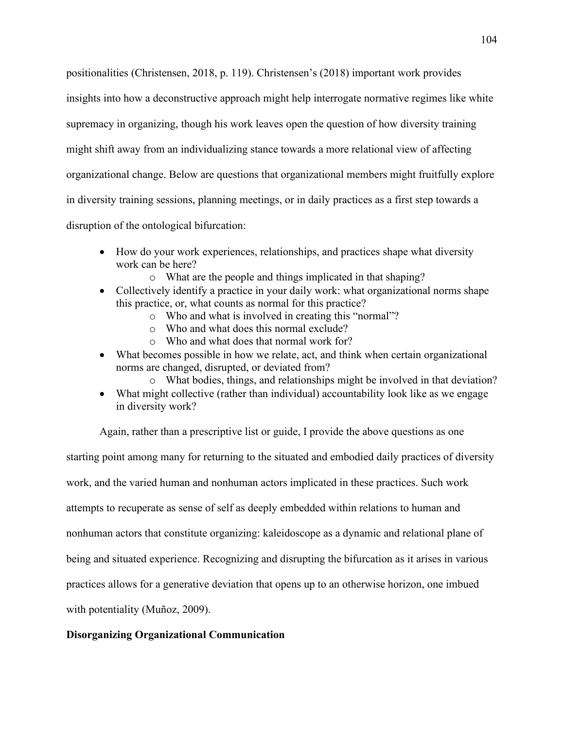positionalities (Christensen, 2018, p. 119). Christensen's (2018) important work provides insights into how a deconstructive approach might help interrogate normative regimes like white supremacy in organizing, though his work leaves open the question of how diversity training might shift away from an individualizing stance towards a more relational view of affecting organizational change. Below are questions that organizational members might fruitfully explore in diversity training sessions, planning meetings, or in daily practices as a first step towards a disruption of the ontological bifurcation:

- How do your work experiences, relationships, and practices shape what diversity work can be here?
	- o What are the people and things implicated in that shaping?
- Collectively identify a practice in your daily work: what organizational norms shape this practice, or, what counts as normal for this practice?
	- o Who and what is involved in creating this "normal"?
	- o Who and what does this normal exclude?
	- o Who and what does that normal work for?
- What becomes possible in how we relate, act, and think when certain organizational norms are changed, disrupted, or deviated from?
	- o What bodies, things, and relationships might be involved in that deviation?
- What might collective (rather than individual) accountability look like as we engage in diversity work?

Again, rather than a prescriptive list or guide, I provide the above questions as one starting point among many for returning to the situated and embodied daily practices of diversity work, and the varied human and nonhuman actors implicated in these practices. Such work attempts to recuperate as sense of self as deeply embedded within relations to human and nonhuman actors that constitute organizing: kaleidoscope as a dynamic and relational plane of being and situated experience. Recognizing and disrupting the bifurcation as it arises in various practices allows for a generative deviation that opens up to an otherwise horizon, one imbued with potentiality (Muñoz, 2009).

# **Disorganizing Organizational Communication**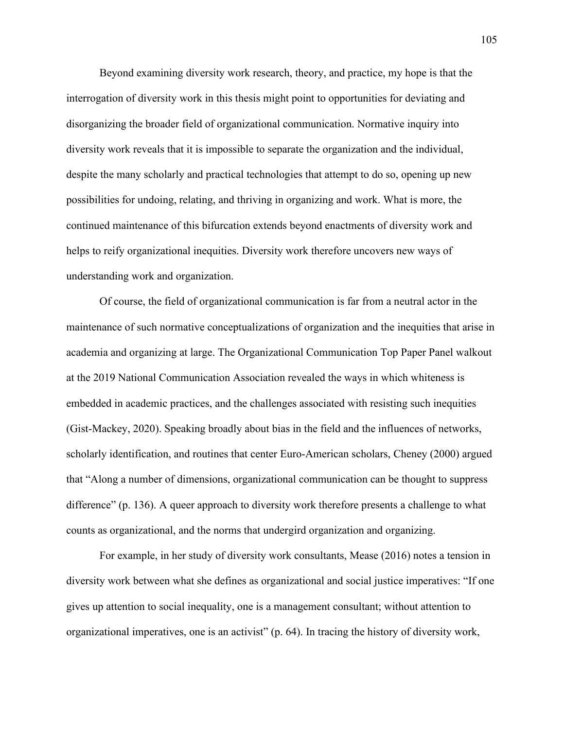Beyond examining diversity work research, theory, and practice, my hope is that the interrogation of diversity work in this thesis might point to opportunities for deviating and disorganizing the broader field of organizational communication. Normative inquiry into diversity work reveals that it is impossible to separate the organization and the individual, despite the many scholarly and practical technologies that attempt to do so, opening up new possibilities for undoing, relating, and thriving in organizing and work. What is more, the continued maintenance of this bifurcation extends beyond enactments of diversity work and helps to reify organizational inequities. Diversity work therefore uncovers new ways of understanding work and organization.

Of course, the field of organizational communication is far from a neutral actor in the maintenance of such normative conceptualizations of organization and the inequities that arise in academia and organizing at large. The Organizational Communication Top Paper Panel walkout at the 2019 National Communication Association revealed the ways in which whiteness is embedded in academic practices, and the challenges associated with resisting such inequities (Gist-Mackey, 2020). Speaking broadly about bias in the field and the influences of networks, scholarly identification, and routines that center Euro-American scholars, Cheney (2000) argued that "Along a number of dimensions, organizational communication can be thought to suppress difference" (p. 136). A queer approach to diversity work therefore presents a challenge to what counts as organizational, and the norms that undergird organization and organizing.

For example, in her study of diversity work consultants, Mease (2016) notes a tension in diversity work between what she defines as organizational and social justice imperatives: "If one gives up attention to social inequality, one is a management consultant; without attention to organizational imperatives, one is an activist" (p. 64). In tracing the history of diversity work,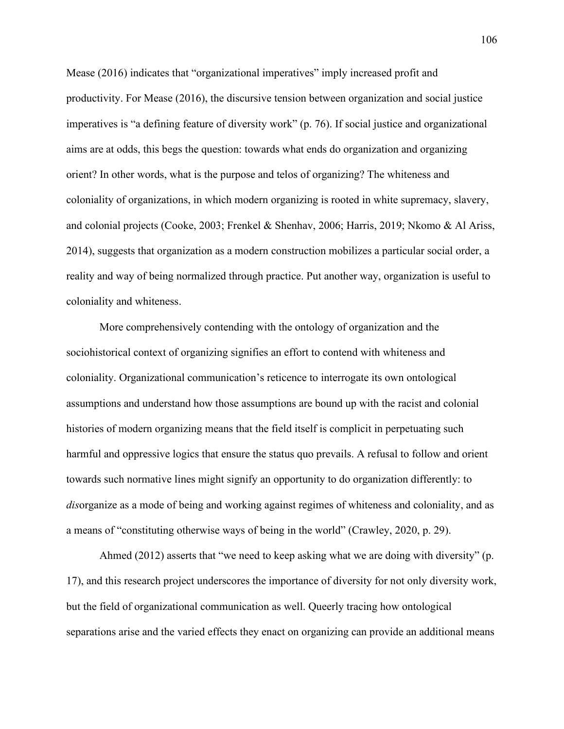Mease (2016) indicates that "organizational imperatives" imply increased profit and productivity. For Mease (2016), the discursive tension between organization and social justice imperatives is "a defining feature of diversity work" (p. 76). If social justice and organizational aims are at odds, this begs the question: towards what ends do organization and organizing orient? In other words, what is the purpose and telos of organizing? The whiteness and coloniality of organizations, in which modern organizing is rooted in white supremacy, slavery, and colonial projects (Cooke, 2003; Frenkel & Shenhav, 2006; Harris, 2019; Nkomo & Al Ariss, 2014), suggests that organization as a modern construction mobilizes a particular social order, a reality and way of being normalized through practice. Put another way, organization is useful to coloniality and whiteness.

More comprehensively contending with the ontology of organization and the sociohistorical context of organizing signifies an effort to contend with whiteness and coloniality. Organizational communication's reticence to interrogate its own ontological assumptions and understand how those assumptions are bound up with the racist and colonial histories of modern organizing means that the field itself is complicit in perpetuating such harmful and oppressive logics that ensure the status quo prevails. A refusal to follow and orient towards such normative lines might signify an opportunity to do organization differently: to *dis*organize as a mode of being and working against regimes of whiteness and coloniality, and as a means of "constituting otherwise ways of being in the world" (Crawley, 2020, p. 29).

Ahmed (2012) asserts that "we need to keep asking what we are doing with diversity" (p. 17), and this research project underscores the importance of diversity for not only diversity work, but the field of organizational communication as well. Queerly tracing how ontological separations arise and the varied effects they enact on organizing can provide an additional means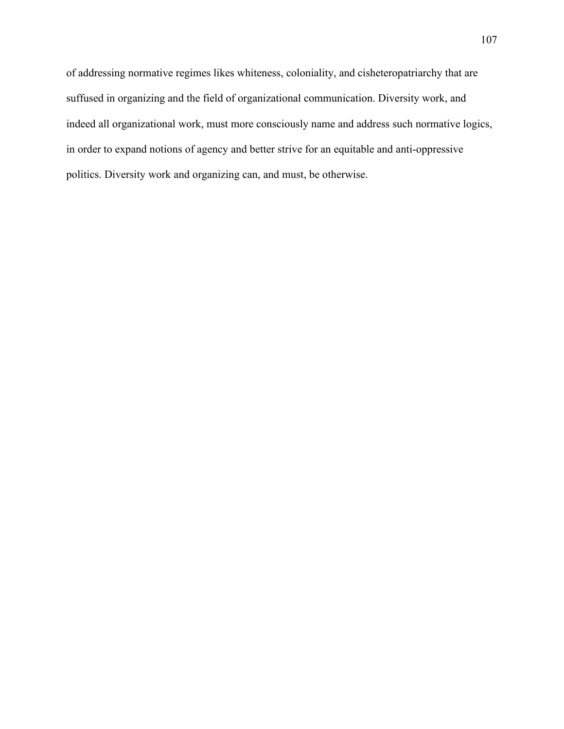of addressing normative regimes likes whiteness, coloniality, and cisheteropatriarchy that are suffused in organizing and the field of organizational communication. Diversity work, and indeed all organizational work, must more consciously name and address such normative logics, in order to expand notions of agency and better strive for an equitable and anti-oppressive politics. Diversity work and organizing can, and must, be otherwise.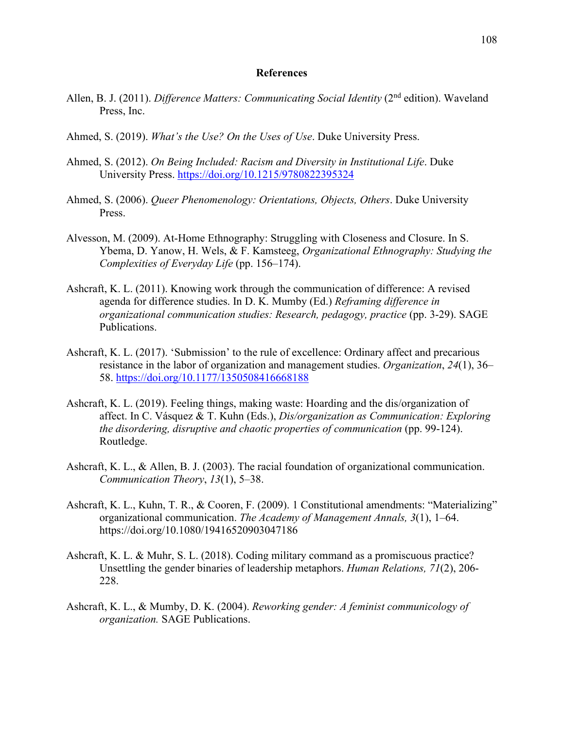#### **References**

- Allen, B. J. (2011). *Difference Matters: Communicating Social Identity* (2<sup>nd</sup> edition). Waveland Press, Inc.
- Ahmed, S. (2019). *What's the Use? On the Uses of Use*. Duke University Press.
- Ahmed, S. (2012). *On Being Included: Racism and Diversity in Institutional Life*. Duke University Press.<https://doi.org/10.1215/9780822395324>
- Ahmed, S. (2006). *Queer Phenomenology: Orientations, Objects, Others*. Duke University Press.
- Alvesson, M. (2009). At-Home Ethnography: Struggling with Closeness and Closure. In S. Ybema, D. Yanow, H. Wels, & F. Kamsteeg, *Organizational Ethnography: Studying the Complexities of Everyday Life* (pp. 156–174).
- Ashcraft, K. L. (2011). Knowing work through the communication of difference: A revised agenda for difference studies. In D. K. Mumby (Ed.) *Reframing difference in organizational communication studies: Research, pedagogy, practice* (pp. 3-29). SAGE Publications.
- Ashcraft, K. L. (2017). 'Submission' to the rule of excellence: Ordinary affect and precarious resistance in the labor of organization and management studies. *Organization*, *24*(1), 36– 58.<https://doi.org/10.1177/1350508416668188>
- Ashcraft, K. L. (2019). Feeling things, making waste: Hoarding and the dis/organization of affect. In C. Vásquez & T. Kuhn (Eds.), *Dis/organization as Communication: Exploring the disordering, disruptive and chaotic properties of communication* (pp. 99-124). Routledge.
- Ashcraft, K. L., & Allen, B. J. (2003). The racial foundation of organizational communication. *Communication Theory*, *13*(1), 5–38.
- Ashcraft, K. L., Kuhn, T. R., & Cooren, F. (2009). 1 Constitutional amendments: "Materializing" organizational communication. *The Academy of Management Annals, 3*(1), 1–64. https://doi.org/10.1080/19416520903047186
- Ashcraft, K. L. & Muhr, S. L. (2018). Coding military command as a promiscuous practice? Unsettling the gender binaries of leadership metaphors. *Human Relations, 71*(2), 206- 228.
- Ashcraft, K. L., & Mumby, D. K. (2004). *Reworking gender: A feminist communicology of organization.* SAGE Publications.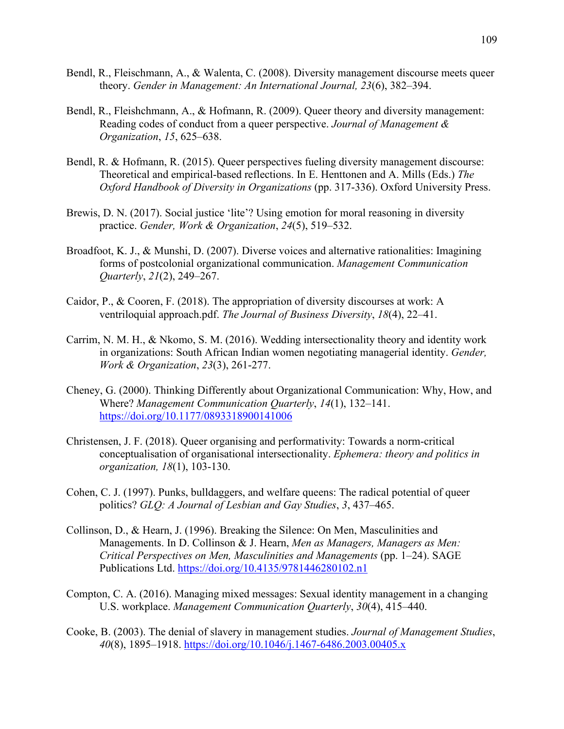- Bendl, R., Fleischmann, A., & Walenta, C. (2008). Diversity management discourse meets queer theory. *Gender in Management: An International Journal, 23*(6), 382–394.
- Bendl, R., Fleishchmann, A., & Hofmann, R. (2009). Queer theory and diversity management: Reading codes of conduct from a queer perspective. *Journal of Management & Organization*, *15*, 625–638.
- Bendl, R. & Hofmann, R. (2015). Queer perspectives fueling diversity management discourse: Theoretical and empirical-based reflections. In E. Henttonen and A. Mills (Eds.) *The Oxford Handbook of Diversity in Organizations* (pp. 317-336). Oxford University Press.
- Brewis, D. N. (2017). Social justice 'lite'? Using emotion for moral reasoning in diversity practice. *Gender, Work & Organization*, *24*(5), 519–532.
- Broadfoot, K. J., & Munshi, D. (2007). Diverse voices and alternative rationalities: Imagining forms of postcolonial organizational communication. *Management Communication Quarterly*, *21*(2), 249–267.
- Caidor, P., & Cooren, F. (2018). The appropriation of diversity discourses at work: A ventriloquial approach.pdf. *The Journal of Business Diversity*, *18*(4), 22–41.
- Carrim, N. M. H., & Nkomo, S. M. (2016). Wedding intersectionality theory and identity work in organizations: South African Indian women negotiating managerial identity. *Gender, Work & Organization*, *23*(3), 261-277.
- Cheney, G. (2000). Thinking Differently about Organizational Communication: Why, How, and Where? *Management Communication Quarterly*, *14*(1), 132–141. <https://doi.org/10.1177/0893318900141006>
- Christensen, J. F. (2018). Queer organising and performativity: Towards a norm-critical conceptualisation of organisational intersectionality. *Ephemera: theory and politics in organization, 18*(1), 103-130.
- Cohen, C. J. (1997). Punks, bulldaggers, and welfare queens: The radical potential of queer politics? *GLQ: A Journal of Lesbian and Gay Studies*, *3*, 437–465.
- Collinson, D., & Hearn, J. (1996). Breaking the Silence: On Men, Masculinities and Managements. In D. Collinson & J. Hearn, *Men as Managers, Managers as Men: Critical Perspectives on Men, Masculinities and Managements* (pp. 1–24). SAGE Publications Ltd.<https://doi.org/10.4135/9781446280102.n1>
- Compton, C. A. (2016). Managing mixed messages: Sexual identity management in a changing U.S. workplace. *Management Communication Quarterly*, *30*(4), 415–440.
- Cooke, B. (2003). The denial of slavery in management studies. *Journal of Management Studies*, *40*(8), 1895–1918.<https://doi.org/10.1046/j.1467-6486.2003.00405.x>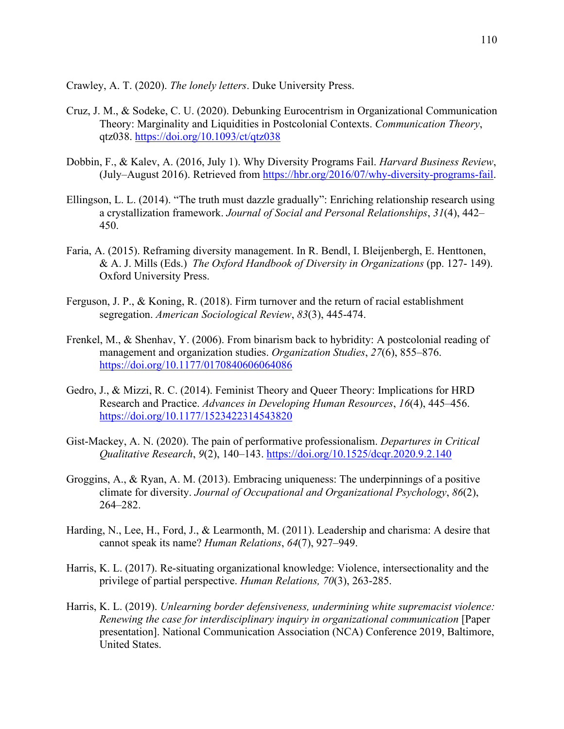Crawley, A. T. (2020). *The lonely letters*. Duke University Press.

- Cruz, J. M., & Sodeke, C. U. (2020). Debunking Eurocentrism in Organizational Communication Theory: Marginality and Liquidities in Postcolonial Contexts. *Communication Theory*, qtz038.<https://doi.org/10.1093/ct/qtz038>
- Dobbin, F., & Kalev, A. (2016, July 1). Why Diversity Programs Fail. *Harvard Business Review*, (July–August 2016). Retrieved from [https://hbr.org/2016/07/why-diversity-programs-fail.](https://hbr.org/2016/07/why-diversity-programs-fail)
- Ellingson, L. L. (2014). "The truth must dazzle gradually": Enriching relationship research using a crystallization framework. *Journal of Social and Personal Relationships*, *31*(4), 442– 450.
- Faria, A. (2015). Reframing diversity management. In R. Bendl, I. Bleijenbergh, E. Henttonen, & A. J. Mills (Eds.) *The Oxford Handbook of Diversity in Organizations* (pp. 127- 149). Oxford University Press.
- Ferguson, J. P., & Koning, R. (2018). Firm turnover and the return of racial establishment segregation. *American Sociological Review*, *83*(3), 445-474.
- Frenkel, M., & Shenhav, Y. (2006). From binarism back to hybridity: A postcolonial reading of management and organization studies. *Organization Studies*, *27*(6), 855–876. <https://doi.org/10.1177/0170840606064086>
- Gedro, J., & Mizzi, R. C. (2014). Feminist Theory and Queer Theory: Implications for HRD Research and Practice. *Advances in Developing Human Resources*, *16*(4), 445–456. <https://doi.org/10.1177/1523422314543820>
- Gist-Mackey, A. N. (2020). The pain of performative professionalism. *Departures in Critical Qualitative Research*, *9*(2), 140–143.<https://doi.org/10.1525/dcqr.2020.9.2.140>
- Groggins, A., & Ryan, A. M. (2013). Embracing uniqueness: The underpinnings of a positive climate for diversity. *Journal of Occupational and Organizational Psychology*, *86*(2), 264–282.
- Harding, N., Lee, H., Ford, J., & Learmonth, M. (2011). Leadership and charisma: A desire that cannot speak its name? *Human Relations*, *64*(7), 927–949.
- Harris, K. L. (2017). Re-situating organizational knowledge: Violence, intersectionality and the privilege of partial perspective. *Human Relations, 70*(3), 263-285.
- Harris, K. L. (2019). *Unlearning border defensiveness, undermining white supremacist violence: Renewing the case for interdisciplinary inquiry in organizational communication* [Paper presentation]. National Communication Association (NCA) Conference 2019, Baltimore, United States.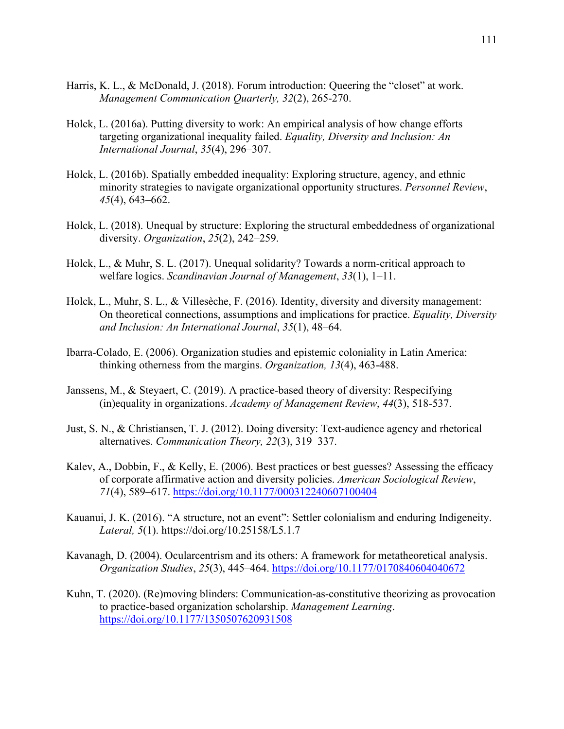- Harris, K. L., & McDonald, J. (2018). Forum introduction: Queering the "closet" at work. *Management Communication Quarterly, 32*(2), 265-270.
- Holck, L. (2016a). Putting diversity to work: An empirical analysis of how change efforts targeting organizational inequality failed. *Equality, Diversity and Inclusion: An International Journal*, *35*(4), 296–307.
- Holck, L. (2016b). Spatially embedded inequality: Exploring structure, agency, and ethnic minority strategies to navigate organizational opportunity structures. *Personnel Review*, *45*(4), 643–662.
- Holck, L. (2018). Unequal by structure: Exploring the structural embeddedness of organizational diversity. *Organization*, *25*(2), 242–259.
- Holck, L., & Muhr, S. L. (2017). Unequal solidarity? Towards a norm-critical approach to welfare logics. *Scandinavian Journal of Management*, *33*(1), 1–11.
- Holck, L., Muhr, S. L., & Villesèche, F. (2016). Identity, diversity and diversity management: On theoretical connections, assumptions and implications for practice. *Equality, Diversity and Inclusion: An International Journal*, *35*(1), 48–64.
- Ibarra-Colado, E. (2006). Organization studies and epistemic coloniality in Latin America: thinking otherness from the margins. *Organization, 13*(4), 463-488.
- Janssens, M., & Steyaert, C. (2019). A practice-based theory of diversity: Respecifying (in)equality in organizations. *Academy of Management Review*, *44*(3), 518-537.
- Just, S. N., & Christiansen, T. J. (2012). Doing diversity: Text-audience agency and rhetorical alternatives. *Communication Theory, 22*(3), 319–337.
- Kalev, A., Dobbin, F., & Kelly, E. (2006). Best practices or best guesses? Assessing the efficacy of corporate affirmative action and diversity policies. *American Sociological Review*, *71*(4), 589–617.<https://doi.org/10.1177/000312240607100404>
- Kauanui, J. K. (2016). "A structure, not an event": Settler colonialism and enduring Indigeneity. *Lateral, 5*(1). https://doi.org/10.25158/L5.1.7
- Kavanagh, D. (2004). Ocularcentrism and its others: A framework for metatheoretical analysis. *Organization Studies*, *25*(3), 445–464.<https://doi.org/10.1177/0170840604040672>
- Kuhn, T. (2020). (Re)moving blinders: Communication-as-constitutive theorizing as provocation to practice-based organization scholarship. *Management Learning*. <https://doi.org/10.1177/1350507620931508>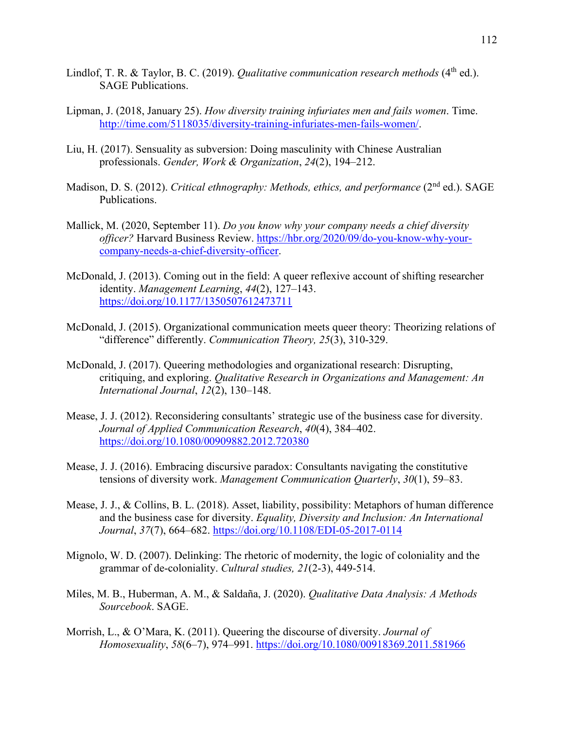- Lindlof, T. R. & Taylor, B. C. (2019). *Qualitative communication research methods* (4<sup>th</sup> ed.). SAGE Publications.
- Lipman, J. (2018, January 25). *How diversity training infuriates men and fails women*. Time. [http://time.com/5118035/diversity-training-infuriates-men-fails-women/.](http://time.com/5118035/diversity-training-infuriates-men-fails-women/)
- Liu, H. (2017). Sensuality as subversion: Doing masculinity with Chinese Australian professionals. *Gender, Work & Organization*, *24*(2), 194–212.
- Madison, D. S. (2012). *Critical ethnography: Methods, ethics, and performance* (2<sup>nd</sup> ed.). SAGE Publications.
- Mallick, M. (2020, September 11). *Do you know why your company needs a chief diversity officer?* Harvard Business Review. [https://hbr.org/2020/09/do-you-know-why-your](https://hbr.org/2020/09/do-you-know-why-your-company-needs-a-chief-diversity-officer)[company-needs-a-chief-diversity-officer.](https://hbr.org/2020/09/do-you-know-why-your-company-needs-a-chief-diversity-officer)
- McDonald, J. (2013). Coming out in the field: A queer reflexive account of shifting researcher identity. *Management Learning*, *44*(2), 127–143. <https://doi.org/10.1177/1350507612473711>
- McDonald, J. (2015). Organizational communication meets queer theory: Theorizing relations of "difference" differently. *Communication Theory, 25*(3), 310-329.
- McDonald, J. (2017). Queering methodologies and organizational research: Disrupting, critiquing, and exploring. *Qualitative Research in Organizations and Management: An International Journal*, *12*(2), 130–148.
- Mease, J. J. (2012). Reconsidering consultants' strategic use of the business case for diversity. *Journal of Applied Communication Research*, *40*(4), 384–402. <https://doi.org/10.1080/00909882.2012.720380>
- Mease, J. J. (2016). Embracing discursive paradox: Consultants navigating the constitutive tensions of diversity work. *Management Communication Quarterly*, *30*(1), 59–83.
- Mease, J. J., & Collins, B. L. (2018). Asset, liability, possibility: Metaphors of human difference and the business case for diversity. *Equality, Diversity and Inclusion: An International Journal*, *37*(7), 664–682.<https://doi.org/10.1108/EDI-05-2017-0114>
- Mignolo, W. D. (2007). Delinking: The rhetoric of modernity, the logic of coloniality and the grammar of de-coloniality. *Cultural studies, 21*(2-3), 449-514.
- Miles, M. B., Huberman, A. M., & Saldaña, J. (2020). *Qualitative Data Analysis: A Methods Sourcebook*. SAGE.
- Morrish, L., & O'Mara, K. (2011). Queering the discourse of diversity. *Journal of Homosexuality*, *58*(6–7), 974–991.<https://doi.org/10.1080/00918369.2011.581966>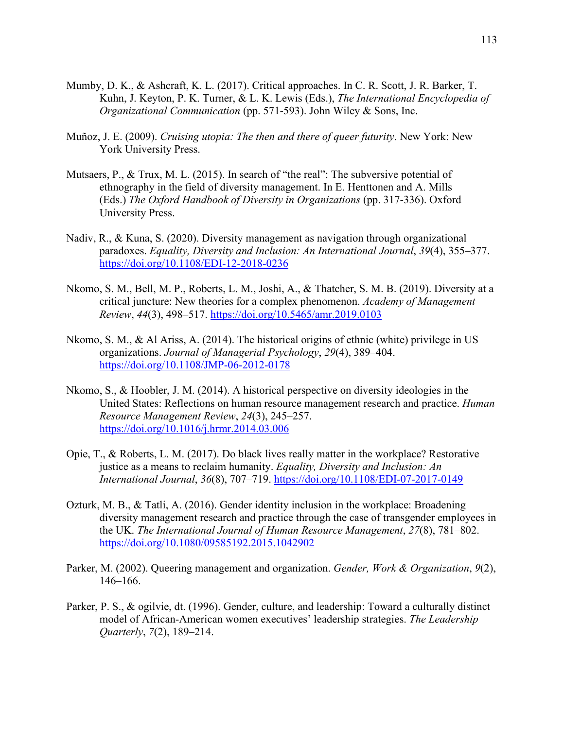- Mumby, D. K., & Ashcraft, K. L. (2017). Critical approaches. In C. R. Scott, J. R. Barker, T. Kuhn, J. Keyton, P. K. Turner, & L. K. Lewis (Eds.), *The International Encyclopedia of Organizational Communication* (pp. 571-593). John Wiley & Sons, Inc.
- Muñoz, J. E. (2009). *Cruising utopia: The then and there of queer futurity*. New York: New York University Press.
- Mutsaers, P., & Trux, M. L. (2015). In search of "the real": The subversive potential of ethnography in the field of diversity management. In E. Henttonen and A. Mills (Eds.) *The Oxford Handbook of Diversity in Organizations* (pp. 317-336). Oxford University Press.
- Nadiv, R., & Kuna, S. (2020). Diversity management as navigation through organizational paradoxes. *Equality, Diversity and Inclusion: An International Journal*, *39*(4), 355–377. <https://doi.org/10.1108/EDI-12-2018-0236>
- Nkomo, S. M., Bell, M. P., Roberts, L. M., Joshi, A., & Thatcher, S. M. B. (2019). Diversity at a critical juncture: New theories for a complex phenomenon. *Academy of Management Review*, *44*(3), 498–517.<https://doi.org/10.5465/amr.2019.0103>
- Nkomo, S. M., & Al Ariss, A. (2014). The historical origins of ethnic (white) privilege in US organizations. *Journal of Managerial Psychology*, *29*(4), 389–404. <https://doi.org/10.1108/JMP-06-2012-0178>
- Nkomo, S., & Hoobler, J. M. (2014). A historical perspective on diversity ideologies in the United States: Reflections on human resource management research and practice. *Human Resource Management Review*, *24*(3), 245–257. <https://doi.org/10.1016/j.hrmr.2014.03.006>
- Opie, T., & Roberts, L. M. (2017). Do black lives really matter in the workplace? Restorative justice as a means to reclaim humanity. *Equality, Diversity and Inclusion: An International Journal*, *36*(8), 707–719.<https://doi.org/10.1108/EDI-07-2017-0149>
- Ozturk, M. B., & Tatli, A. (2016). Gender identity inclusion in the workplace: Broadening diversity management research and practice through the case of transgender employees in the UK. *The International Journal of Human Resource Management*, *27*(8), 781–802. <https://doi.org/10.1080/09585192.2015.1042902>
- Parker, M. (2002). Queering management and organization. *Gender, Work & Organization*, *9*(2), 146–166.
- Parker, P. S., & ogilvie, dt. (1996). Gender, culture, and leadership: Toward a culturally distinct model of African-American women executives' leadership strategies. *The Leadership Quarterly*, *7*(2), 189–214.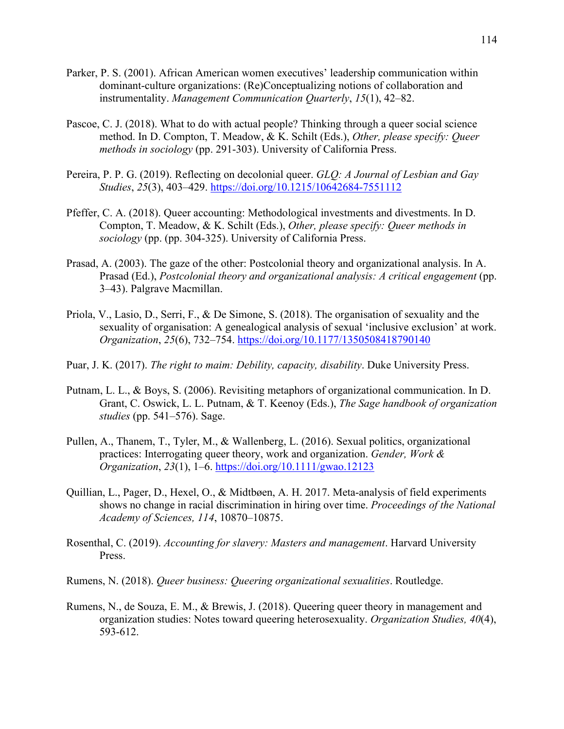- Parker, P. S. (2001). African American women executives' leadership communication within dominant-culture organizations: (Re)Conceptualizing notions of collaboration and instrumentality. *Management Communication Quarterly*, *15*(1), 42–82.
- Pascoe, C. J. (2018). What to do with actual people? Thinking through a queer social science method. In D. Compton, T. Meadow, & K. Schilt (Eds.), *Other, please specify: Queer methods in sociology* (pp. 291-303). University of California Press.
- Pereira, P. P. G. (2019). Reflecting on decolonial queer. *GLQ: A Journal of Lesbian and Gay Studies*, *25*(3), 403–429.<https://doi.org/10.1215/10642684-7551112>
- Pfeffer, C. A. (2018). Queer accounting: Methodological investments and divestments. In D. Compton, T. Meadow, & K. Schilt (Eds.), *Other, please specify: Queer methods in sociology* (pp. (pp. 304-325). University of California Press.
- Prasad, A. (2003). The gaze of the other: Postcolonial theory and organizational analysis. In A. Prasad (Ed.), *Postcolonial theory and organizational analysis: A critical engagement* (pp. 3–43). Palgrave Macmillan.
- Priola, V., Lasio, D., Serri, F., & De Simone, S. (2018). The organisation of sexuality and the sexuality of organisation: A genealogical analysis of sexual 'inclusive exclusion' at work. *Organization*, *25*(6), 732–754.<https://doi.org/10.1177/1350508418790140>
- Puar, J. K. (2017). *The right to maim: Debility, capacity, disability*. Duke University Press.
- Putnam, L. L., & Boys, S. (2006). Revisiting metaphors of organizational communication. In D. Grant, C. Oswick, L. L. Putnam, & T. Keenoy (Eds.), *The Sage handbook of organization studies* (pp. 541–576). Sage.
- Pullen, A., Thanem, T., Tyler, M., & Wallenberg, L. (2016). Sexual politics, organizational practices: Interrogating queer theory, work and organization. *Gender, Work & Organization*, *23*(1), 1–6.<https://doi.org/10.1111/gwao.12123>
- Quillian, L., Pager, D., Hexel, O., & Midtbøen, A. H. 2017. Meta-analysis of field experiments shows no change in racial discrimination in hiring over time. *Proceedings of the National Academy of Sciences, 114*, 10870–10875.
- Rosenthal, C. (2019). *Accounting for slavery: Masters and management*. Harvard University Press.
- Rumens, N. (2018). *Queer business: Queering organizational sexualities*. Routledge.
- Rumens, N., de Souza, E. M., & Brewis, J. (2018). Queering queer theory in management and organization studies: Notes toward queering heterosexuality. *Organization Studies, 40*(4), 593-612.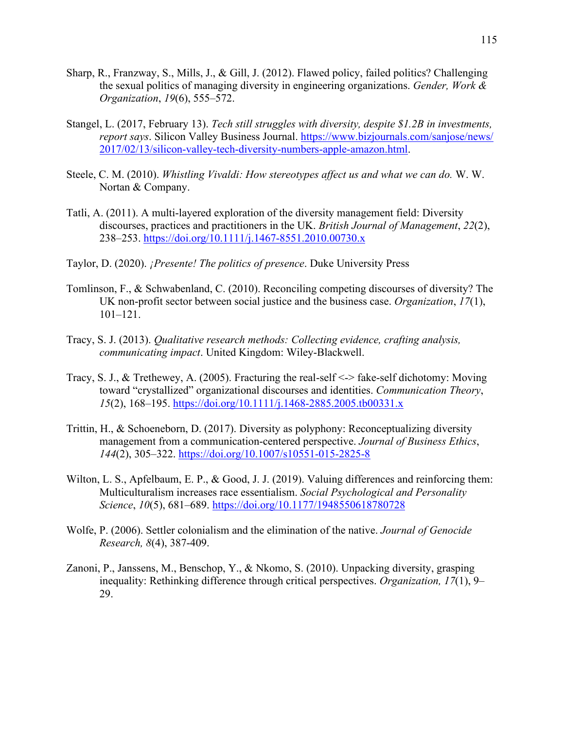- Sharp, R., Franzway, S., Mills, J., & Gill, J. (2012). Flawed policy, failed politics? Challenging the sexual politics of managing diversity in engineering organizations. *Gender, Work & Organization*, *19*(6), 555–572.
- Stangel, L. (2017, February 13). *Tech still struggles with diversity, despite \$1.2B in investments, report says*. Silicon Valley Business Journal. [https://www.bizjournals.com/sanjose/news/](https://www.bizjournals.com/sanjose/news/%202017/02/13/silicon-valley-tech-diversity-numbers-apple-amazon.html)  [2017/02/13/silicon-valley-tech-diversity-numbers-apple-amazon.html.](https://www.bizjournals.com/sanjose/news/%202017/02/13/silicon-valley-tech-diversity-numbers-apple-amazon.html)
- Steele, C. M. (2010). *Whistling Vivaldi: How stereotypes affect us and what we can do.* W. W. Nortan & Company.
- Tatli, A. (2011). A multi-layered exploration of the diversity management field: Diversity discourses, practices and practitioners in the UK. *British Journal of Management*, *22*(2), 238–253.<https://doi.org/10.1111/j.1467-8551.2010.00730.x>
- Taylor, D. (2020). *¡Presente! The politics of presence*. Duke University Press
- Tomlinson, F., & Schwabenland, C. (2010). Reconciling competing discourses of diversity? The UK non-profit sector between social justice and the business case. *Organization*, *17*(1), 101–121.
- Tracy, S. J. (2013). *Qualitative research methods: Collecting evidence, crafting analysis, communicating impact*. United Kingdom: Wiley-Blackwell.
- Tracy, S. J., & Trethewey, A. (2005). Fracturing the real-self <-> fake-self dichotomy: Moving toward "crystallized" organizational discourses and identities. *Communication Theory*, *15*(2), 168–195.<https://doi.org/10.1111/j.1468-2885.2005.tb00331.x>
- Trittin, H., & Schoeneborn, D. (2017). Diversity as polyphony: Reconceptualizing diversity management from a communication-centered perspective. *Journal of Business Ethics*, *144*(2), 305–322.<https://doi.org/10.1007/s10551-015-2825-8>
- Wilton, L. S., Apfelbaum, E. P., & Good, J. J. (2019). Valuing differences and reinforcing them: Multiculturalism increases race essentialism. *Social Psychological and Personality Science*, *10*(5), 681–689.<https://doi.org/10.1177/1948550618780728>
- Wolfe, P. (2006). Settler colonialism and the elimination of the native. *Journal of Genocide Research, 8*(4), 387-409.
- Zanoni, P., Janssens, M., Benschop, Y., & Nkomo, S. (2010). Unpacking diversity, grasping inequality: Rethinking difference through critical perspectives. *Organization, 17*(1), 9– 29.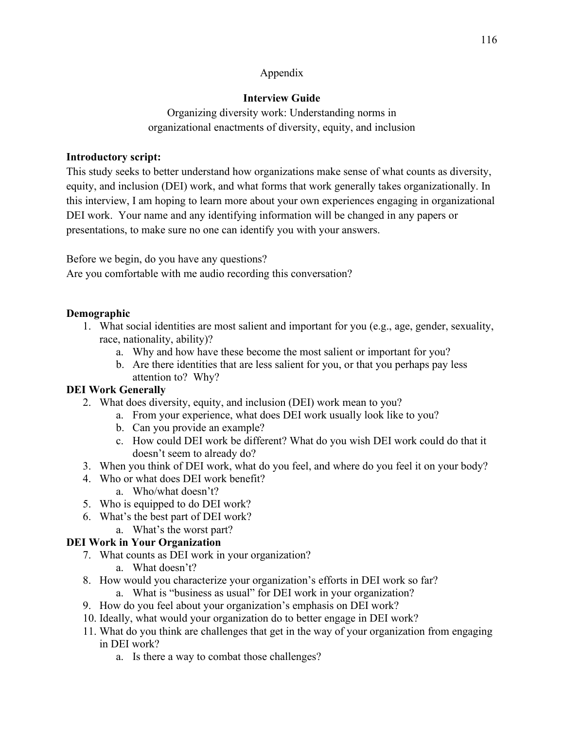#### Appendix

### **Interview Guide**

Organizing diversity work: Understanding norms in organizational enactments of diversity, equity, and inclusion

#### **Introductory script:**

This study seeks to better understand how organizations make sense of what counts as diversity, equity, and inclusion (DEI) work, and what forms that work generally takes organizationally. In this interview, I am hoping to learn more about your own experiences engaging in organizational DEI work. Your name and any identifying information will be changed in any papers or presentations, to make sure no one can identify you with your answers.

Before we begin, do you have any questions?

Are you comfortable with me audio recording this conversation?

# **Demographic**

- 1. What social identities are most salient and important for you (e.g., age, gender, sexuality, race, nationality, ability)?
	- a. Why and how have these become the most salient or important for you?
	- b. Are there identities that are less salient for you, or that you perhaps pay less attention to? Why?

# **DEI Work Generally**

- 2. What does diversity, equity, and inclusion (DEI) work mean to you?
	- a. From your experience, what does DEI work usually look like to you?
	- b. Can you provide an example?
	- c. How could DEI work be different? What do you wish DEI work could do that it doesn't seem to already do?
- 3. When you think of DEI work, what do you feel, and where do you feel it on your body?
- 4. Who or what does DEI work benefit?
	- a. Who/what doesn't?
- 5. Who is equipped to do DEI work?
- 6. What's the best part of DEI work?
- a. What's the worst part?

# **DEI Work in Your Organization**

- 7. What counts as DEI work in your organization?
	- a. What doesn't?
- 8. How would you characterize your organization's efforts in DEI work so far?
	- a. What is "business as usual" for DEI work in your organization?
- 9. How do you feel about your organization's emphasis on DEI work?
- 10. Ideally, what would your organization do to better engage in DEI work?
- 11. What do you think are challenges that get in the way of your organization from engaging in DEI work?
	- a. Is there a way to combat those challenges?